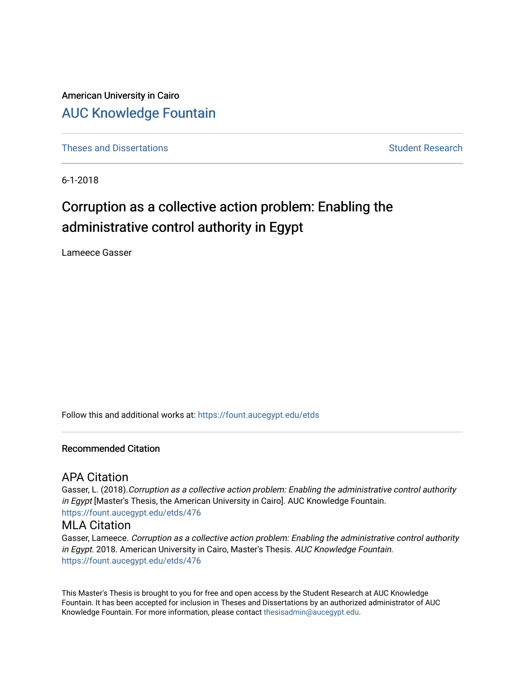American University in Cairo [AUC Knowledge Fountain](https://fount.aucegypt.edu/) 

[Theses and Dissertations](https://fount.aucegypt.edu/etds) [Student Research](https://fount.aucegypt.edu/student_research) Student Research

6-1-2018

# Corruption as a collective action problem: Enabling the administrative control authority in Egypt

Lameece Gasser

Follow this and additional works at: [https://fount.aucegypt.edu/etds](https://fount.aucegypt.edu/etds?utm_source=fount.aucegypt.edu%2Fetds%2F476&utm_medium=PDF&utm_campaign=PDFCoverPages) 

#### Recommended Citation

# APA Citation

Gasser, L. (2018).Corruption as a collective action problem: Enabling the administrative control authority in Egypt [Master's Thesis, the American University in Cairo]. AUC Knowledge Fountain. [https://fount.aucegypt.edu/etds/476](https://fount.aucegypt.edu/etds/476?utm_source=fount.aucegypt.edu%2Fetds%2F476&utm_medium=PDF&utm_campaign=PDFCoverPages) 

## MLA Citation

Gasser, Lameece. Corruption as a collective action problem: Enabling the administrative control authority in Egypt. 2018. American University in Cairo, Master's Thesis. AUC Knowledge Fountain. [https://fount.aucegypt.edu/etds/476](https://fount.aucegypt.edu/etds/476?utm_source=fount.aucegypt.edu%2Fetds%2F476&utm_medium=PDF&utm_campaign=PDFCoverPages) 

This Master's Thesis is brought to you for free and open access by the Student Research at AUC Knowledge Fountain. It has been accepted for inclusion in Theses and Dissertations by an authorized administrator of AUC Knowledge Fountain. For more information, please contact [thesisadmin@aucegypt.edu.](mailto:thesisadmin@aucegypt.edu)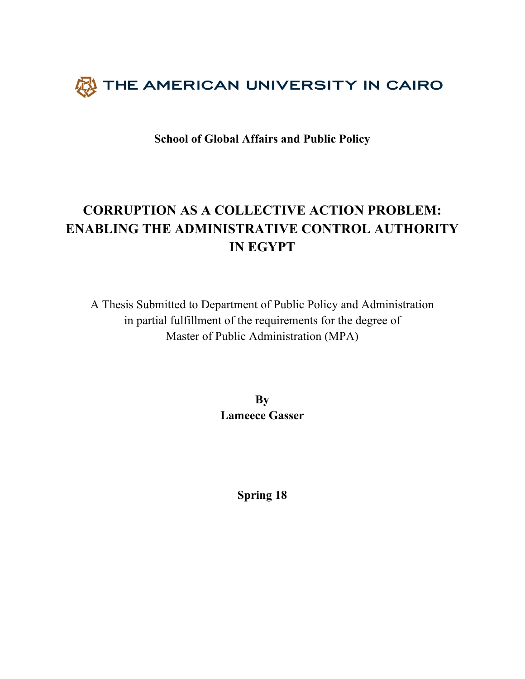

**School of Global Affairs and Public Policy** 

# **CORRUPTION AS A COLLECTIVE ACTION PROBLEM: ENABLING THE ADMINISTRATIVE CONTROL AUTHORITY IN EGYPT**

A Thesis Submitted to Department of Public Policy and Administration in partial fulfillment of the requirements for the degree of Master of Public Administration (MPA)

> **By Lameece Gasser**

> > **Spring 18**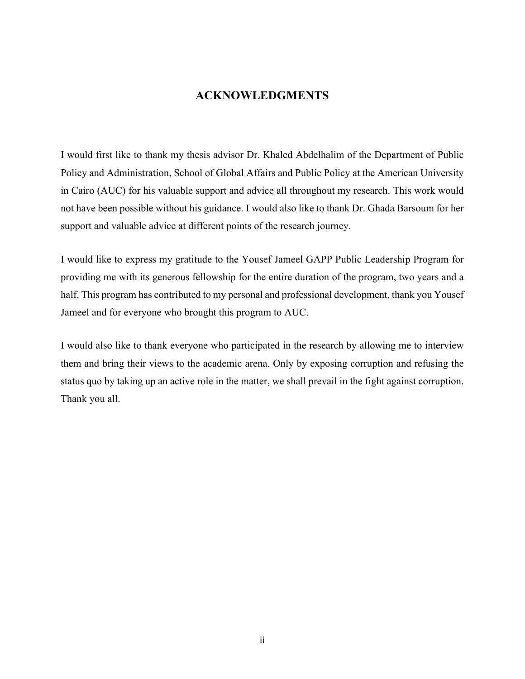# **ACKNOWLEDGMENTS**

I would first like to thank my thesis advisor Dr. Khaled Abdelhalim of the Department of Public Policy and Administration, School of Global Affairs and Public Policy at the American University in Cairo (AUC) for his valuable support and advice all throughout my research. This work would not have been possible without his guidance. I would also like to thank Dr. Ghada Barsoum for her support and valuable advice at different points of the research journey.

I would like to express my gratitude to the Yousef Jameel GAPP Public Leadership Program for providing me with its generous fellowship for the entire duration of the program, two years and a half. This program has contributed to my personal and professional development, thank you Yousef Jameel and for everyone who brought this program to AUC.

I would also like to thank everyone who participated in the research by allowing me to interview them and bring their views to the academic arena. Only by exposing corruption and refusing the status quo by taking up an active role in the matter, we shall prevail in the fight against corruption. Thank you all.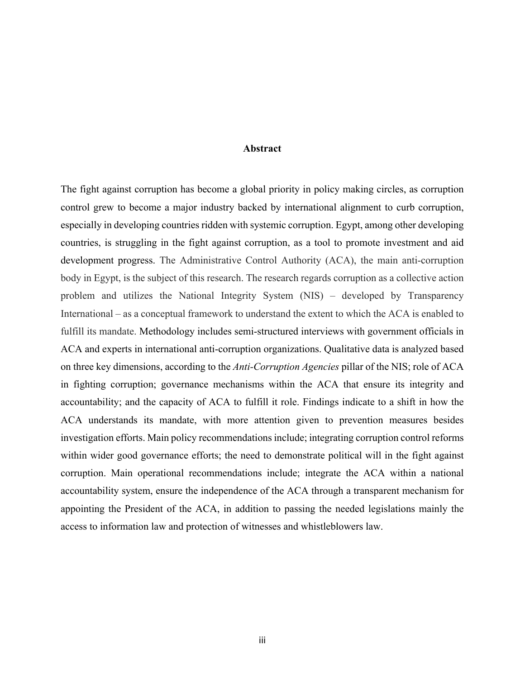#### **Abstract**

The fight against corruption has become a global priority in policy making circles, as corruption control grew to become a major industry backed by international alignment to curb corruption, especially in developing countries ridden with systemic corruption. Egypt, among other developing countries, is struggling in the fight against corruption, as a tool to promote investment and aid development progress. The Administrative Control Authority (ACA), the main anti-corruption body in Egypt, is the subject of this research. The research regards corruption as a collective action problem and utilizes the National Integrity System (NIS) – developed by Transparency International – as a conceptual framework to understand the extent to which the ACA is enabled to fulfill its mandate. Methodology includes semi-structured interviews with government officials in ACA and experts in international anti-corruption organizations. Qualitative data is analyzed based on three key dimensions, according to the *Anti-Corruption Agencies* pillar of the NIS; role of ACA in fighting corruption; governance mechanisms within the ACA that ensure its integrity and accountability; and the capacity of ACA to fulfill it role. Findings indicate to a shift in how the ACA understands its mandate, with more attention given to prevention measures besides investigation efforts. Main policy recommendations include; integrating corruption control reforms within wider good governance efforts; the need to demonstrate political will in the fight against corruption. Main operational recommendations include; integrate the ACA within a national accountability system, ensure the independence of the ACA through a transparent mechanism for appointing the President of the ACA, in addition to passing the needed legislations mainly the access to information law and protection of witnesses and whistleblowers law.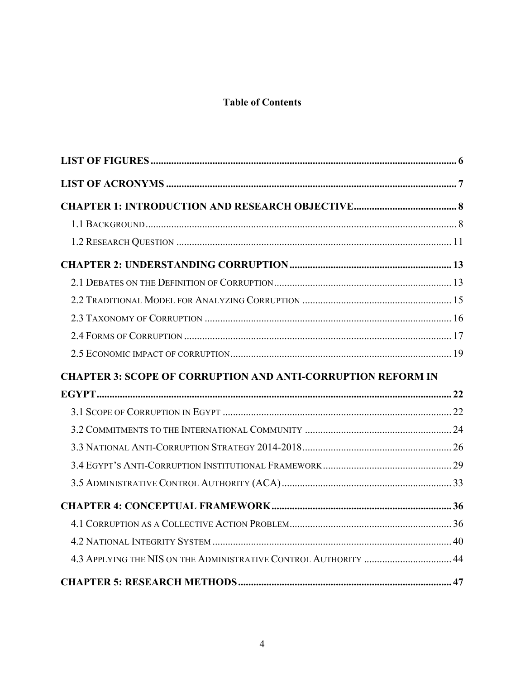# **Table of Contents**

| <b>CHAPTER 3: SCOPE OF CORRUPTION AND ANTI-CORRUPTION REFORM IN</b> |  |
|---------------------------------------------------------------------|--|
|                                                                     |  |
|                                                                     |  |
|                                                                     |  |
|                                                                     |  |
|                                                                     |  |
|                                                                     |  |
|                                                                     |  |
|                                                                     |  |
|                                                                     |  |
|                                                                     |  |
|                                                                     |  |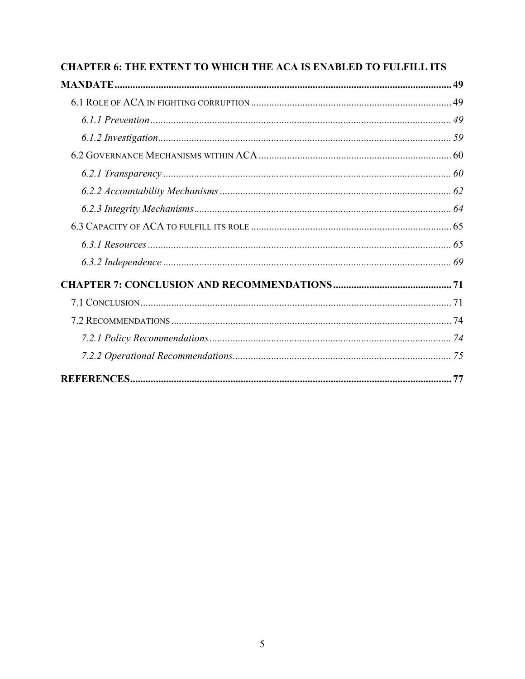| CHAPTER 6: THE EXTENT TO WHICH THE ACA IS ENABLED TO FULFILL ITS |  |
|------------------------------------------------------------------|--|
|                                                                  |  |
|                                                                  |  |
|                                                                  |  |
|                                                                  |  |
|                                                                  |  |
|                                                                  |  |
|                                                                  |  |
|                                                                  |  |
|                                                                  |  |
|                                                                  |  |
|                                                                  |  |
|                                                                  |  |
|                                                                  |  |
|                                                                  |  |
|                                                                  |  |
|                                                                  |  |
|                                                                  |  |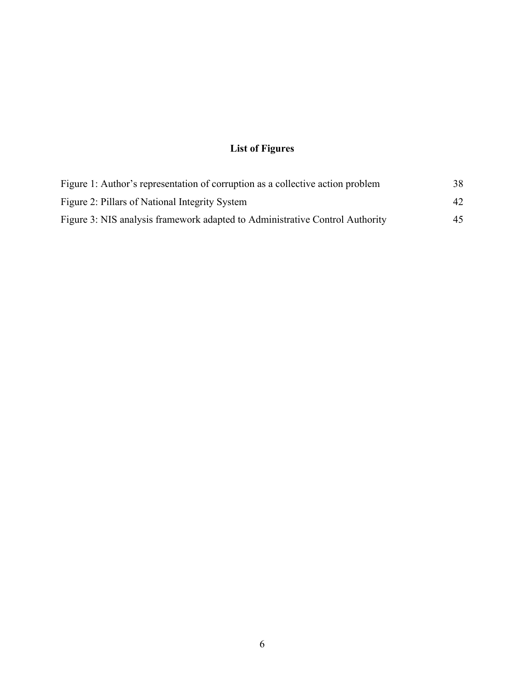# **List of Figures**

| Figure 1: Author's representation of corruption as a collective action problem | 38. |
|--------------------------------------------------------------------------------|-----|
| Figure 2: Pillars of National Integrity System                                 | 42  |
| Figure 3: NIS analysis framework adapted to Administrative Control Authority   | 45  |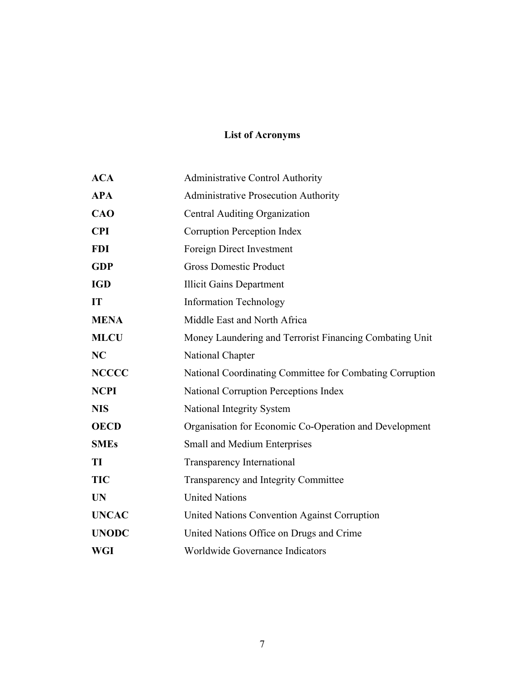# **List of Acronyms**

| <b>ACA</b>   | <b>Administrative Control Authority</b>                  |
|--------------|----------------------------------------------------------|
| <b>APA</b>   | <b>Administrative Prosecution Authority</b>              |
| <b>CAO</b>   | Central Auditing Organization                            |
| <b>CPI</b>   | Corruption Perception Index                              |
| <b>FDI</b>   | Foreign Direct Investment                                |
| <b>GDP</b>   | <b>Gross Domestic Product</b>                            |
| <b>IGD</b>   | <b>Illicit Gains Department</b>                          |
| IT           | <b>Information Technology</b>                            |
| <b>MENA</b>  | Middle East and North Africa                             |
| <b>MLCU</b>  | Money Laundering and Terrorist Financing Combating Unit  |
| NC           | National Chapter                                         |
| <b>NCCCC</b> | National Coordinating Committee for Combating Corruption |
| <b>NCPI</b>  | National Corruption Perceptions Index                    |
| <b>NIS</b>   | National Integrity System                                |
| <b>OECD</b>  | Organisation for Economic Co-Operation and Development   |
| <b>SMEs</b>  | Small and Medium Enterprises                             |
| TI           | <b>Transparency International</b>                        |
| <b>TIC</b>   | Transparency and Integrity Committee                     |
| <b>UN</b>    | <b>United Nations</b>                                    |
| <b>UNCAC</b> | United Nations Convention Against Corruption             |
| <b>UNODC</b> | United Nations Office on Drugs and Crime                 |
| <b>WGI</b>   | Worldwide Governance Indicators                          |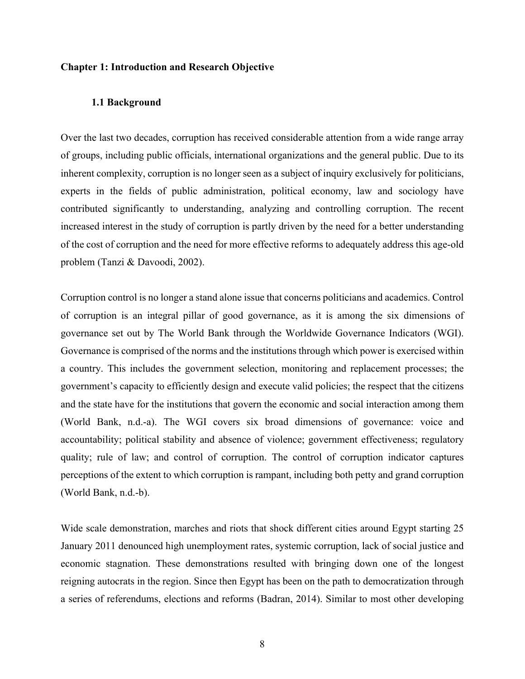#### **Chapter 1: Introduction and Research Objective**

#### **1.1 Background**

Over the last two decades, corruption has received considerable attention from a wide range array of groups, including public officials, international organizations and the general public. Due to its inherent complexity, corruption is no longer seen as a subject of inquiry exclusively for politicians, experts in the fields of public administration, political economy, law and sociology have contributed significantly to understanding, analyzing and controlling corruption. The recent increased interest in the study of corruption is partly driven by the need for a better understanding of the cost of corruption and the need for more effective reforms to adequately address this age-old problem (Tanzi & Davoodi, 2002).

Corruption control is no longer a stand alone issue that concerns politicians and academics. Control of corruption is an integral pillar of good governance, as it is among the six dimensions of governance set out by The World Bank through the Worldwide Governance Indicators (WGI). Governance is comprised of the norms and the institutions through which power is exercised within a country. This includes the government selection, monitoring and replacement processes; the government's capacity to efficiently design and execute valid policies; the respect that the citizens and the state have for the institutions that govern the economic and social interaction among them (World Bank, n.d.-a). The WGI covers six broad dimensions of governance: voice and accountability; political stability and absence of violence; government effectiveness; regulatory quality; rule of law; and control of corruption. The control of corruption indicator captures perceptions of the extent to which corruption is rampant, including both petty and grand corruption (World Bank, n.d.-b).

Wide scale demonstration, marches and riots that shock different cities around Egypt starting 25 January 2011 denounced high unemployment rates, systemic corruption, lack of social justice and economic stagnation. These demonstrations resulted with bringing down one of the longest reigning autocrats in the region. Since then Egypt has been on the path to democratization through a series of referendums, elections and reforms (Badran, 2014). Similar to most other developing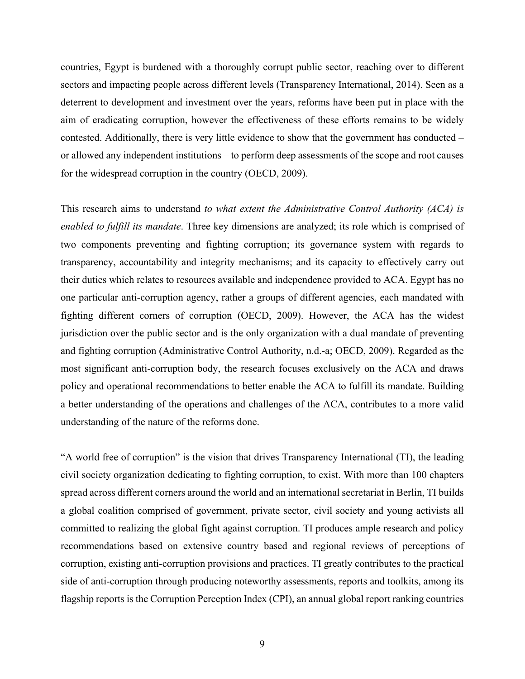countries, Egypt is burdened with a thoroughly corrupt public sector, reaching over to different sectors and impacting people across different levels (Transparency International, 2014). Seen as a deterrent to development and investment over the years, reforms have been put in place with the aim of eradicating corruption, however the effectiveness of these efforts remains to be widely contested. Additionally, there is very little evidence to show that the government has conducted – or allowed any independent institutions – to perform deep assessments of the scope and root causes for the widespread corruption in the country (OECD, 2009).

This research aims to understand *to what extent the Administrative Control Authority (ACA) is enabled to fulfill its mandate*. Three key dimensions are analyzed; its role which is comprised of two components preventing and fighting corruption; its governance system with regards to transparency, accountability and integrity mechanisms; and its capacity to effectively carry out their duties which relates to resources available and independence provided to ACA. Egypt has no one particular anti-corruption agency, rather a groups of different agencies, each mandated with fighting different corners of corruption (OECD, 2009). However, the ACA has the widest jurisdiction over the public sector and is the only organization with a dual mandate of preventing and fighting corruption (Administrative Control Authority, n.d.-a; OECD, 2009). Regarded as the most significant anti-corruption body, the research focuses exclusively on the ACA and draws policy and operational recommendations to better enable the ACA to fulfill its mandate. Building a better understanding of the operations and challenges of the ACA, contributes to a more valid understanding of the nature of the reforms done.

"A world free of corruption" is the vision that drives Transparency International (TI), the leading civil society organization dedicating to fighting corruption, to exist. With more than 100 chapters spread across different corners around the world and an international secretariat in Berlin, TI builds a global coalition comprised of government, private sector, civil society and young activists all committed to realizing the global fight against corruption. TI produces ample research and policy recommendations based on extensive country based and regional reviews of perceptions of corruption, existing anti-corruption provisions and practices. TI greatly contributes to the practical side of anti-corruption through producing noteworthy assessments, reports and toolkits, among its flagship reports is the Corruption Perception Index (CPI), an annual global report ranking countries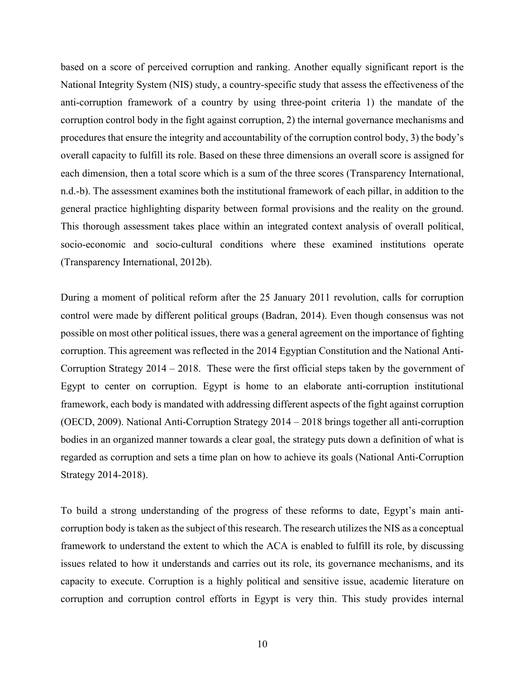based on a score of perceived corruption and ranking. Another equally significant report is the National Integrity System (NIS) study, a country-specific study that assess the effectiveness of the anti-corruption framework of a country by using three-point criteria 1) the mandate of the corruption control body in the fight against corruption, 2) the internal governance mechanisms and procedures that ensure the integrity and accountability of the corruption control body, 3) the body's overall capacity to fulfill its role. Based on these three dimensions an overall score is assigned for each dimension, then a total score which is a sum of the three scores (Transparency International, n.d.-b). The assessment examines both the institutional framework of each pillar, in addition to the general practice highlighting disparity between formal provisions and the reality on the ground. This thorough assessment takes place within an integrated context analysis of overall political, socio-economic and socio-cultural conditions where these examined institutions operate (Transparency International, 2012b).

During a moment of political reform after the 25 January 2011 revolution, calls for corruption control were made by different political groups (Badran, 2014). Even though consensus was not possible on most other political issues, there was a general agreement on the importance of fighting corruption. This agreement was reflected in the 2014 Egyptian Constitution and the National Anti-Corruption Strategy 2014 – 2018. These were the first official steps taken by the government of Egypt to center on corruption. Egypt is home to an elaborate anti-corruption institutional framework, each body is mandated with addressing different aspects of the fight against corruption (OECD, 2009). National Anti-Corruption Strategy 2014 – 2018 brings together all anti-corruption bodies in an organized manner towards a clear goal, the strategy puts down a definition of what is regarded as corruption and sets a time plan on how to achieve its goals (National Anti-Corruption Strategy 2014-2018).

To build a strong understanding of the progress of these reforms to date, Egypt's main anticorruption body is taken as the subject of this research. The research utilizes the NIS as a conceptual framework to understand the extent to which the ACA is enabled to fulfill its role, by discussing issues related to how it understands and carries out its role, its governance mechanisms, and its capacity to execute. Corruption is a highly political and sensitive issue, academic literature on corruption and corruption control efforts in Egypt is very thin. This study provides internal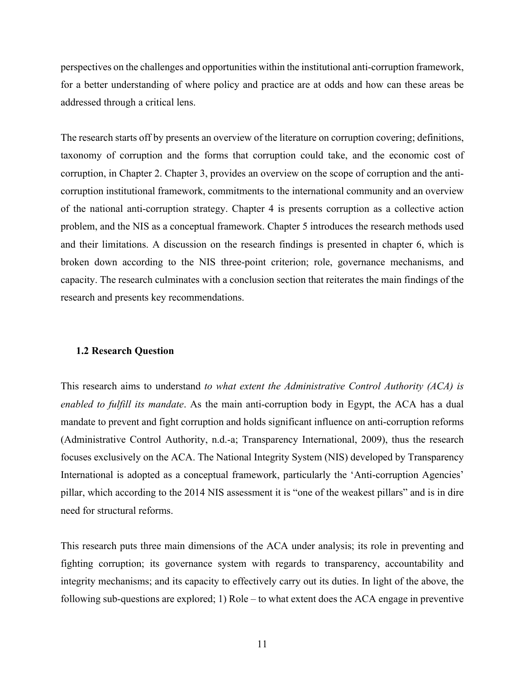perspectives on the challenges and opportunities within the institutional anti-corruption framework, for a better understanding of where policy and practice are at odds and how can these areas be addressed through a critical lens.

The research starts off by presents an overview of the literature on corruption covering; definitions, taxonomy of corruption and the forms that corruption could take, and the economic cost of corruption, in Chapter 2. Chapter 3, provides an overview on the scope of corruption and the anticorruption institutional framework, commitments to the international community and an overview of the national anti-corruption strategy. Chapter 4 is presents corruption as a collective action problem, and the NIS as a conceptual framework. Chapter 5 introduces the research methods used and their limitations. A discussion on the research findings is presented in chapter 6, which is broken down according to the NIS three-point criterion; role, governance mechanisms, and capacity. The research culminates with a conclusion section that reiterates the main findings of the research and presents key recommendations.

#### **1.2 Research Question**

This research aims to understand *to what extent the Administrative Control Authority (ACA) is enabled to fulfill its mandate*. As the main anti-corruption body in Egypt, the ACA has a dual mandate to prevent and fight corruption and holds significant influence on anti-corruption reforms (Administrative Control Authority, n.d.-a; Transparency International, 2009), thus the research focuses exclusively on the ACA. The National Integrity System (NIS) developed by Transparency International is adopted as a conceptual framework, particularly the 'Anti-corruption Agencies' pillar, which according to the 2014 NIS assessment it is "one of the weakest pillars" and is in dire need for structural reforms.

This research puts three main dimensions of the ACA under analysis; its role in preventing and fighting corruption; its governance system with regards to transparency, accountability and integrity mechanisms; and its capacity to effectively carry out its duties. In light of the above, the following sub-questions are explored; 1) Role – to what extent does the ACA engage in preventive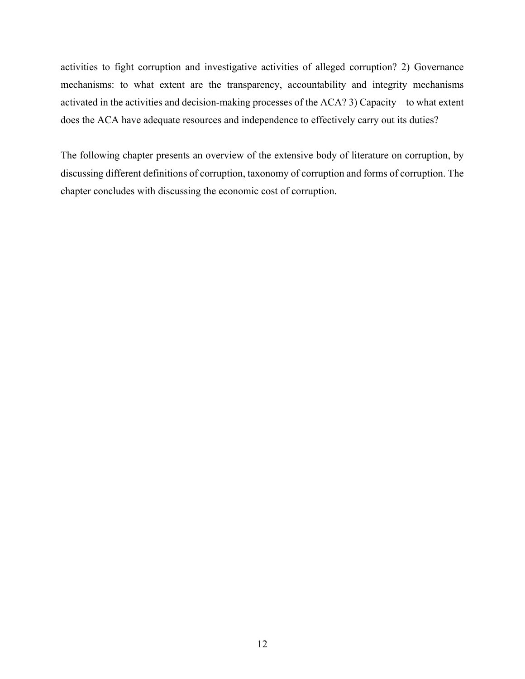activities to fight corruption and investigative activities of alleged corruption? 2) Governance mechanisms: to what extent are the transparency, accountability and integrity mechanisms activated in the activities and decision-making processes of the ACA? 3) Capacity – to what extent does the ACA have adequate resources and independence to effectively carry out its duties?

The following chapter presents an overview of the extensive body of literature on corruption, by discussing different definitions of corruption, taxonomy of corruption and forms of corruption. The chapter concludes with discussing the economic cost of corruption.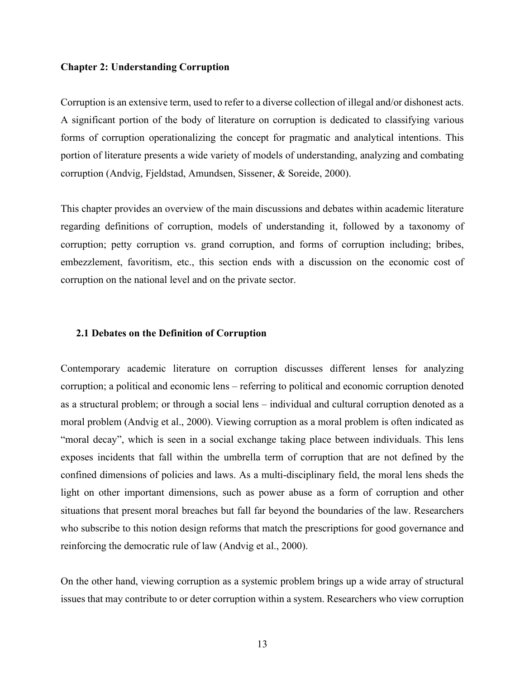#### **Chapter 2: Understanding Corruption**

Corruption is an extensive term, used to refer to a diverse collection of illegal and/or dishonest acts. A significant portion of the body of literature on corruption is dedicated to classifying various forms of corruption operationalizing the concept for pragmatic and analytical intentions. This portion of literature presents a wide variety of models of understanding, analyzing and combating corruption (Andvig, Fjeldstad, Amundsen, Sissener, & Soreide, 2000).

This chapter provides an overview of the main discussions and debates within academic literature regarding definitions of corruption, models of understanding it, followed by a taxonomy of corruption; petty corruption vs. grand corruption, and forms of corruption including; bribes, embezzlement, favoritism, etc., this section ends with a discussion on the economic cost of corruption on the national level and on the private sector.

#### **2.1 Debates on the Definition of Corruption**

Contemporary academic literature on corruption discusses different lenses for analyzing corruption; a political and economic lens – referring to political and economic corruption denoted as a structural problem; or through a social lens – individual and cultural corruption denoted as a moral problem (Andvig et al., 2000). Viewing corruption as a moral problem is often indicated as "moral decay", which is seen in a social exchange taking place between individuals. This lens exposes incidents that fall within the umbrella term of corruption that are not defined by the confined dimensions of policies and laws. As a multi-disciplinary field, the moral lens sheds the light on other important dimensions, such as power abuse as a form of corruption and other situations that present moral breaches but fall far beyond the boundaries of the law. Researchers who subscribe to this notion design reforms that match the prescriptions for good governance and reinforcing the democratic rule of law (Andvig et al., 2000).

On the other hand, viewing corruption as a systemic problem brings up a wide array of structural issues that may contribute to or deter corruption within a system. Researchers who view corruption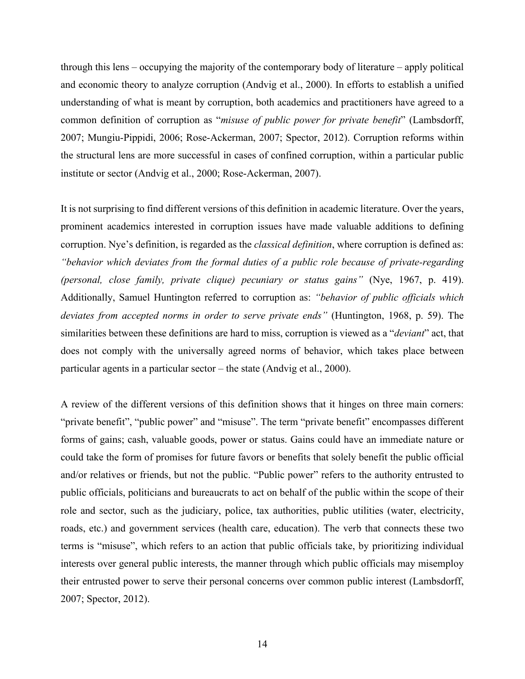through this lens – occupying the majority of the contemporary body of literature – apply political and economic theory to analyze corruption (Andvig et al., 2000). In efforts to establish a unified understanding of what is meant by corruption, both academics and practitioners have agreed to a common definition of corruption as "*misuse of public power for private benefit*" (Lambsdorff, 2007; Mungiu-Pippidi, 2006; Rose-Ackerman, 2007; Spector, 2012). Corruption reforms within the structural lens are more successful in cases of confined corruption, within a particular public institute or sector (Andvig et al., 2000; Rose-Ackerman, 2007).

It is not surprising to find different versions of this definition in academic literature. Over the years, prominent academics interested in corruption issues have made valuable additions to defining corruption. Nye's definition, is regarded as the *classical definition*, where corruption is defined as: *"behavior which deviates from the formal duties of a public role because of private-regarding (personal, close family, private clique) pecuniary or status gains"* (Nye, 1967, p. 419). Additionally, Samuel Huntington referred to corruption as: *"behavior of public officials which deviates from accepted norms in order to serve private ends"* (Huntington, 1968, p. 59). The similarities between these definitions are hard to miss, corruption is viewed as a "*deviant*" act, that does not comply with the universally agreed norms of behavior, which takes place between particular agents in a particular sector – the state (Andvig et al., 2000).

A review of the different versions of this definition shows that it hinges on three main corners: "private benefit", "public power" and "misuse". The term "private benefit" encompasses different forms of gains; cash, valuable goods, power or status. Gains could have an immediate nature or could take the form of promises for future favors or benefits that solely benefit the public official and/or relatives or friends, but not the public. "Public power" refers to the authority entrusted to public officials, politicians and bureaucrats to act on behalf of the public within the scope of their role and sector, such as the judiciary, police, tax authorities, public utilities (water, electricity, roads, etc.) and government services (health care, education). The verb that connects these two terms is "misuse", which refers to an action that public officials take, by prioritizing individual interests over general public interests, the manner through which public officials may misemploy their entrusted power to serve their personal concerns over common public interest (Lambsdorff, 2007; Spector, 2012).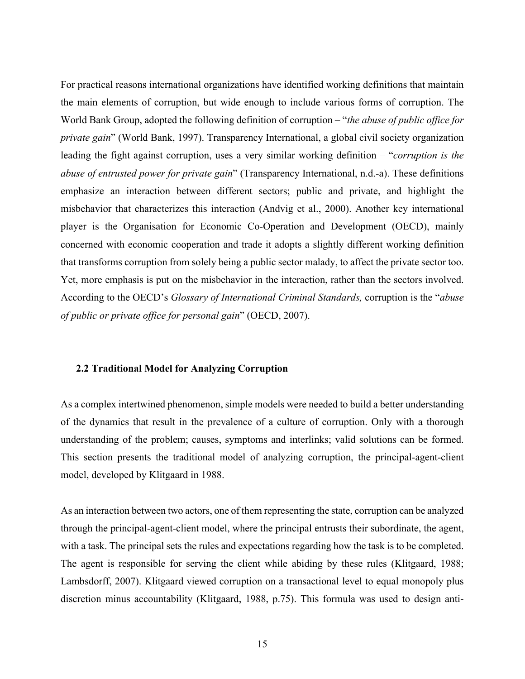For practical reasons international organizations have identified working definitions that maintain the main elements of corruption, but wide enough to include various forms of corruption. The World Bank Group, adopted the following definition of corruption – "*the abuse of public office for private gain*" (World Bank, 1997). Transparency International, a global civil society organization leading the fight against corruption, uses a very similar working definition – "*corruption is the abuse of entrusted power for private gain*" (Transparency International, n.d.-a). These definitions emphasize an interaction between different sectors; public and private, and highlight the misbehavior that characterizes this interaction (Andvig et al., 2000). Another key international player is the Organisation for Economic Co-Operation and Development (OECD), mainly concerned with economic cooperation and trade it adopts a slightly different working definition that transforms corruption from solely being a public sector malady, to affect the private sector too. Yet, more emphasis is put on the misbehavior in the interaction, rather than the sectors involved. According to the OECD's *Glossary of International Criminal Standards,* corruption is the "*abuse of public or private office for personal gain*" (OECD, 2007).

#### **2.2 Traditional Model for Analyzing Corruption**

As a complex intertwined phenomenon, simple models were needed to build a better understanding of the dynamics that result in the prevalence of a culture of corruption. Only with a thorough understanding of the problem; causes, symptoms and interlinks; valid solutions can be formed. This section presents the traditional model of analyzing corruption, the principal-agent-client model, developed by Klitgaard in 1988.

As an interaction between two actors, one of them representing the state, corruption can be analyzed through the principal-agent-client model, where the principal entrusts their subordinate, the agent, with a task. The principal sets the rules and expectations regarding how the task is to be completed. The agent is responsible for serving the client while abiding by these rules (Klitgaard, 1988; Lambsdorff, 2007). Klitgaard viewed corruption on a transactional level to equal monopoly plus discretion minus accountability (Klitgaard, 1988, p.75). This formula was used to design anti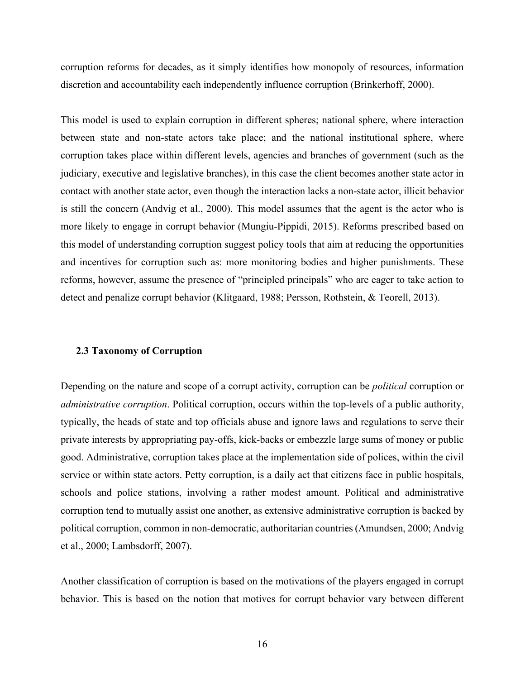corruption reforms for decades, as it simply identifies how monopoly of resources, information discretion and accountability each independently influence corruption (Brinkerhoff, 2000).

This model is used to explain corruption in different spheres; national sphere, where interaction between state and non-state actors take place; and the national institutional sphere, where corruption takes place within different levels, agencies and branches of government (such as the judiciary, executive and legislative branches), in this case the client becomes another state actor in contact with another state actor, even though the interaction lacks a non-state actor, illicit behavior is still the concern (Andvig et al., 2000). This model assumes that the agent is the actor who is more likely to engage in corrupt behavior (Mungiu-Pippidi, 2015). Reforms prescribed based on this model of understanding corruption suggest policy tools that aim at reducing the opportunities and incentives for corruption such as: more monitoring bodies and higher punishments. These reforms, however, assume the presence of "principled principals" who are eager to take action to detect and penalize corrupt behavior (Klitgaard, 1988; Persson, Rothstein, & Teorell, 2013).

#### **2.3 Taxonomy of Corruption**

Depending on the nature and scope of a corrupt activity, corruption can be *political* corruption or *administrative corruption*. Political corruption, occurs within the top-levels of a public authority, typically, the heads of state and top officials abuse and ignore laws and regulations to serve their private interests by appropriating pay-offs, kick-backs or embezzle large sums of money or public good. Administrative, corruption takes place at the implementation side of polices, within the civil service or within state actors. Petty corruption, is a daily act that citizens face in public hospitals, schools and police stations, involving a rather modest amount. Political and administrative corruption tend to mutually assist one another, as extensive administrative corruption is backed by political corruption, common in non-democratic, authoritarian countries (Amundsen, 2000; Andvig et al., 2000; Lambsdorff, 2007).

Another classification of corruption is based on the motivations of the players engaged in corrupt behavior. This is based on the notion that motives for corrupt behavior vary between different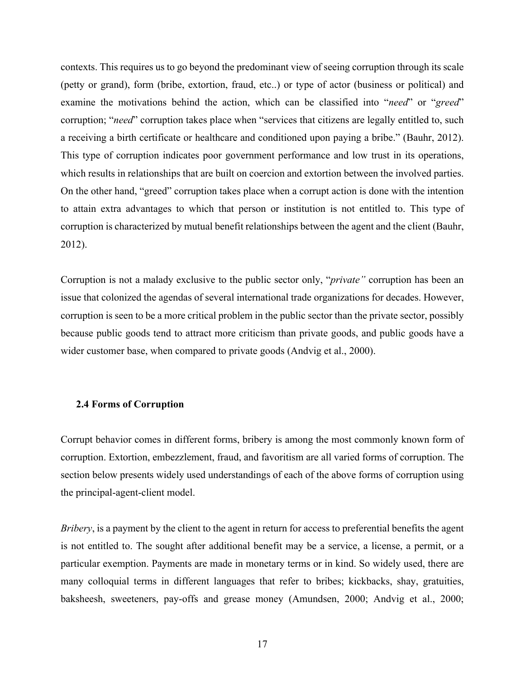contexts. This requires us to go beyond the predominant view of seeing corruption through its scale (petty or grand), form (bribe, extortion, fraud, etc..) or type of actor (business or political) and examine the motivations behind the action, which can be classified into "*need*" or "*greed*" corruption; "*need*" corruption takes place when "services that citizens are legally entitled to, such a receiving a birth certificate or healthcare and conditioned upon paying a bribe." (Bauhr, 2012). This type of corruption indicates poor government performance and low trust in its operations, which results in relationships that are built on coercion and extortion between the involved parties. On the other hand, "greed" corruption takes place when a corrupt action is done with the intention to attain extra advantages to which that person or institution is not entitled to. This type of corruption is characterized by mutual benefit relationships between the agent and the client (Bauhr, 2012).

Corruption is not a malady exclusive to the public sector only, "*private"* corruption has been an issue that colonized the agendas of several international trade organizations for decades. However, corruption is seen to be a more critical problem in the public sector than the private sector, possibly because public goods tend to attract more criticism than private goods, and public goods have a wider customer base, when compared to private goods (Andvig et al., 2000).

#### **2.4 Forms of Corruption**

Corrupt behavior comes in different forms, bribery is among the most commonly known form of corruption. Extortion, embezzlement, fraud, and favoritism are all varied forms of corruption. The section below presents widely used understandings of each of the above forms of corruption using the principal-agent-client model.

*Bribery*, is a payment by the client to the agent in return for access to preferential benefits the agent is not entitled to. The sought after additional benefit may be a service, a license, a permit, or a particular exemption. Payments are made in monetary terms or in kind. So widely used, there are many colloquial terms in different languages that refer to bribes; kickbacks, shay, gratuities, baksheesh, sweeteners, pay-offs and grease money (Amundsen, 2000; Andvig et al., 2000;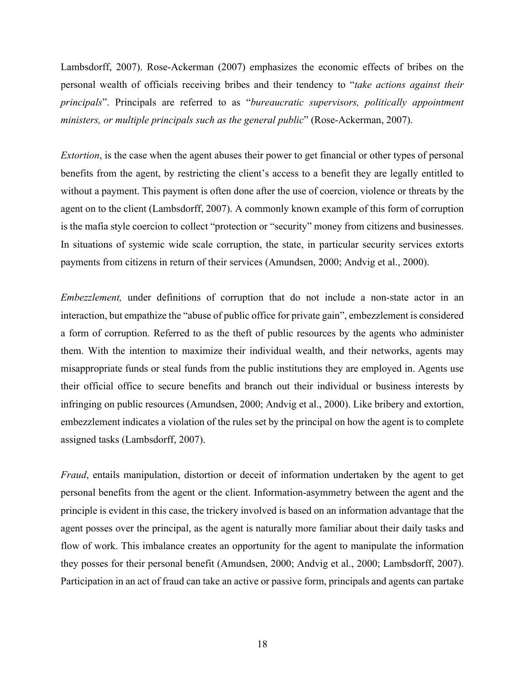Lambsdorff, 2007). Rose-Ackerman (2007) emphasizes the economic effects of bribes on the personal wealth of officials receiving bribes and their tendency to "*take actions against their principals*". Principals are referred to as "*bureaucratic supervisors, politically appointment ministers, or multiple principals such as the general public*" (Rose-Ackerman, 2007).

*Extortion*, is the case when the agent abuses their power to get financial or other types of personal benefits from the agent, by restricting the client's access to a benefit they are legally entitled to without a payment. This payment is often done after the use of coercion, violence or threats by the agent on to the client (Lambsdorff, 2007). A commonly known example of this form of corruption is the mafia style coercion to collect "protection or "security" money from citizens and businesses. In situations of systemic wide scale corruption, the state, in particular security services extorts payments from citizens in return of their services (Amundsen, 2000; Andvig et al., 2000).

*Embezzlement,* under definitions of corruption that do not include a non-state actor in an interaction, but empathize the "abuse of public office for private gain", embezzlement is considered a form of corruption. Referred to as the theft of public resources by the agents who administer them. With the intention to maximize their individual wealth, and their networks, agents may misappropriate funds or steal funds from the public institutions they are employed in. Agents use their official office to secure benefits and branch out their individual or business interests by infringing on public resources (Amundsen, 2000; Andvig et al., 2000). Like bribery and extortion, embezzlement indicates a violation of the rules set by the principal on how the agent is to complete assigned tasks (Lambsdorff, 2007).

*Fraud*, entails manipulation, distortion or deceit of information undertaken by the agent to get personal benefits from the agent or the client. Information-asymmetry between the agent and the principle is evident in this case, the trickery involved is based on an information advantage that the agent posses over the principal, as the agent is naturally more familiar about their daily tasks and flow of work. This imbalance creates an opportunity for the agent to manipulate the information they posses for their personal benefit (Amundsen, 2000; Andvig et al., 2000; Lambsdorff, 2007). Participation in an act of fraud can take an active or passive form, principals and agents can partake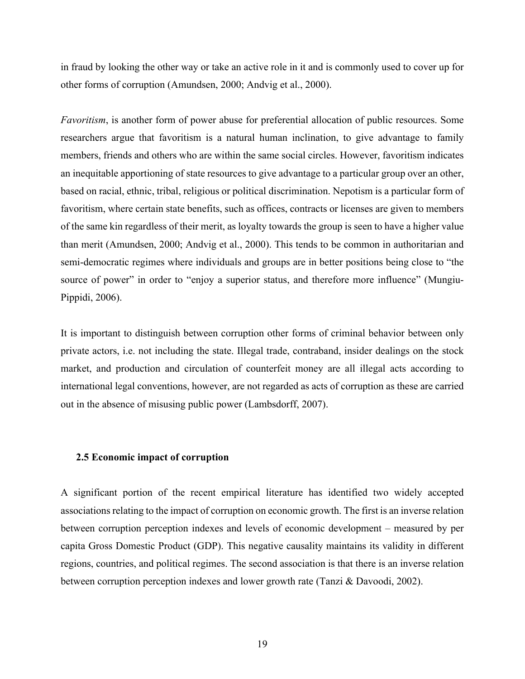in fraud by looking the other way or take an active role in it and is commonly used to cover up for other forms of corruption (Amundsen, 2000; Andvig et al., 2000).

*Favoritism*, is another form of power abuse for preferential allocation of public resources. Some researchers argue that favoritism is a natural human inclination, to give advantage to family members, friends and others who are within the same social circles. However, favoritism indicates an inequitable apportioning of state resources to give advantage to a particular group over an other, based on racial, ethnic, tribal, religious or political discrimination. Nepotism is a particular form of favoritism, where certain state benefits, such as offices, contracts or licenses are given to members of the same kin regardless of their merit, as loyalty towards the group is seen to have a higher value than merit (Amundsen, 2000; Andvig et al., 2000). This tends to be common in authoritarian and semi-democratic regimes where individuals and groups are in better positions being close to "the source of power" in order to "enjoy a superior status, and therefore more influence" (Mungiu-Pippidi, 2006).

It is important to distinguish between corruption other forms of criminal behavior between only private actors, i.e. not including the state. Illegal trade, contraband, insider dealings on the stock market, and production and circulation of counterfeit money are all illegal acts according to international legal conventions, however, are not regarded as acts of corruption as these are carried out in the absence of misusing public power (Lambsdorff, 2007).

#### **2.5 Economic impact of corruption**

A significant portion of the recent empirical literature has identified two widely accepted associations relating to the impact of corruption on economic growth. The first is an inverse relation between corruption perception indexes and levels of economic development – measured by per capita Gross Domestic Product (GDP). This negative causality maintains its validity in different regions, countries, and political regimes. The second association is that there is an inverse relation between corruption perception indexes and lower growth rate (Tanzi & Davoodi, 2002).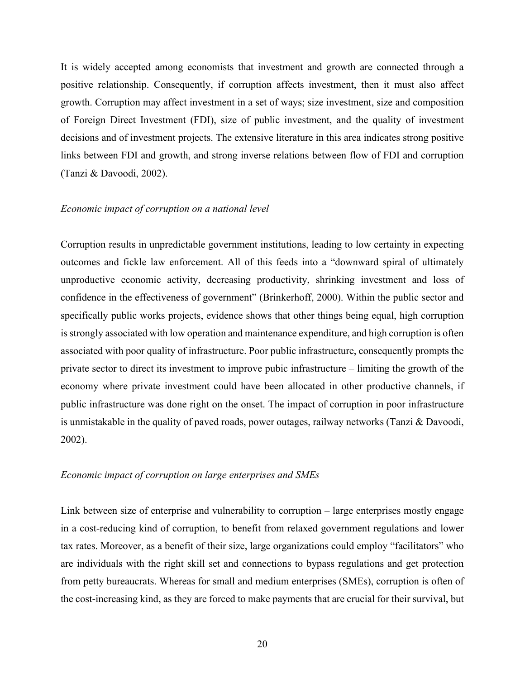It is widely accepted among economists that investment and growth are connected through a positive relationship. Consequently, if corruption affects investment, then it must also affect growth. Corruption may affect investment in a set of ways; size investment, size and composition of Foreign Direct Investment (FDI), size of public investment, and the quality of investment decisions and of investment projects. The extensive literature in this area indicates strong positive links between FDI and growth, and strong inverse relations between flow of FDI and corruption (Tanzi & Davoodi, 2002).

#### *Economic impact of corruption on a national level*

Corruption results in unpredictable government institutions, leading to low certainty in expecting outcomes and fickle law enforcement. All of this feeds into a "downward spiral of ultimately unproductive economic activity, decreasing productivity, shrinking investment and loss of confidence in the effectiveness of government" (Brinkerhoff, 2000). Within the public sector and specifically public works projects, evidence shows that other things being equal, high corruption is strongly associated with low operation and maintenance expenditure, and high corruption is often associated with poor quality of infrastructure. Poor public infrastructure, consequently prompts the private sector to direct its investment to improve pubic infrastructure – limiting the growth of the economy where private investment could have been allocated in other productive channels, if public infrastructure was done right on the onset. The impact of corruption in poor infrastructure is unmistakable in the quality of paved roads, power outages, railway networks (Tanzi & Davoodi, 2002).

#### *Economic impact of corruption on large enterprises and SMEs*

Link between size of enterprise and vulnerability to corruption – large enterprises mostly engage in a cost-reducing kind of corruption, to benefit from relaxed government regulations and lower tax rates. Moreover, as a benefit of their size, large organizations could employ "facilitators" who are individuals with the right skill set and connections to bypass regulations and get protection from petty bureaucrats. Whereas for small and medium enterprises (SMEs), corruption is often of the cost-increasing kind, as they are forced to make payments that are crucial for their survival, but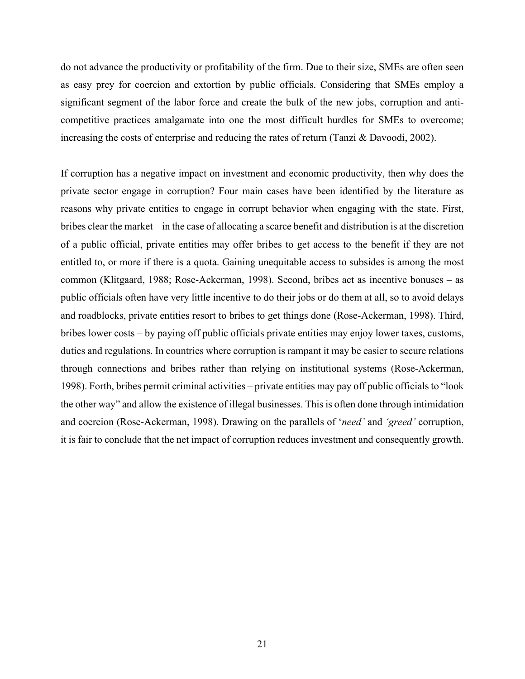do not advance the productivity or profitability of the firm. Due to their size, SMEs are often seen as easy prey for coercion and extortion by public officials. Considering that SMEs employ a significant segment of the labor force and create the bulk of the new jobs, corruption and anticompetitive practices amalgamate into one the most difficult hurdles for SMEs to overcome; increasing the costs of enterprise and reducing the rates of return (Tanzi & Davoodi, 2002).

If corruption has a negative impact on investment and economic productivity, then why does the private sector engage in corruption? Four main cases have been identified by the literature as reasons why private entities to engage in corrupt behavior when engaging with the state. First, bribes clear the market – in the case of allocating a scarce benefit and distribution is at the discretion of a public official, private entities may offer bribes to get access to the benefit if they are not entitled to, or more if there is a quota. Gaining unequitable access to subsides is among the most common (Klitgaard, 1988; Rose-Ackerman, 1998). Second, bribes act as incentive bonuses – as public officials often have very little incentive to do their jobs or do them at all, so to avoid delays and roadblocks, private entities resort to bribes to get things done (Rose-Ackerman, 1998). Third, bribes lower costs – by paying off public officials private entities may enjoy lower taxes, customs, duties and regulations. In countries where corruption is rampant it may be easier to secure relations through connections and bribes rather than relying on institutional systems (Rose-Ackerman, 1998). Forth, bribes permit criminal activities – private entities may pay off public officials to "look the other way" and allow the existence of illegal businesses. This is often done through intimidation and coercion (Rose-Ackerman, 1998). Drawing on the parallels of '*need'* and *'greed'* corruption, it is fair to conclude that the net impact of corruption reduces investment and consequently growth.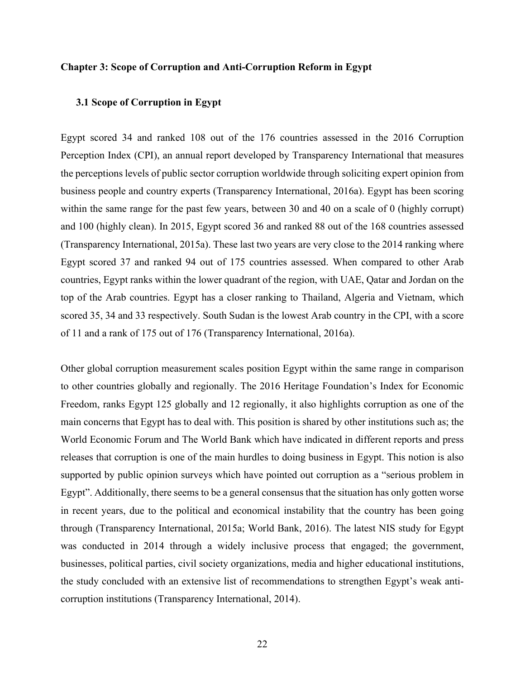#### **Chapter 3: Scope of Corruption and Anti-Corruption Reform in Egypt**

#### **3.1 Scope of Corruption in Egypt**

Egypt scored 34 and ranked 108 out of the 176 countries assessed in the 2016 Corruption Perception Index (CPI), an annual report developed by Transparency International that measures the perceptions levels of public sector corruption worldwide through soliciting expert opinion from business people and country experts (Transparency International, 2016a). Egypt has been scoring within the same range for the past few years, between 30 and 40 on a scale of 0 (highly corrupt) and 100 (highly clean). In 2015, Egypt scored 36 and ranked 88 out of the 168 countries assessed (Transparency International, 2015a). These last two years are very close to the 2014 ranking where Egypt scored 37 and ranked 94 out of 175 countries assessed. When compared to other Arab countries, Egypt ranks within the lower quadrant of the region, with UAE, Qatar and Jordan on the top of the Arab countries. Egypt has a closer ranking to Thailand, Algeria and Vietnam, which scored 35, 34 and 33 respectively. South Sudan is the lowest Arab country in the CPI, with a score of 11 and a rank of 175 out of 176 (Transparency International, 2016a).

Other global corruption measurement scales position Egypt within the same range in comparison to other countries globally and regionally. The 2016 Heritage Foundation's Index for Economic Freedom, ranks Egypt 125 globally and 12 regionally, it also highlights corruption as one of the main concerns that Egypt has to deal with. This position is shared by other institutions such as; the World Economic Forum and The World Bank which have indicated in different reports and press releases that corruption is one of the main hurdles to doing business in Egypt. This notion is also supported by public opinion surveys which have pointed out corruption as a "serious problem in Egypt". Additionally, there seems to be a general consensus that the situation has only gotten worse in recent years, due to the political and economical instability that the country has been going through (Transparency International, 2015a; World Bank, 2016). The latest NIS study for Egypt was conducted in 2014 through a widely inclusive process that engaged; the government, businesses, political parties, civil society organizations, media and higher educational institutions, the study concluded with an extensive list of recommendations to strengthen Egypt's weak anticorruption institutions (Transparency International, 2014).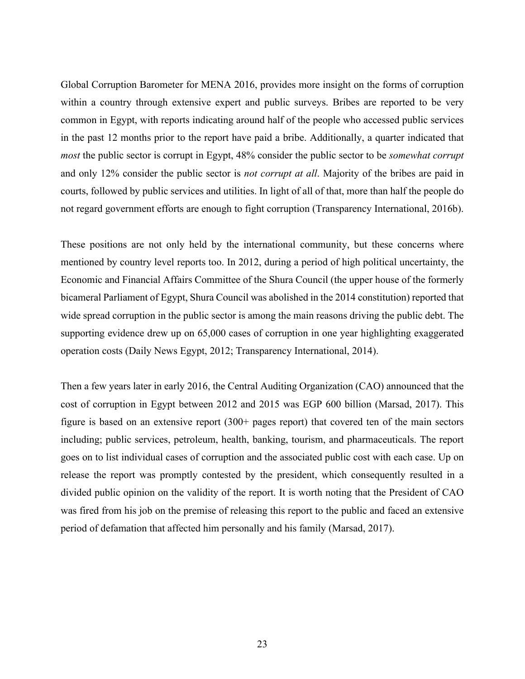Global Corruption Barometer for MENA 2016, provides more insight on the forms of corruption within a country through extensive expert and public surveys. Bribes are reported to be very common in Egypt, with reports indicating around half of the people who accessed public services in the past 12 months prior to the report have paid a bribe. Additionally, a quarter indicated that *most* the public sector is corrupt in Egypt, 48% consider the public sector to be *somewhat corrupt* and only 12% consider the public sector is *not corrupt at all*. Majority of the bribes are paid in courts, followed by public services and utilities. In light of all of that, more than half the people do not regard government efforts are enough to fight corruption (Transparency International, 2016b).

These positions are not only held by the international community, but these concerns where mentioned by country level reports too. In 2012, during a period of high political uncertainty, the Economic and Financial Affairs Committee of the Shura Council (the upper house of the formerly bicameral Parliament of Egypt, Shura Council was abolished in the 2014 constitution) reported that wide spread corruption in the public sector is among the main reasons driving the public debt. The supporting evidence drew up on 65,000 cases of corruption in one year highlighting exaggerated operation costs (Daily News Egypt, 2012; Transparency International, 2014).

Then a few years later in early 2016, the Central Auditing Organization (CAO) announced that the cost of corruption in Egypt between 2012 and 2015 was EGP 600 billion (Marsad, 2017). This figure is based on an extensive report (300+ pages report) that covered ten of the main sectors including; public services, petroleum, health, banking, tourism, and pharmaceuticals. The report goes on to list individual cases of corruption and the associated public cost with each case. Up on release the report was promptly contested by the president, which consequently resulted in a divided public opinion on the validity of the report. It is worth noting that the President of CAO was fired from his job on the premise of releasing this report to the public and faced an extensive period of defamation that affected him personally and his family (Marsad, 2017).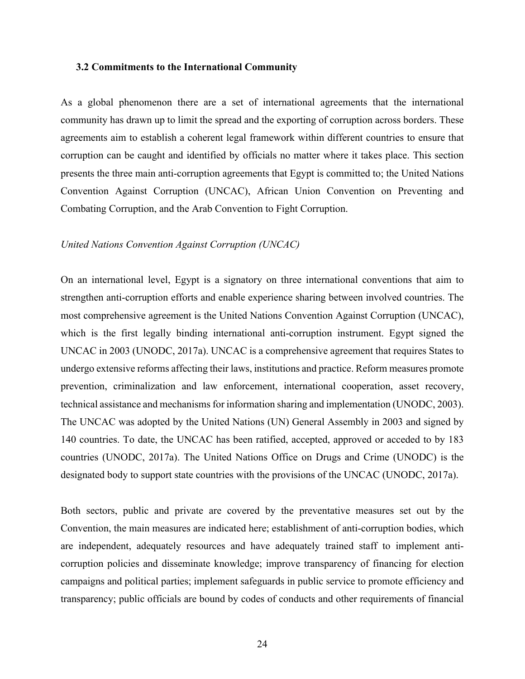#### **3.2 Commitments to the International Community**

As a global phenomenon there are a set of international agreements that the international community has drawn up to limit the spread and the exporting of corruption across borders. These agreements aim to establish a coherent legal framework within different countries to ensure that corruption can be caught and identified by officials no matter where it takes place. This section presents the three main anti-corruption agreements that Egypt is committed to; the United Nations Convention Against Corruption (UNCAC), African Union Convention on Preventing and Combating Corruption, and the Arab Convention to Fight Corruption.

#### *United Nations Convention Against Corruption (UNCAC)*

On an international level, Egypt is a signatory on three international conventions that aim to strengthen anti-corruption efforts and enable experience sharing between involved countries. The most comprehensive agreement is the United Nations Convention Against Corruption (UNCAC), which is the first legally binding international anti-corruption instrument. Egypt signed the UNCAC in 2003 (UNODC, 2017a). UNCAC is a comprehensive agreement that requires States to undergo extensive reforms affecting their laws, institutions and practice. Reform measures promote prevention, criminalization and law enforcement, international cooperation, asset recovery, technical assistance and mechanisms for information sharing and implementation (UNODC, 2003). The UNCAC was adopted by the United Nations (UN) General Assembly in 2003 and signed by 140 countries. To date, the UNCAC has been ratified, accepted, approved or acceded to by 183 countries (UNODC, 2017a). The United Nations Office on Drugs and Crime (UNODC) is the designated body to support state countries with the provisions of the UNCAC (UNODC, 2017a).

Both sectors, public and private are covered by the preventative measures set out by the Convention, the main measures are indicated here; establishment of anti-corruption bodies, which are independent, adequately resources and have adequately trained staff to implement anticorruption policies and disseminate knowledge; improve transparency of financing for election campaigns and political parties; implement safeguards in public service to promote efficiency and transparency; public officials are bound by codes of conducts and other requirements of financial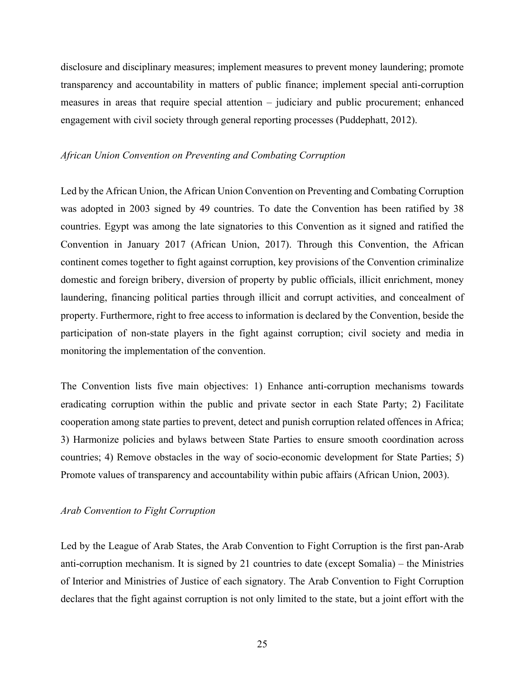disclosure and disciplinary measures; implement measures to prevent money laundering; promote transparency and accountability in matters of public finance; implement special anti-corruption measures in areas that require special attention – judiciary and public procurement; enhanced engagement with civil society through general reporting processes (Puddephatt, 2012).

## *African Union Convention on Preventing and Combating Corruption*

Led by the African Union, the African Union Convention on Preventing and Combating Corruption was adopted in 2003 signed by 49 countries. To date the Convention has been ratified by 38 countries. Egypt was among the late signatories to this Convention as it signed and ratified the Convention in January 2017 (African Union, 2017). Through this Convention, the African continent comes together to fight against corruption, key provisions of the Convention criminalize domestic and foreign bribery, diversion of property by public officials, illicit enrichment, money laundering, financing political parties through illicit and corrupt activities, and concealment of property. Furthermore, right to free access to information is declared by the Convention, beside the participation of non-state players in the fight against corruption; civil society and media in monitoring the implementation of the convention.

The Convention lists five main objectives: 1) Enhance anti-corruption mechanisms towards eradicating corruption within the public and private sector in each State Party; 2) Facilitate cooperation among state parties to prevent, detect and punish corruption related offences in Africa; 3) Harmonize policies and bylaws between State Parties to ensure smooth coordination across countries; 4) Remove obstacles in the way of socio-economic development for State Parties; 5) Promote values of transparency and accountability within pubic affairs (African Union, 2003).

## *Arab Convention to Fight Corruption*

Led by the League of Arab States, the Arab Convention to Fight Corruption is the first pan-Arab anti-corruption mechanism. It is signed by 21 countries to date (except Somalia) – the Ministries of Interior and Ministries of Justice of each signatory. The Arab Convention to Fight Corruption declares that the fight against corruption is not only limited to the state, but a joint effort with the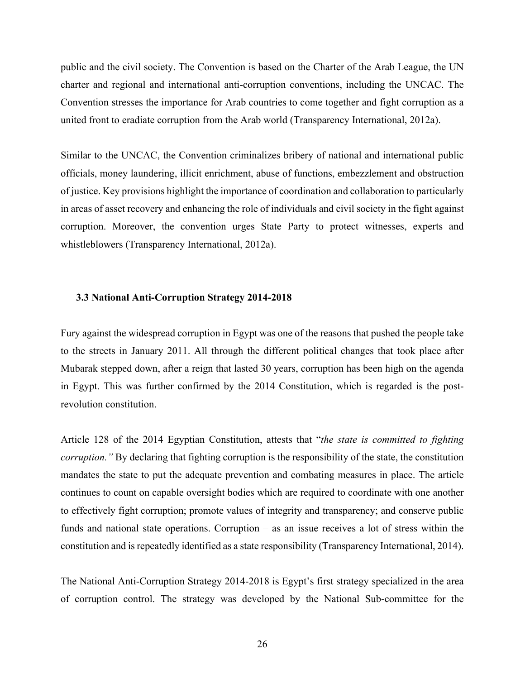public and the civil society. The Convention is based on the Charter of the Arab League, the UN charter and regional and international anti-corruption conventions, including the UNCAC. The Convention stresses the importance for Arab countries to come together and fight corruption as a united front to eradiate corruption from the Arab world (Transparency International, 2012a).

Similar to the UNCAC, the Convention criminalizes bribery of national and international public officials, money laundering, illicit enrichment, abuse of functions, embezzlement and obstruction of justice. Key provisions highlight the importance of coordination and collaboration to particularly in areas of asset recovery and enhancing the role of individuals and civil society in the fight against corruption. Moreover, the convention urges State Party to protect witnesses, experts and whistleblowers (Transparency International, 2012a).

#### **3.3 National Anti-Corruption Strategy 2014-2018**

Fury against the widespread corruption in Egypt was one of the reasons that pushed the people take to the streets in January 2011. All through the different political changes that took place after Mubarak stepped down, after a reign that lasted 30 years, corruption has been high on the agenda in Egypt. This was further confirmed by the 2014 Constitution, which is regarded is the postrevolution constitution.

Article 128 of the 2014 Egyptian Constitution, attests that "*the state is committed to fighting corruption."* By declaring that fighting corruption is the responsibility of the state, the constitution mandates the state to put the adequate prevention and combating measures in place. The article continues to count on capable oversight bodies which are required to coordinate with one another to effectively fight corruption; promote values of integrity and transparency; and conserve public funds and national state operations. Corruption – as an issue receives a lot of stress within the constitution and is repeatedly identified as a state responsibility (Transparency International, 2014).

The National Anti-Corruption Strategy 2014-2018 is Egypt's first strategy specialized in the area of corruption control. The strategy was developed by the National Sub-committee for the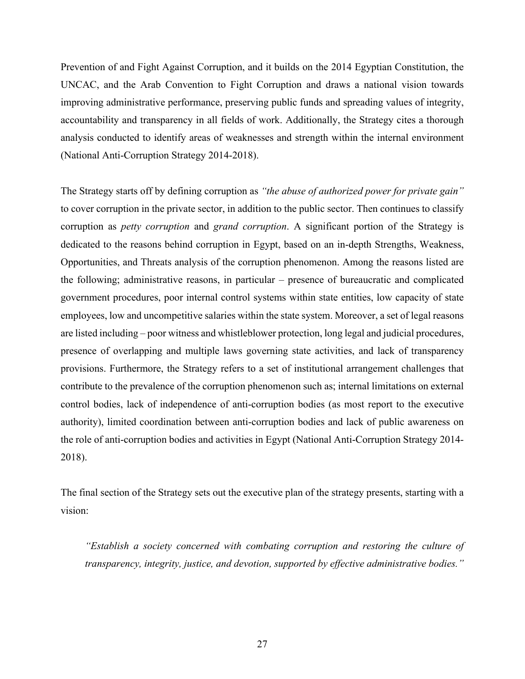Prevention of and Fight Against Corruption, and it builds on the 2014 Egyptian Constitution, the UNCAC, and the Arab Convention to Fight Corruption and draws a national vision towards improving administrative performance, preserving public funds and spreading values of integrity, accountability and transparency in all fields of work. Additionally, the Strategy cites a thorough analysis conducted to identify areas of weaknesses and strength within the internal environment (National Anti-Corruption Strategy 2014-2018).

The Strategy starts off by defining corruption as *"the abuse of authorized power for private gain"* to cover corruption in the private sector, in addition to the public sector. Then continues to classify corruption as *petty corruption* and *grand corruption*. A significant portion of the Strategy is dedicated to the reasons behind corruption in Egypt, based on an in-depth Strengths, Weakness, Opportunities, and Threats analysis of the corruption phenomenon. Among the reasons listed are the following; administrative reasons, in particular – presence of bureaucratic and complicated government procedures, poor internal control systems within state entities, low capacity of state employees, low and uncompetitive salaries within the state system. Moreover, a set of legal reasons are listed including – poor witness and whistleblower protection, long legal and judicial procedures, presence of overlapping and multiple laws governing state activities, and lack of transparency provisions. Furthermore, the Strategy refers to a set of institutional arrangement challenges that contribute to the prevalence of the corruption phenomenon such as; internal limitations on external control bodies, lack of independence of anti-corruption bodies (as most report to the executive authority), limited coordination between anti-corruption bodies and lack of public awareness on the role of anti-corruption bodies and activities in Egypt (National Anti-Corruption Strategy 2014- 2018).

The final section of the Strategy sets out the executive plan of the strategy presents, starting with a vision:

*"Establish a society concerned with combating corruption and restoring the culture of transparency, integrity, justice, and devotion, supported by effective administrative bodies."*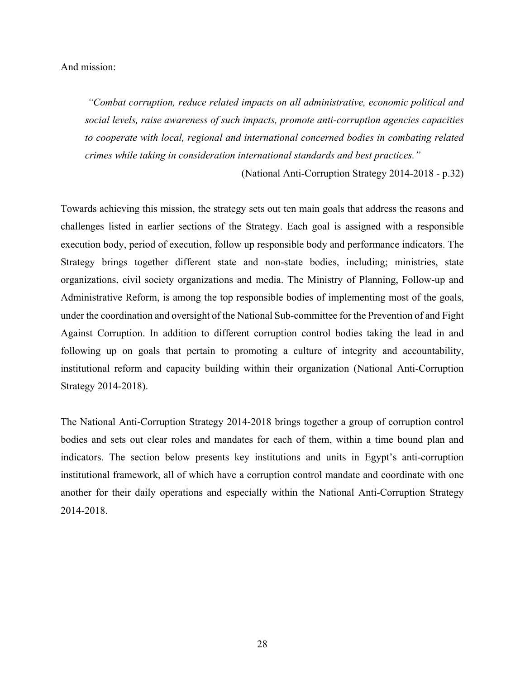#### And mission:

*"Combat corruption, reduce related impacts on all administrative, economic political and social levels, raise awareness of such impacts, promote anti-corruption agencies capacities to cooperate with local, regional and international concerned bodies in combating related crimes while taking in consideration international standards and best practices."*

(National Anti-Corruption Strategy 2014-2018 - p.32)

Towards achieving this mission, the strategy sets out ten main goals that address the reasons and challenges listed in earlier sections of the Strategy. Each goal is assigned with a responsible execution body, period of execution, follow up responsible body and performance indicators. The Strategy brings together different state and non-state bodies, including; ministries, state organizations, civil society organizations and media. The Ministry of Planning, Follow-up and Administrative Reform, is among the top responsible bodies of implementing most of the goals, under the coordination and oversight of the National Sub-committee for the Prevention of and Fight Against Corruption. In addition to different corruption control bodies taking the lead in and following up on goals that pertain to promoting a culture of integrity and accountability, institutional reform and capacity building within their organization (National Anti-Corruption Strategy 2014-2018).

The National Anti-Corruption Strategy 2014-2018 brings together a group of corruption control bodies and sets out clear roles and mandates for each of them, within a time bound plan and indicators. The section below presents key institutions and units in Egypt's anti-corruption institutional framework, all of which have a corruption control mandate and coordinate with one another for their daily operations and especially within the National Anti-Corruption Strategy 2014-2018.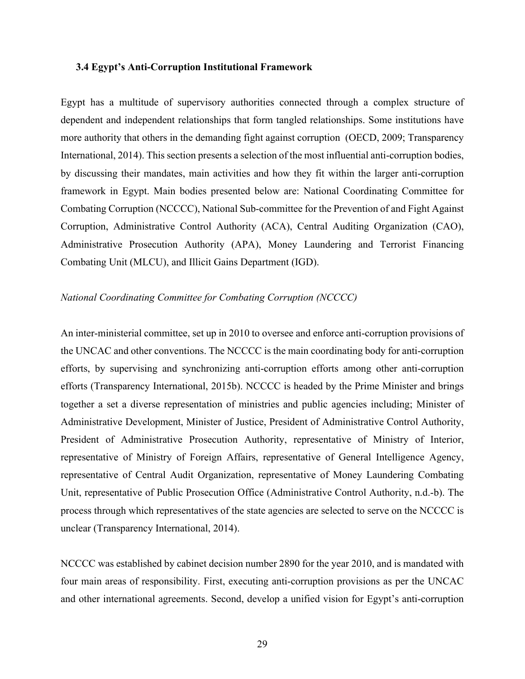#### **3.4 Egypt's Anti-Corruption Institutional Framework**

Egypt has a multitude of supervisory authorities connected through a complex structure of dependent and independent relationships that form tangled relationships. Some institutions have more authority that others in the demanding fight against corruption (OECD, 2009; Transparency International, 2014). This section presents a selection of the most influential anti-corruption bodies, by discussing their mandates, main activities and how they fit within the larger anti-corruption framework in Egypt. Main bodies presented below are: National Coordinating Committee for Combating Corruption (NCCCC), National Sub-committee for the Prevention of and Fight Against Corruption, Administrative Control Authority (ACA), Central Auditing Organization (CAO), Administrative Prosecution Authority (APA), Money Laundering and Terrorist Financing Combating Unit (MLCU), and Illicit Gains Department (IGD).

## *National Coordinating Committee for Combating Corruption (NCCCC)*

An inter-ministerial committee, set up in 2010 to oversee and enforce anti-corruption provisions of the UNCAC and other conventions. The NCCCC is the main coordinating body for anti-corruption efforts, by supervising and synchronizing anti-corruption efforts among other anti-corruption efforts (Transparency International, 2015b). NCCCC is headed by the Prime Minister and brings together a set a diverse representation of ministries and public agencies including; Minister of Administrative Development, Minister of Justice, President of Administrative Control Authority, President of Administrative Prosecution Authority, representative of Ministry of Interior, representative of Ministry of Foreign Affairs, representative of General Intelligence Agency, representative of Central Audit Organization, representative of Money Laundering Combating Unit, representative of Public Prosecution Office (Administrative Control Authority, n.d.-b). The process through which representatives of the state agencies are selected to serve on the NCCCC is unclear (Transparency International, 2014).

NCCCC was established by cabinet decision number 2890 for the year 2010, and is mandated with four main areas of responsibility. First, executing anti-corruption provisions as per the UNCAC and other international agreements. Second, develop a unified vision for Egypt's anti-corruption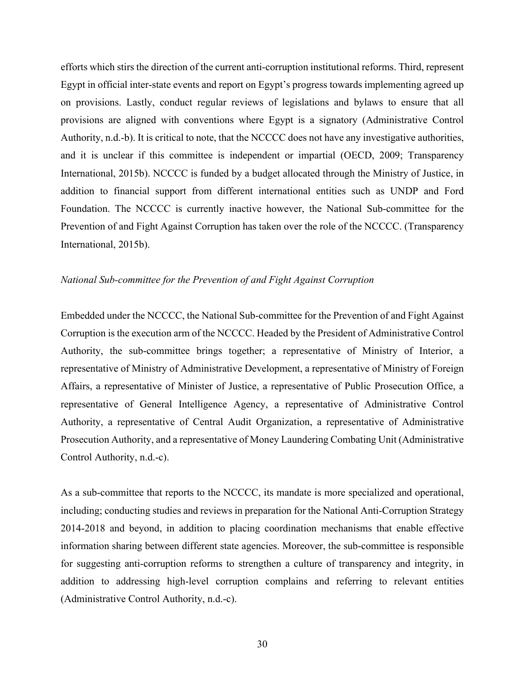efforts which stirs the direction of the current anti-corruption institutional reforms. Third, represent Egypt in official inter-state events and report on Egypt's progress towards implementing agreed up on provisions. Lastly, conduct regular reviews of legislations and bylaws to ensure that all provisions are aligned with conventions where Egypt is a signatory (Administrative Control Authority, n.d.-b). It is critical to note, that the NCCCC does not have any investigative authorities, and it is unclear if this committee is independent or impartial (OECD, 2009; Transparency International, 2015b). NCCCC is funded by a budget allocated through the Ministry of Justice, in addition to financial support from different international entities such as UNDP and Ford Foundation. The NCCCC is currently inactive however, the National Sub-committee for the Prevention of and Fight Against Corruption has taken over the role of the NCCCC. (Transparency International, 2015b).

# *National Sub-committee for the Prevention of and Fight Against Corruption*

Embedded under the NCCCC, the National Sub-committee for the Prevention of and Fight Against Corruption is the execution arm of the NCCCC. Headed by the President of Administrative Control Authority, the sub-committee brings together; a representative of Ministry of Interior, a representative of Ministry of Administrative Development, a representative of Ministry of Foreign Affairs, a representative of Minister of Justice, a representative of Public Prosecution Office, a representative of General Intelligence Agency, a representative of Administrative Control Authority, a representative of Central Audit Organization, a representative of Administrative Prosecution Authority, and a representative of Money Laundering Combating Unit (Administrative Control Authority, n.d.-c).

As a sub-committee that reports to the NCCCC, its mandate is more specialized and operational, including; conducting studies and reviews in preparation for the National Anti-Corruption Strategy 2014-2018 and beyond, in addition to placing coordination mechanisms that enable effective information sharing between different state agencies. Moreover, the sub-committee is responsible for suggesting anti-corruption reforms to strengthen a culture of transparency and integrity, in addition to addressing high-level corruption complains and referring to relevant entities (Administrative Control Authority, n.d.-c).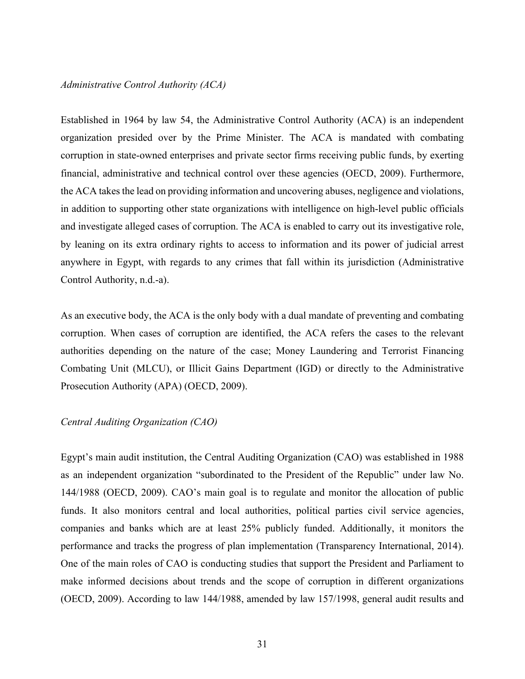#### *Administrative Control Authority (ACA)*

Established in 1964 by law 54, the Administrative Control Authority (ACA) is an independent organization presided over by the Prime Minister. The ACA is mandated with combating corruption in state-owned enterprises and private sector firms receiving public funds, by exerting financial, administrative and technical control over these agencies (OECD, 2009). Furthermore, the ACA takes the lead on providing information and uncovering abuses, negligence and violations, in addition to supporting other state organizations with intelligence on high-level public officials and investigate alleged cases of corruption. The ACA is enabled to carry out its investigative role, by leaning on its extra ordinary rights to access to information and its power of judicial arrest anywhere in Egypt, with regards to any crimes that fall within its jurisdiction (Administrative Control Authority, n.d.-a).

As an executive body, the ACA is the only body with a dual mandate of preventing and combating corruption. When cases of corruption are identified, the ACA refers the cases to the relevant authorities depending on the nature of the case; Money Laundering and Terrorist Financing Combating Unit (MLCU), or Illicit Gains Department (IGD) or directly to the Administrative Prosecution Authority (APA) (OECD, 2009).

#### *Central Auditing Organization (CAO)*

Egypt's main audit institution, the Central Auditing Organization (CAO) was established in 1988 as an independent organization "subordinated to the President of the Republic" under law No. 144/1988 (OECD, 2009). CAO's main goal is to regulate and monitor the allocation of public funds. It also monitors central and local authorities, political parties civil service agencies, companies and banks which are at least 25% publicly funded. Additionally, it monitors the performance and tracks the progress of plan implementation (Transparency International, 2014). One of the main roles of CAO is conducting studies that support the President and Parliament to make informed decisions about trends and the scope of corruption in different organizations (OECD, 2009). According to law 144/1988, amended by law 157/1998, general audit results and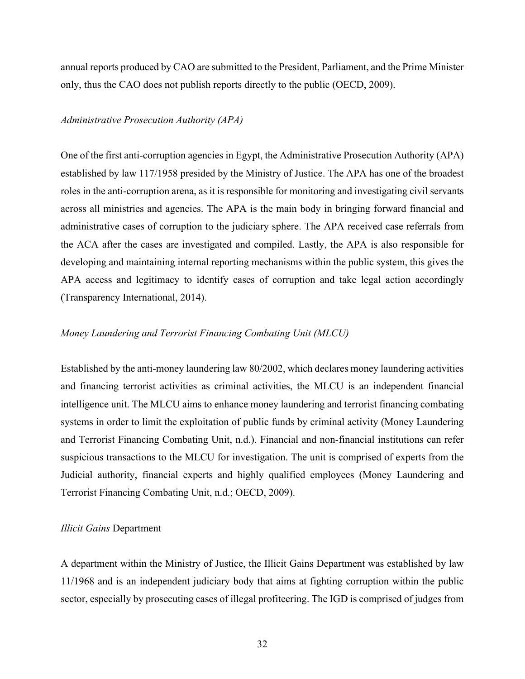annual reports produced by CAO are submitted to the President, Parliament, and the Prime Minister only, thus the CAO does not publish reports directly to the public (OECD, 2009).

### *Administrative Prosecution Authority (APA)*

One of the first anti-corruption agencies in Egypt, the Administrative Prosecution Authority (APA) established by law 117/1958 presided by the Ministry of Justice. The APA has one of the broadest roles in the anti-corruption arena, as it is responsible for monitoring and investigating civil servants across all ministries and agencies. The APA is the main body in bringing forward financial and administrative cases of corruption to the judiciary sphere. The APA received case referrals from the ACA after the cases are investigated and compiled. Lastly, the APA is also responsible for developing and maintaining internal reporting mechanisms within the public system, this gives the APA access and legitimacy to identify cases of corruption and take legal action accordingly (Transparency International, 2014).

### *Money Laundering and Terrorist Financing Combating Unit (MLCU)*

Established by the anti-money laundering law 80/2002, which declares money laundering activities and financing terrorist activities as criminal activities, the MLCU is an independent financial intelligence unit. The MLCU aims to enhance money laundering and terrorist financing combating systems in order to limit the exploitation of public funds by criminal activity (Money Laundering and Terrorist Financing Combating Unit, n.d.). Financial and non-financial institutions can refer suspicious transactions to the MLCU for investigation. The unit is comprised of experts from the Judicial authority, financial experts and highly qualified employees (Money Laundering and Terrorist Financing Combating Unit, n.d.; OECD, 2009).

### *Illicit Gains* Department

A department within the Ministry of Justice, the Illicit Gains Department was established by law 11/1968 and is an independent judiciary body that aims at fighting corruption within the public sector, especially by prosecuting cases of illegal profiteering. The IGD is comprised of judges from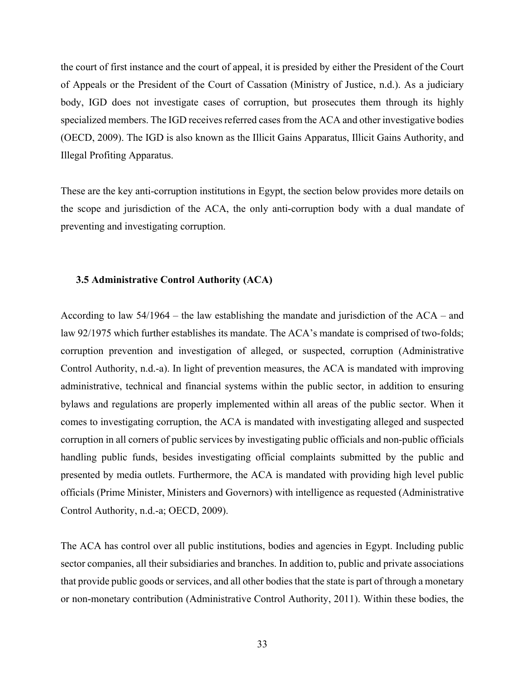the court of first instance and the court of appeal, it is presided by either the President of the Court of Appeals or the President of the Court of Cassation (Ministry of Justice, n.d.). As a judiciary body, IGD does not investigate cases of corruption, but prosecutes them through its highly specialized members. The IGD receives referred cases from the ACA and other investigative bodies (OECD, 2009). The IGD is also known as the Illicit Gains Apparatus, Illicit Gains Authority, and Illegal Profiting Apparatus.

These are the key anti-corruption institutions in Egypt, the section below provides more details on the scope and jurisdiction of the ACA, the only anti-corruption body with a dual mandate of preventing and investigating corruption.

### **3.5 Administrative Control Authority (ACA)**

According to law 54/1964 – the law establishing the mandate and jurisdiction of the ACA – and law 92/1975 which further establishes its mandate. The ACA's mandate is comprised of two-folds; corruption prevention and investigation of alleged, or suspected, corruption (Administrative Control Authority, n.d.-a). In light of prevention measures, the ACA is mandated with improving administrative, technical and financial systems within the public sector, in addition to ensuring bylaws and regulations are properly implemented within all areas of the public sector. When it comes to investigating corruption, the ACA is mandated with investigating alleged and suspected corruption in all corners of public services by investigating public officials and non-public officials handling public funds, besides investigating official complaints submitted by the public and presented by media outlets. Furthermore, the ACA is mandated with providing high level public officials (Prime Minister, Ministers and Governors) with intelligence as requested (Administrative Control Authority, n.d.-a; OECD, 2009).

The ACA has control over all public institutions, bodies and agencies in Egypt. Including public sector companies, all their subsidiaries and branches. In addition to, public and private associations that provide public goods or services, and all other bodies that the state is part of through a monetary or non-monetary contribution (Administrative Control Authority, 2011). Within these bodies, the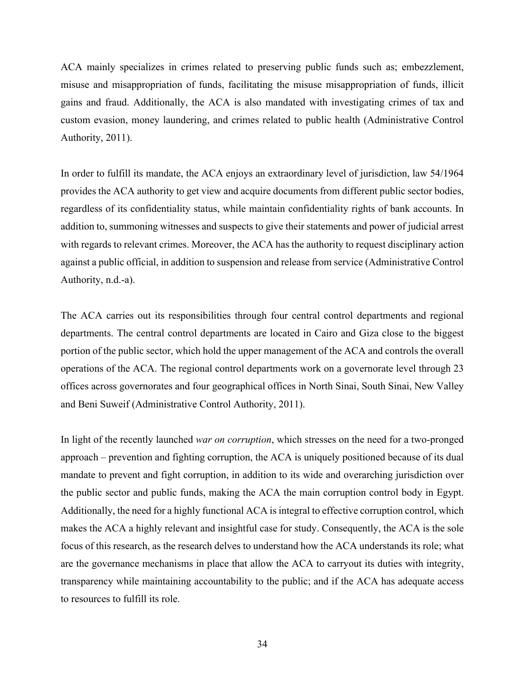ACA mainly specializes in crimes related to preserving public funds such as; embezzlement, misuse and misappropriation of funds, facilitating the misuse misappropriation of funds, illicit gains and fraud. Additionally, the ACA is also mandated with investigating crimes of tax and custom evasion, money laundering, and crimes related to public health (Administrative Control Authority, 2011).

In order to fulfill its mandate, the ACA enjoys an extraordinary level of jurisdiction, law 54/1964 provides the ACA authority to get view and acquire documents from different public sector bodies, regardless of its confidentiality status, while maintain confidentiality rights of bank accounts. In addition to, summoning witnesses and suspects to give their statements and power of judicial arrest with regards to relevant crimes. Moreover, the ACA has the authority to request disciplinary action against a public official, in addition to suspension and release from service (Administrative Control Authority, n.d.-a).

The ACA carries out its responsibilities through four central control departments and regional departments. The central control departments are located in Cairo and Giza close to the biggest portion of the public sector, which hold the upper management of the ACA and controls the overall operations of the ACA. The regional control departments work on a governorate level through 23 offices across governorates and four geographical offices in North Sinai, South Sinai, New Valley and Beni Suweif (Administrative Control Authority, 2011).

In light of the recently launched *war on corruption*, which stresses on the need for a two-pronged approach – prevention and fighting corruption, the ACA is uniquely positioned because of its dual mandate to prevent and fight corruption, in addition to its wide and overarching jurisdiction over the public sector and public funds, making the ACA the main corruption control body in Egypt. Additionally, the need for a highly functional ACA is integral to effective corruption control, which makes the ACA a highly relevant and insightful case for study. Consequently, the ACA is the sole focus of this research, as the research delves to understand how the ACA understands its role; what are the governance mechanisms in place that allow the ACA to carryout its duties with integrity, transparency while maintaining accountability to the public; and if the ACA has adequate access to resources to fulfill its role.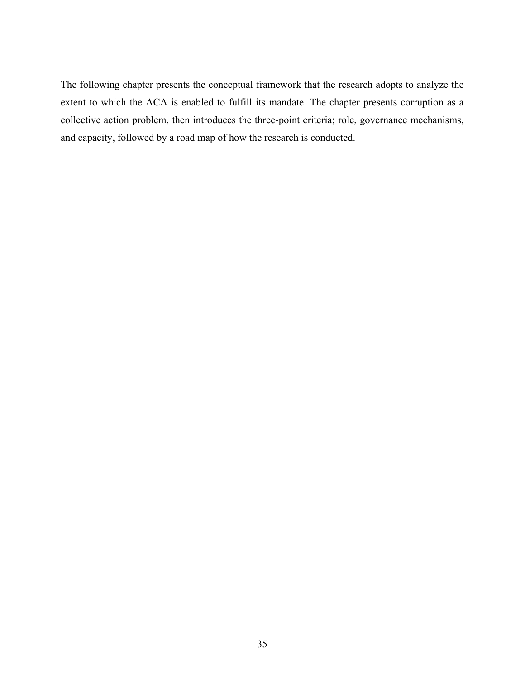The following chapter presents the conceptual framework that the research adopts to analyze the extent to which the ACA is enabled to fulfill its mandate. The chapter presents corruption as a collective action problem, then introduces the three-point criteria; role, governance mechanisms, and capacity, followed by a road map of how the research is conducted.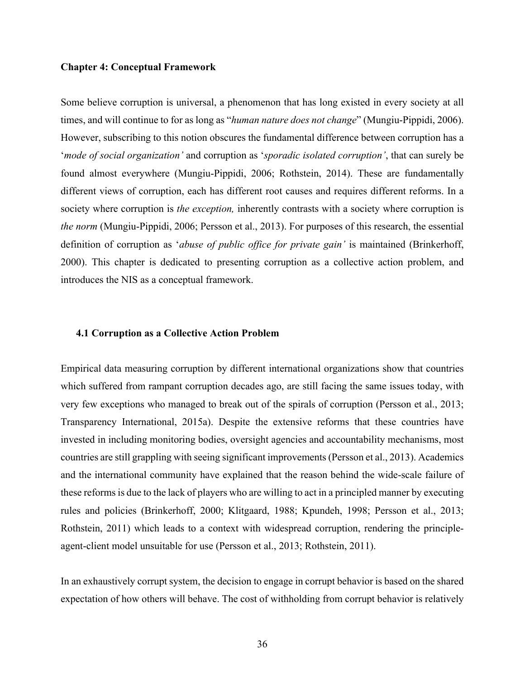## **Chapter 4: Conceptual Framework**

Some believe corruption is universal, a phenomenon that has long existed in every society at all times, and will continue to for as long as "*human nature does not change*" (Mungiu-Pippidi, 2006). However, subscribing to this notion obscures the fundamental difference between corruption has a '*mode of social organization'* and corruption as '*sporadic isolated corruption'*, that can surely be found almost everywhere (Mungiu-Pippidi, 2006; Rothstein, 2014). These are fundamentally different views of corruption, each has different root causes and requires different reforms. In a society where corruption is *the exception,* inherently contrasts with a society where corruption is *the norm* (Mungiu-Pippidi, 2006; Persson et al., 2013). For purposes of this research, the essential definition of corruption as '*abuse of public office for private gain'* is maintained (Brinkerhoff, 2000). This chapter is dedicated to presenting corruption as a collective action problem, and introduces the NIS as a conceptual framework.

### **4.1 Corruption as a Collective Action Problem**

Empirical data measuring corruption by different international organizations show that countries which suffered from rampant corruption decades ago, are still facing the same issues today, with very few exceptions who managed to break out of the spirals of corruption (Persson et al., 2013; Transparency International, 2015a). Despite the extensive reforms that these countries have invested in including monitoring bodies, oversight agencies and accountability mechanisms, most countries are still grappling with seeing significant improvements(Persson et al., 2013). Academics and the international community have explained that the reason behind the wide-scale failure of these reforms is due to the lack of players who are willing to act in a principled manner by executing rules and policies (Brinkerhoff, 2000; Klitgaard, 1988; Kpundeh, 1998; Persson et al., 2013; Rothstein, 2011) which leads to a context with widespread corruption, rendering the principleagent-client model unsuitable for use (Persson et al., 2013; Rothstein, 2011).

In an exhaustively corrupt system, the decision to engage in corrupt behavior is based on the shared expectation of how others will behave. The cost of withholding from corrupt behavior is relatively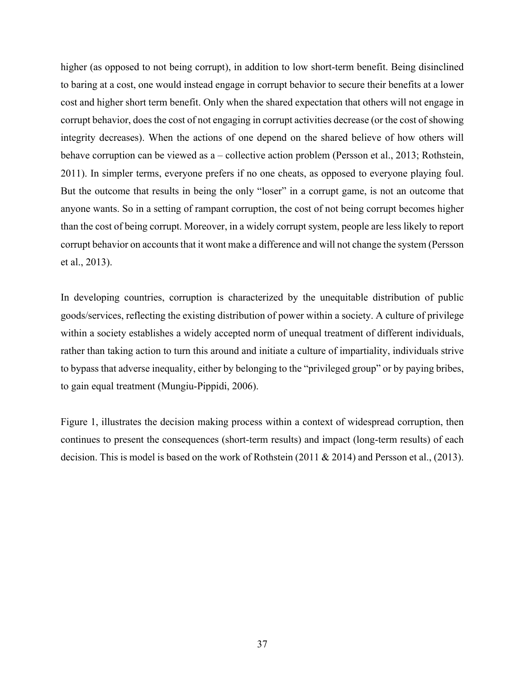higher (as opposed to not being corrupt), in addition to low short-term benefit. Being disinclined to baring at a cost, one would instead engage in corrupt behavior to secure their benefits at a lower cost and higher short term benefit. Only when the shared expectation that others will not engage in corrupt behavior, does the cost of not engaging in corrupt activities decrease (or the cost of showing integrity decreases). When the actions of one depend on the shared believe of how others will behave corruption can be viewed as a – collective action problem (Persson et al., 2013; Rothstein, 2011). In simpler terms, everyone prefers if no one cheats, as opposed to everyone playing foul. But the outcome that results in being the only "loser" in a corrupt game, is not an outcome that anyone wants. So in a setting of rampant corruption, the cost of not being corrupt becomes higher than the cost of being corrupt. Moreover, in a widely corrupt system, people are less likely to report corrupt behavior on accounts that it wont make a difference and will not change the system (Persson et al., 2013).

In developing countries, corruption is characterized by the unequitable distribution of public goods/services, reflecting the existing distribution of power within a society. A culture of privilege within a society establishes a widely accepted norm of unequal treatment of different individuals, rather than taking action to turn this around and initiate a culture of impartiality, individuals strive to bypass that adverse inequality, either by belonging to the "privileged group" or by paying bribes, to gain equal treatment (Mungiu-Pippidi, 2006).

Figure 1, illustrates the decision making process within a context of widespread corruption, then continues to present the consequences (short-term results) and impact (long-term results) of each decision. This is model is based on the work of Rothstein (2011 & 2014) and Persson et al., (2013).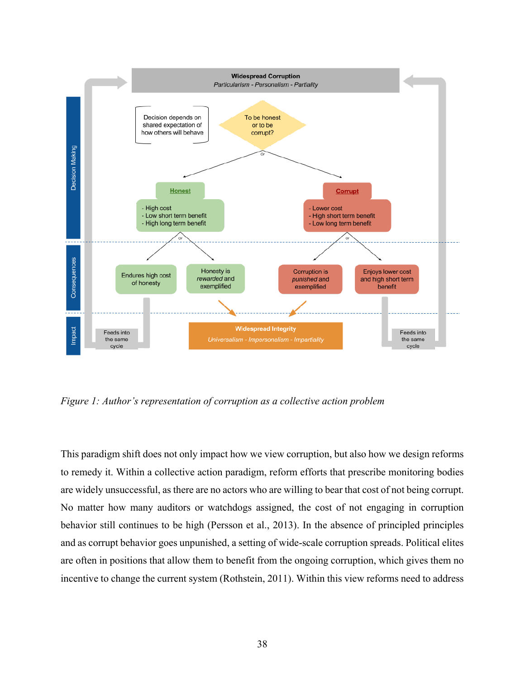

*Figure 1: Author's representation of corruption as a collective action problem*

This paradigm shift does not only impact how we view corruption, but also how we design reforms to remedy it. Within a collective action paradigm, reform efforts that prescribe monitoring bodies are widely unsuccessful, as there are no actors who are willing to bear that cost of not being corrupt. No matter how many auditors or watchdogs assigned, the cost of not engaging in corruption behavior still continues to be high (Persson et al., 2013). In the absence of principled principles and as corrupt behavior goes unpunished, a setting of wide-scale corruption spreads. Political elites are often in positions that allow them to benefit from the ongoing corruption, which gives them no incentive to change the current system (Rothstein, 2011). Within this view reforms need to address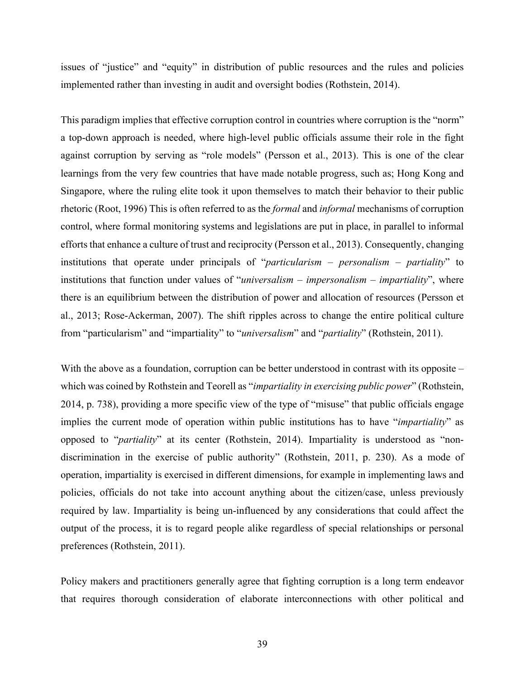issues of "justice" and "equity" in distribution of public resources and the rules and policies implemented rather than investing in audit and oversight bodies (Rothstein, 2014).

This paradigm implies that effective corruption control in countries where corruption is the "norm" a top-down approach is needed, where high-level public officials assume their role in the fight against corruption by serving as "role models" (Persson et al., 2013). This is one of the clear learnings from the very few countries that have made notable progress, such as; Hong Kong and Singapore, where the ruling elite took it upon themselves to match their behavior to their public rhetoric (Root, 1996) This is often referred to as the *formal* and *informal* mechanisms of corruption control, where formal monitoring systems and legislations are put in place, in parallel to informal efforts that enhance a culture of trust and reciprocity (Persson et al., 2013). Consequently, changing institutions that operate under principals of "*particularism – personalism – partiality*" to institutions that function under values of "*universalism – impersonalism – impartiality*", where there is an equilibrium between the distribution of power and allocation of resources (Persson et al., 2013; Rose-Ackerman, 2007). The shift ripples across to change the entire political culture from "particularism" and "impartiality" to "*universalism*" and "*partiality*" (Rothstein, 2011).

With the above as a foundation, corruption can be better understood in contrast with its opposite – which was coined by Rothstein and Teorell as "*impartiality in exercising public power*" (Rothstein, 2014, p. 738), providing a more specific view of the type of "misuse" that public officials engage implies the current mode of operation within public institutions has to have "*impartiality*" as opposed to "*partiality*" at its center (Rothstein, 2014). Impartiality is understood as "nondiscrimination in the exercise of public authority" (Rothstein, 2011, p. 230). As a mode of operation, impartiality is exercised in different dimensions, for example in implementing laws and policies, officials do not take into account anything about the citizen/case, unless previously required by law. Impartiality is being un-influenced by any considerations that could affect the output of the process, it is to regard people alike regardless of special relationships or personal preferences (Rothstein, 2011).

Policy makers and practitioners generally agree that fighting corruption is a long term endeavor that requires thorough consideration of elaborate interconnections with other political and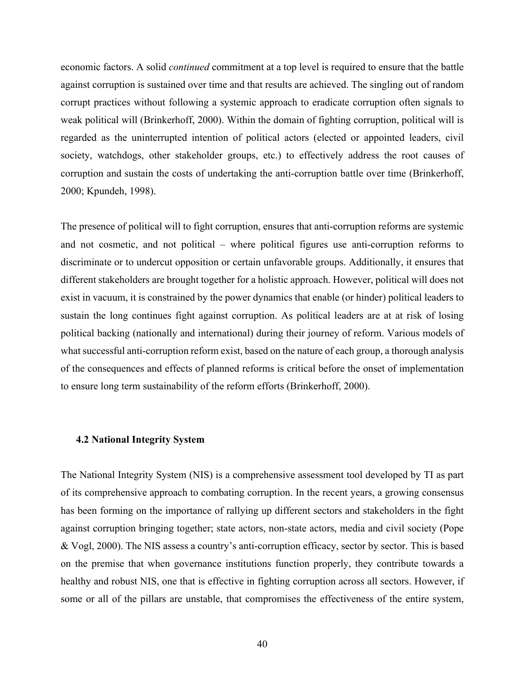economic factors. A solid *continued* commitment at a top level is required to ensure that the battle against corruption is sustained over time and that results are achieved. The singling out of random corrupt practices without following a systemic approach to eradicate corruption often signals to weak political will (Brinkerhoff, 2000). Within the domain of fighting corruption, political will is regarded as the uninterrupted intention of political actors (elected or appointed leaders, civil society, watchdogs, other stakeholder groups, etc.) to effectively address the root causes of corruption and sustain the costs of undertaking the anti-corruption battle over time (Brinkerhoff, 2000; Kpundeh, 1998).

The presence of political will to fight corruption, ensures that anti-corruption reforms are systemic and not cosmetic, and not political – where political figures use anti-corruption reforms to discriminate or to undercut opposition or certain unfavorable groups. Additionally, it ensures that different stakeholders are brought together for a holistic approach. However, political will does not exist in vacuum, it is constrained by the power dynamics that enable (or hinder) political leaders to sustain the long continues fight against corruption. As political leaders are at at risk of losing political backing (nationally and international) during their journey of reform. Various models of what successful anti-corruption reform exist, based on the nature of each group, a thorough analysis of the consequences and effects of planned reforms is critical before the onset of implementation to ensure long term sustainability of the reform efforts (Brinkerhoff, 2000).

## **4.2 National Integrity System**

The National Integrity System (NIS) is a comprehensive assessment tool developed by TI as part of its comprehensive approach to combating corruption. In the recent years, a growing consensus has been forming on the importance of rallying up different sectors and stakeholders in the fight against corruption bringing together; state actors, non-state actors, media and civil society (Pope & Vogl, 2000). The NIS assess a country's anti-corruption efficacy, sector by sector. This is based on the premise that when governance institutions function properly, they contribute towards a healthy and robust NIS, one that is effective in fighting corruption across all sectors. However, if some or all of the pillars are unstable, that compromises the effectiveness of the entire system,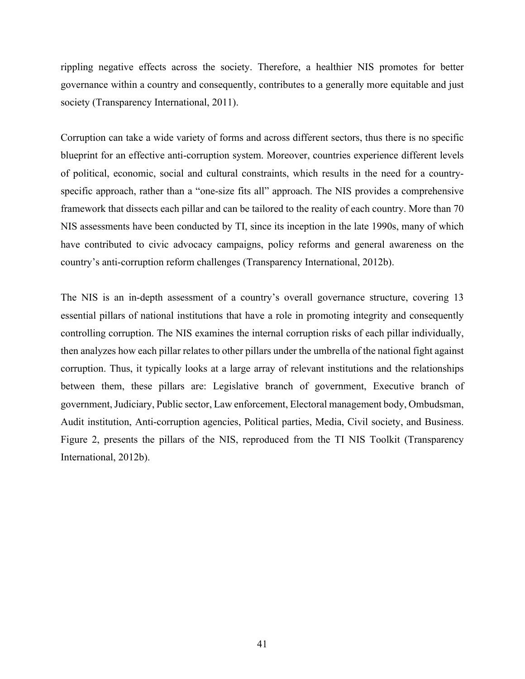rippling negative effects across the society. Therefore, a healthier NIS promotes for better governance within a country and consequently, contributes to a generally more equitable and just society (Transparency International, 2011).

Corruption can take a wide variety of forms and across different sectors, thus there is no specific blueprint for an effective anti-corruption system. Moreover, countries experience different levels of political, economic, social and cultural constraints, which results in the need for a countryspecific approach, rather than a "one-size fits all" approach. The NIS provides a comprehensive framework that dissects each pillar and can be tailored to the reality of each country. More than 70 NIS assessments have been conducted by TI, since its inception in the late 1990s, many of which have contributed to civic advocacy campaigns, policy reforms and general awareness on the country's anti-corruption reform challenges (Transparency International, 2012b).

The NIS is an in-depth assessment of a country's overall governance structure, covering 13 essential pillars of national institutions that have a role in promoting integrity and consequently controlling corruption. The NIS examines the internal corruption risks of each pillar individually, then analyzes how each pillar relates to other pillars under the umbrella of the national fight against corruption. Thus, it typically looks at a large array of relevant institutions and the relationships between them, these pillars are: Legislative branch of government, Executive branch of government, Judiciary, Public sector, Law enforcement, Electoral management body, Ombudsman, Audit institution, Anti-corruption agencies, Political parties, Media, Civil society, and Business. Figure 2, presents the pillars of the NIS, reproduced from the TI NIS Toolkit (Transparency International, 2012b).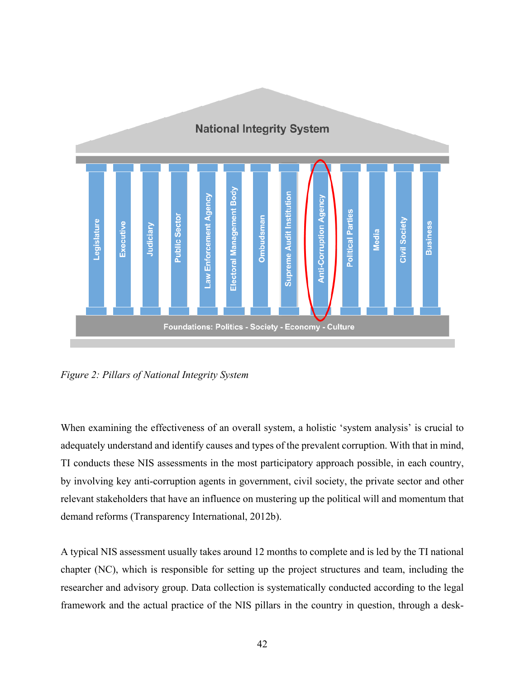

*Figure 2: Pillars of National Integrity System*

When examining the effectiveness of an overall system, a holistic 'system analysis' is crucial to adequately understand and identify causes and types of the prevalent corruption. With that in mind, TI conducts these NIS assessments in the most participatory approach possible, in each country, by involving key anti-corruption agents in government, civil society, the private sector and other relevant stakeholders that have an influence on mustering up the political will and momentum that demand reforms (Transparency International, 2012b).

A typical NIS assessment usually takes around 12 months to complete and is led by the TI national chapter (NC), which is responsible for setting up the project structures and team, including the researcher and advisory group. Data collection is systematically conducted according to the legal framework and the actual practice of the NIS pillars in the country in question, through a desk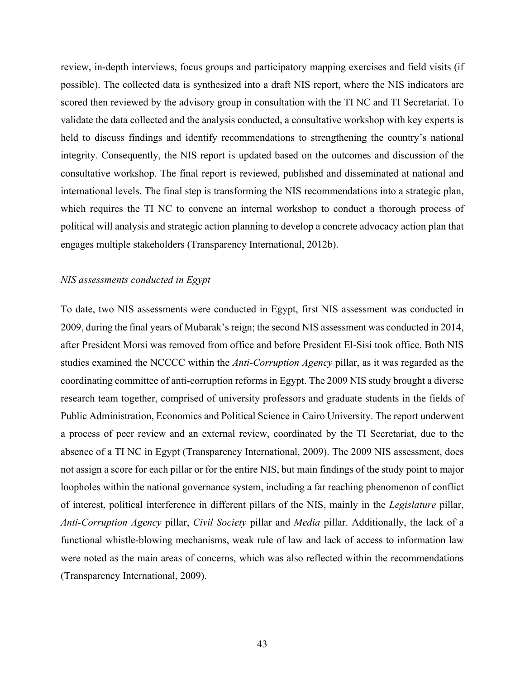review, in-depth interviews, focus groups and participatory mapping exercises and field visits (if possible). The collected data is synthesized into a draft NIS report, where the NIS indicators are scored then reviewed by the advisory group in consultation with the TI NC and TI Secretariat. To validate the data collected and the analysis conducted, a consultative workshop with key experts is held to discuss findings and identify recommendations to strengthening the country's national integrity. Consequently, the NIS report is updated based on the outcomes and discussion of the consultative workshop. The final report is reviewed, published and disseminated at national and international levels. The final step is transforming the NIS recommendations into a strategic plan, which requires the TI NC to convene an internal workshop to conduct a thorough process of political will analysis and strategic action planning to develop a concrete advocacy action plan that engages multiple stakeholders (Transparency International, 2012b).

# *NIS assessments conducted in Egypt*

To date, two NIS assessments were conducted in Egypt, first NIS assessment was conducted in 2009, during the final years of Mubarak's reign; the second NIS assessment was conducted in 2014, after President Morsi was removed from office and before President El-Sisi took office. Both NIS studies examined the NCCCC within the *Anti-Corruption Agency* pillar, as it was regarded as the coordinating committee of anti-corruption reforms in Egypt. The 2009 NIS study brought a diverse research team together, comprised of university professors and graduate students in the fields of Public Administration, Economics and Political Science in Cairo University. The report underwent a process of peer review and an external review, coordinated by the TI Secretariat, due to the absence of a TI NC in Egypt (Transparency International, 2009). The 2009 NIS assessment, does not assign a score for each pillar or for the entire NIS, but main findings of the study point to major loopholes within the national governance system, including a far reaching phenomenon of conflict of interest, political interference in different pillars of the NIS, mainly in the *Legislature* pillar, *Anti-Corruption Agency* pillar, *Civil Society* pillar and *Media* pillar. Additionally, the lack of a functional whistle-blowing mechanisms, weak rule of law and lack of access to information law were noted as the main areas of concerns, which was also reflected within the recommendations (Transparency International, 2009).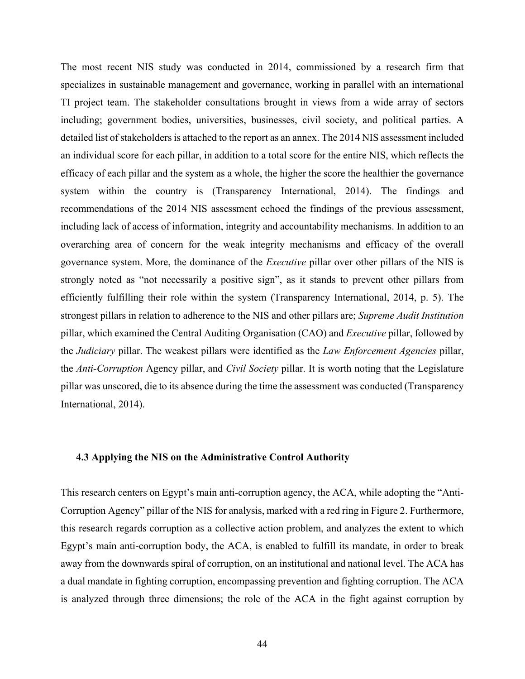The most recent NIS study was conducted in 2014, commissioned by a research firm that specializes in sustainable management and governance, working in parallel with an international TI project team. The stakeholder consultations brought in views from a wide array of sectors including; government bodies, universities, businesses, civil society, and political parties. A detailed list of stakeholders is attached to the report as an annex. The 2014 NIS assessment included an individual score for each pillar, in addition to a total score for the entire NIS, which reflects the efficacy of each pillar and the system as a whole, the higher the score the healthier the governance system within the country is (Transparency International, 2014). The findings and recommendations of the 2014 NIS assessment echoed the findings of the previous assessment, including lack of access of information, integrity and accountability mechanisms. In addition to an overarching area of concern for the weak integrity mechanisms and efficacy of the overall governance system. More, the dominance of the *Executive* pillar over other pillars of the NIS is strongly noted as "not necessarily a positive sign", as it stands to prevent other pillars from efficiently fulfilling their role within the system (Transparency International, 2014, p. 5). The strongest pillars in relation to adherence to the NIS and other pillars are; *Supreme Audit Institution* pillar, which examined the Central Auditing Organisation (CAO) and *Executive* pillar, followed by the *Judiciary* pillar. The weakest pillars were identified as the *Law Enforcement Agencies* pillar, the *Anti-Corruption* Agency pillar, and *Civil Society* pillar. It is worth noting that the Legislature pillar was unscored, die to its absence during the time the assessment was conducted (Transparency International, 2014).

## **4.3 Applying the NIS on the Administrative Control Authority**

This research centers on Egypt's main anti-corruption agency, the ACA, while adopting the "Anti-Corruption Agency" pillar of the NIS for analysis, marked with a red ring in Figure 2. Furthermore, this research regards corruption as a collective action problem, and analyzes the extent to which Egypt's main anti-corruption body, the ACA, is enabled to fulfill its mandate, in order to break away from the downwards spiral of corruption, on an institutional and national level. The ACA has a dual mandate in fighting corruption, encompassing prevention and fighting corruption. The ACA is analyzed through three dimensions; the role of the ACA in the fight against corruption by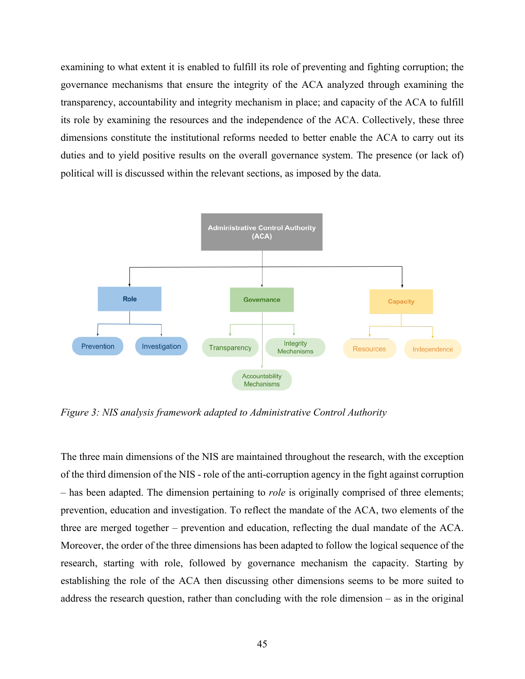examining to what extent it is enabled to fulfill its role of preventing and fighting corruption; the governance mechanisms that ensure the integrity of the ACA analyzed through examining the transparency, accountability and integrity mechanism in place; and capacity of the ACA to fulfill its role by examining the resources and the independence of the ACA. Collectively, these three dimensions constitute the institutional reforms needed to better enable the ACA to carry out its duties and to yield positive results on the overall governance system. The presence (or lack of) political will is discussed within the relevant sections, as imposed by the data.



*Figure 3: NIS analysis framework adapted to Administrative Control Authority* 

The three main dimensions of the NIS are maintained throughout the research, with the exception of the third dimension of the NIS - role of the anti-corruption agency in the fight against corruption – has been adapted. The dimension pertaining to *role* is originally comprised of three elements; prevention, education and investigation. To reflect the mandate of the ACA, two elements of the three are merged together – prevention and education, reflecting the dual mandate of the ACA. Moreover, the order of the three dimensions has been adapted to follow the logical sequence of the research, starting with role, followed by governance mechanism the capacity. Starting by establishing the role of the ACA then discussing other dimensions seems to be more suited to address the research question, rather than concluding with the role dimension – as in the original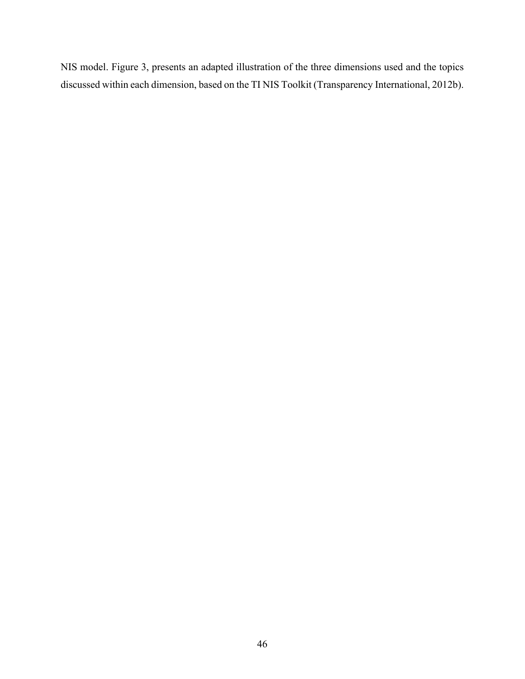NIS model. Figure 3, presents an adapted illustration of the three dimensions used and the topics discussed within each dimension, based on the TI NIS Toolkit (Transparency International, 2012b).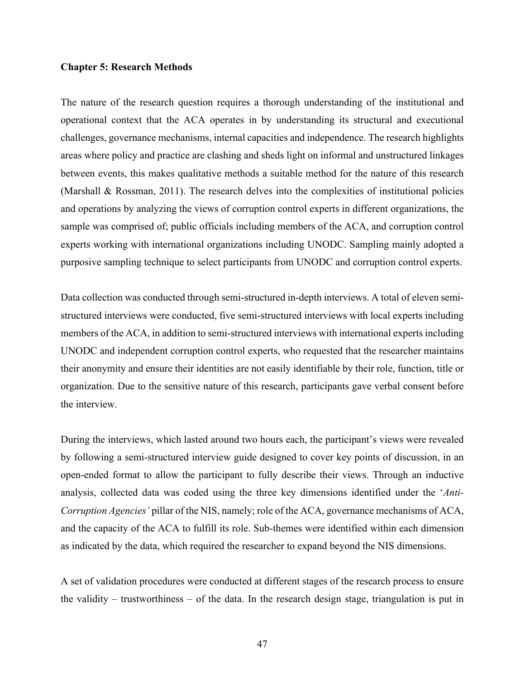## **Chapter 5: Research Methods**

The nature of the research question requires a thorough understanding of the institutional and operational context that the ACA operates in by understanding its structural and executional challenges, governance mechanisms, internal capacities and independence. The research highlights areas where policy and practice are clashing and sheds light on informal and unstructured linkages between events, this makes qualitative methods a suitable method for the nature of this research (Marshall & Rossman, 2011). The research delves into the complexities of institutional policies and operations by analyzing the views of corruption control experts in different organizations, the sample was comprised of; public officials including members of the ACA, and corruption control experts working with international organizations including UNODC. Sampling mainly adopted a purposive sampling technique to select participants from UNODC and corruption control experts.

Data collection was conducted through semi-structured in-depth interviews. A total of eleven semistructured interviews were conducted, five semi-structured interviews with local experts including members of the ACA, in addition to semi-structured interviews with international experts including UNODC and independent corruption control experts, who requested that the researcher maintains their anonymity and ensure their identities are not easily identifiable by their role, function, title or organization. Due to the sensitive nature of this research, participants gave verbal consent before the interview.

During the interviews, which lasted around two hours each, the participant's views were revealed by following a semi-structured interview guide designed to cover key points of discussion, in an open-ended format to allow the participant to fully describe their views. Through an inductive analysis, collected data was coded using the three key dimensions identified under the '*Anti-Corruption Agencies'* pillar of the NIS, namely; role of the ACA, governance mechanisms of ACA, and the capacity of the ACA to fulfill its role. Sub-themes were identified within each dimension as indicated by the data, which required the researcher to expand beyond the NIS dimensions.

A set of validation procedures were conducted at different stages of the research process to ensure the validity – trustworthiness – of the data. In the research design stage, triangulation is put in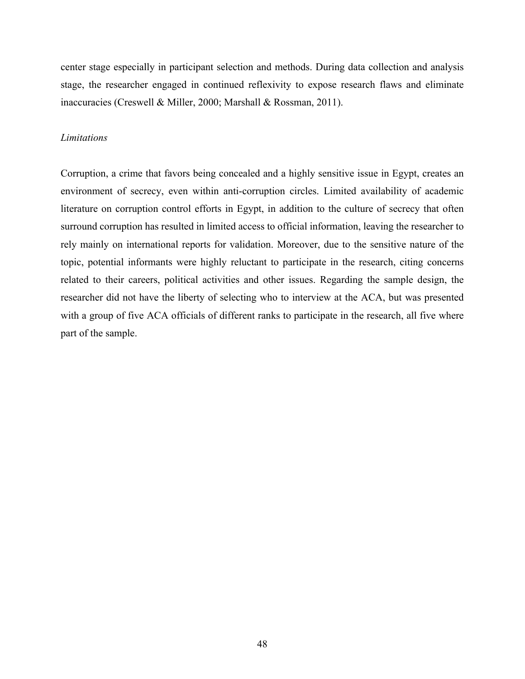center stage especially in participant selection and methods. During data collection and analysis stage, the researcher engaged in continued reflexivity to expose research flaws and eliminate inaccuracies (Creswell & Miller, 2000; Marshall & Rossman, 2011).

# *Limitations*

Corruption, a crime that favors being concealed and a highly sensitive issue in Egypt, creates an environment of secrecy, even within anti-corruption circles. Limited availability of academic literature on corruption control efforts in Egypt, in addition to the culture of secrecy that often surround corruption has resulted in limited access to official information, leaving the researcher to rely mainly on international reports for validation. Moreover, due to the sensitive nature of the topic, potential informants were highly reluctant to participate in the research, citing concerns related to their careers, political activities and other issues. Regarding the sample design, the researcher did not have the liberty of selecting who to interview at the ACA, but was presented with a group of five ACA officials of different ranks to participate in the research, all five where part of the sample.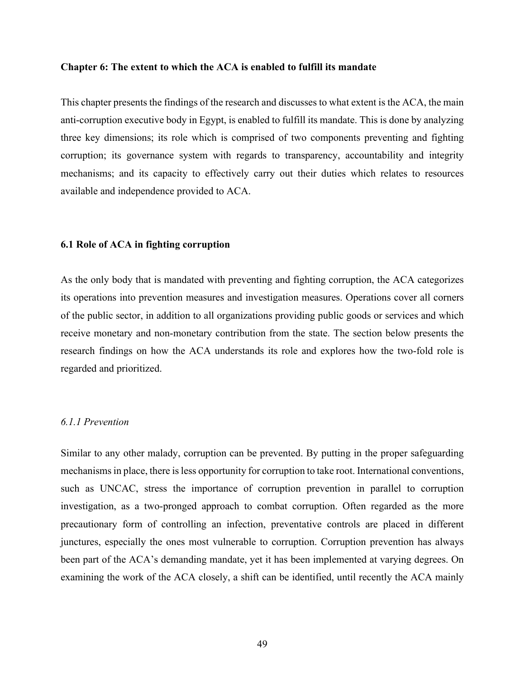#### **Chapter 6: The extent to which the ACA is enabled to fulfill its mandate**

This chapter presents the findings of the research and discusses to what extent is the ACA, the main anti-corruption executive body in Egypt, is enabled to fulfill its mandate. This is done by analyzing three key dimensions; its role which is comprised of two components preventing and fighting corruption; its governance system with regards to transparency, accountability and integrity mechanisms; and its capacity to effectively carry out their duties which relates to resources available and independence provided to ACA.

#### **6.1 Role of ACA in fighting corruption**

As the only body that is mandated with preventing and fighting corruption, the ACA categorizes its operations into prevention measures and investigation measures. Operations cover all corners of the public sector, in addition to all organizations providing public goods or services and which receive monetary and non-monetary contribution from the state. The section below presents the research findings on how the ACA understands its role and explores how the two-fold role is regarded and prioritized.

# *6.1.1 Prevention*

Similar to any other malady, corruption can be prevented. By putting in the proper safeguarding mechanisms in place, there is less opportunity for corruption to take root. International conventions, such as UNCAC, stress the importance of corruption prevention in parallel to corruption investigation, as a two-pronged approach to combat corruption. Often regarded as the more precautionary form of controlling an infection, preventative controls are placed in different junctures, especially the ones most vulnerable to corruption. Corruption prevention has always been part of the ACA's demanding mandate, yet it has been implemented at varying degrees. On examining the work of the ACA closely, a shift can be identified, until recently the ACA mainly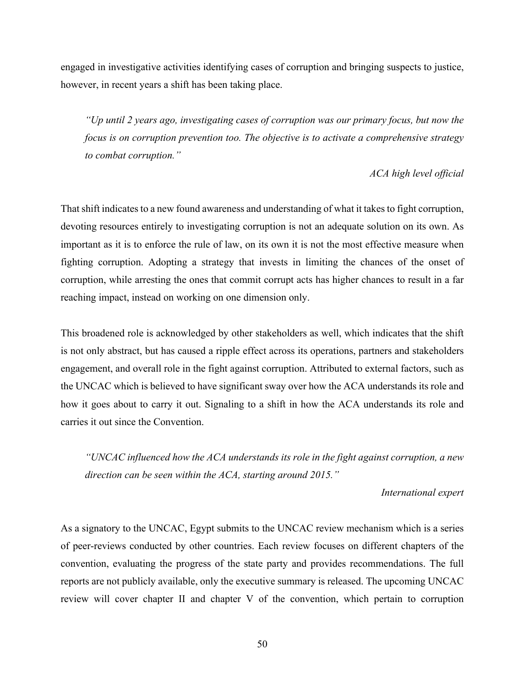engaged in investigative activities identifying cases of corruption and bringing suspects to justice, however, in recent years a shift has been taking place.

*"Up until 2 years ago, investigating cases of corruption was our primary focus, but now the focus is on corruption prevention too. The objective is to activate a comprehensive strategy to combat corruption."*

# *ACA high level official*

That shift indicates to a new found awareness and understanding of what it takes to fight corruption, devoting resources entirely to investigating corruption is not an adequate solution on its own. As important as it is to enforce the rule of law, on its own it is not the most effective measure when fighting corruption. Adopting a strategy that invests in limiting the chances of the onset of corruption, while arresting the ones that commit corrupt acts has higher chances to result in a far reaching impact, instead on working on one dimension only.

This broadened role is acknowledged by other stakeholders as well, which indicates that the shift is not only abstract, but has caused a ripple effect across its operations, partners and stakeholders engagement, and overall role in the fight against corruption. Attributed to external factors, such as the UNCAC which is believed to have significant sway over how the ACA understands its role and how it goes about to carry it out. Signaling to a shift in how the ACA understands its role and carries it out since the Convention.

*"UNCAC influenced how the ACA understands its role in the fight against corruption, a new direction can be seen within the ACA, starting around 2015."*

# *International expert*

As a signatory to the UNCAC, Egypt submits to the UNCAC review mechanism which is a series of peer-reviews conducted by other countries. Each review focuses on different chapters of the convention, evaluating the progress of the state party and provides recommendations. The full reports are not publicly available, only the executive summary is released. The upcoming UNCAC review will cover chapter II and chapter V of the convention, which pertain to corruption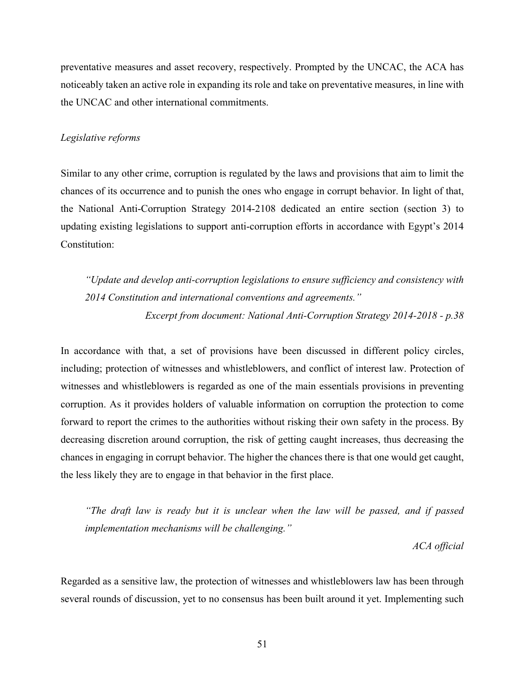preventative measures and asset recovery, respectively. Prompted by the UNCAC, the ACA has noticeably taken an active role in expanding its role and take on preventative measures, in line with the UNCAC and other international commitments.

# *Legislative reforms*

Similar to any other crime, corruption is regulated by the laws and provisions that aim to limit the chances of its occurrence and to punish the ones who engage in corrupt behavior. In light of that, the National Anti-Corruption Strategy 2014-2108 dedicated an entire section (section 3) to updating existing legislations to support anti-corruption efforts in accordance with Egypt's 2014 Constitution:

*"Update and develop anti-corruption legislations to ensure sufficiency and consistency with 2014 Constitution and international conventions and agreements." Excerpt from document: National Anti-Corruption Strategy 2014-2018 - p.38*

In accordance with that, a set of provisions have been discussed in different policy circles, including; protection of witnesses and whistleblowers, and conflict of interest law. Protection of witnesses and whistleblowers is regarded as one of the main essentials provisions in preventing corruption. As it provides holders of valuable information on corruption the protection to come forward to report the crimes to the authorities without risking their own safety in the process. By decreasing discretion around corruption, the risk of getting caught increases, thus decreasing the chances in engaging in corrupt behavior. The higher the chances there is that one would get caught, the less likely they are to engage in that behavior in the first place.

*"The draft law is ready but it is unclear when the law will be passed, and if passed implementation mechanisms will be challenging."*

*ACA official*

Regarded as a sensitive law, the protection of witnesses and whistleblowers law has been through several rounds of discussion, yet to no consensus has been built around it yet. Implementing such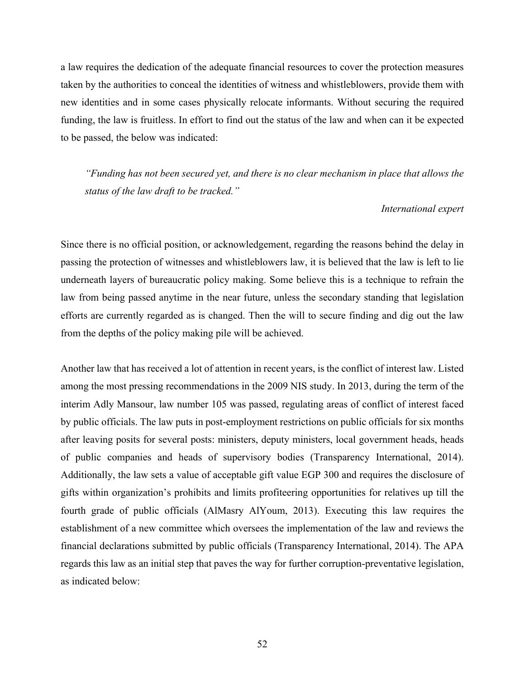a law requires the dedication of the adequate financial resources to cover the protection measures taken by the authorities to conceal the identities of witness and whistleblowers, provide them with new identities and in some cases physically relocate informants. Without securing the required funding, the law is fruitless. In effort to find out the status of the law and when can it be expected to be passed, the below was indicated:

*"Funding has not been secured yet, and there is no clear mechanism in place that allows the status of the law draft to be tracked."*

#### *International expert*

Since there is no official position, or acknowledgement, regarding the reasons behind the delay in passing the protection of witnesses and whistleblowers law, it is believed that the law is left to lie underneath layers of bureaucratic policy making. Some believe this is a technique to refrain the law from being passed anytime in the near future, unless the secondary standing that legislation efforts are currently regarded as is changed. Then the will to secure finding and dig out the law from the depths of the policy making pile will be achieved.

Another law that has received a lot of attention in recent years, is the conflict of interest law. Listed among the most pressing recommendations in the 2009 NIS study. In 2013, during the term of the interim Adly Mansour, law number 105 was passed, regulating areas of conflict of interest faced by public officials. The law puts in post-employment restrictions on public officials for six months after leaving posits for several posts: ministers, deputy ministers, local government heads, heads of public companies and heads of supervisory bodies (Transparency International, 2014). Additionally, the law sets a value of acceptable gift value EGP 300 and requires the disclosure of gifts within organization's prohibits and limits profiteering opportunities for relatives up till the fourth grade of public officials (AlMasry AlYoum, 2013). Executing this law requires the establishment of a new committee which oversees the implementation of the law and reviews the financial declarations submitted by public officials (Transparency International, 2014). The APA regards this law as an initial step that paves the way for further corruption-preventative legislation, as indicated below: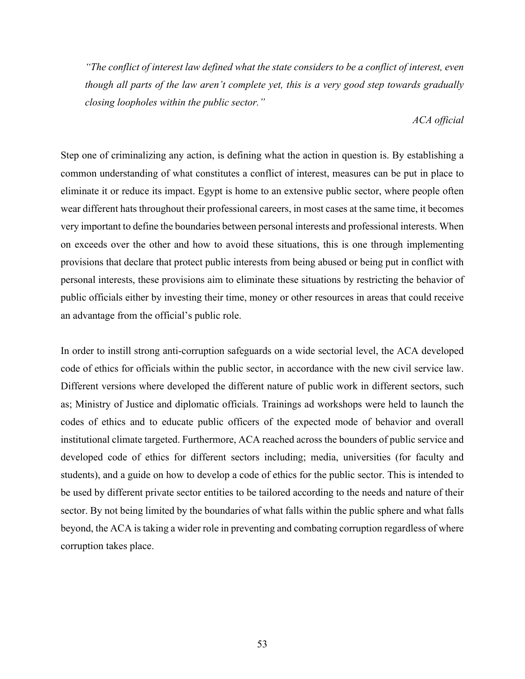*"The conflict of interest law defined what the state considers to be a conflict of interest, even though all parts of the law aren't complete yet, this is a very good step towards gradually closing loopholes within the public sector."*

# *ACA official*

Step one of criminalizing any action, is defining what the action in question is. By establishing a common understanding of what constitutes a conflict of interest, measures can be put in place to eliminate it or reduce its impact. Egypt is home to an extensive public sector, where people often wear different hats throughout their professional careers, in most cases at the same time, it becomes very important to define the boundaries between personal interests and professional interests. When on exceeds over the other and how to avoid these situations, this is one through implementing provisions that declare that protect public interests from being abused or being put in conflict with personal interests, these provisions aim to eliminate these situations by restricting the behavior of public officials either by investing their time, money or other resources in areas that could receive an advantage from the official's public role.

In order to instill strong anti-corruption safeguards on a wide sectorial level, the ACA developed code of ethics for officials within the public sector, in accordance with the new civil service law. Different versions where developed the different nature of public work in different sectors, such as; Ministry of Justice and diplomatic officials. Trainings ad workshops were held to launch the codes of ethics and to educate public officers of the expected mode of behavior and overall institutional climate targeted. Furthermore, ACA reached across the bounders of public service and developed code of ethics for different sectors including; media, universities (for faculty and students), and a guide on how to develop a code of ethics for the public sector. This is intended to be used by different private sector entities to be tailored according to the needs and nature of their sector. By not being limited by the boundaries of what falls within the public sphere and what falls beyond, the ACA is taking a wider role in preventing and combating corruption regardless of where corruption takes place.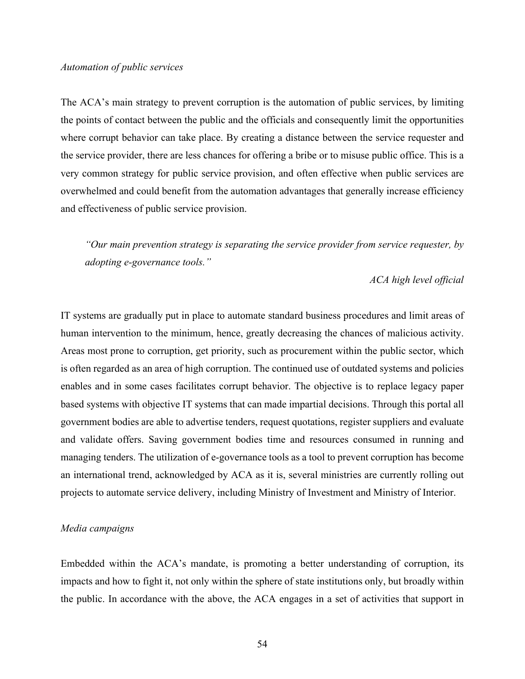#### *Automation of public services*

The ACA's main strategy to prevent corruption is the automation of public services, by limiting the points of contact between the public and the officials and consequently limit the opportunities where corrupt behavior can take place. By creating a distance between the service requester and the service provider, there are less chances for offering a bribe or to misuse public office. This is a very common strategy for public service provision, and often effective when public services are overwhelmed and could benefit from the automation advantages that generally increase efficiency and effectiveness of public service provision.

*"Our main prevention strategy is separating the service provider from service requester, by adopting e-governance tools."*

# *ACA high level official*

IT systems are gradually put in place to automate standard business procedures and limit areas of human intervention to the minimum, hence, greatly decreasing the chances of malicious activity. Areas most prone to corruption, get priority, such as procurement within the public sector, which is often regarded as an area of high corruption. The continued use of outdated systems and policies enables and in some cases facilitates corrupt behavior. The objective is to replace legacy paper based systems with objective IT systems that can made impartial decisions. Through this portal all government bodies are able to advertise tenders, request quotations, register suppliers and evaluate and validate offers. Saving government bodies time and resources consumed in running and managing tenders. The utilization of e-governance tools as a tool to prevent corruption has become an international trend, acknowledged by ACA as it is, several ministries are currently rolling out projects to automate service delivery, including Ministry of Investment and Ministry of Interior.

## *Media campaigns*

Embedded within the ACA's mandate, is promoting a better understanding of corruption, its impacts and how to fight it, not only within the sphere of state institutions only, but broadly within the public. In accordance with the above, the ACA engages in a set of activities that support in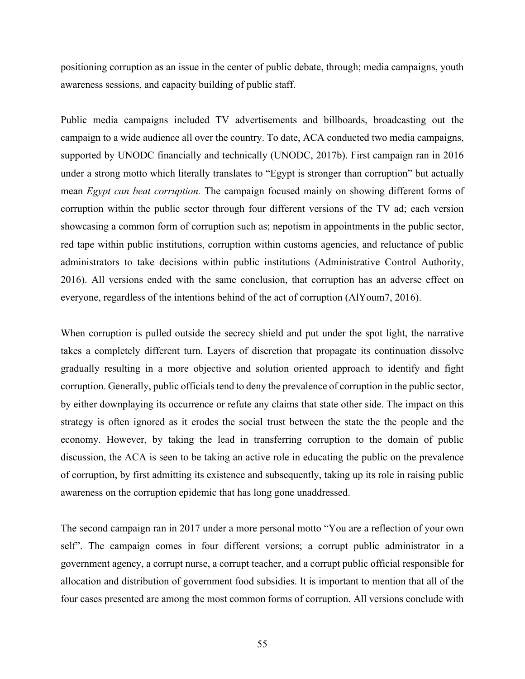positioning corruption as an issue in the center of public debate, through; media campaigns, youth awareness sessions, and capacity building of public staff.

Public media campaigns included TV advertisements and billboards, broadcasting out the campaign to a wide audience all over the country. To date, ACA conducted two media campaigns, supported by UNODC financially and technically (UNODC, 2017b). First campaign ran in 2016 under a strong motto which literally translates to "Egypt is stronger than corruption" but actually mean *Egypt can beat corruption.* The campaign focused mainly on showing different forms of corruption within the public sector through four different versions of the TV ad; each version showcasing a common form of corruption such as; nepotism in appointments in the public sector, red tape within public institutions, corruption within customs agencies, and reluctance of public administrators to take decisions within public institutions (Administrative Control Authority, 2016). All versions ended with the same conclusion, that corruption has an adverse effect on everyone, regardless of the intentions behind of the act of corruption (AlYoum7, 2016).

When corruption is pulled outside the secrecy shield and put under the spot light, the narrative takes a completely different turn. Layers of discretion that propagate its continuation dissolve gradually resulting in a more objective and solution oriented approach to identify and fight corruption. Generally, public officials tend to deny the prevalence of corruption in the public sector, by either downplaying its occurrence or refute any claims that state other side. The impact on this strategy is often ignored as it erodes the social trust between the state the the people and the economy. However, by taking the lead in transferring corruption to the domain of public discussion, the ACA is seen to be taking an active role in educating the public on the prevalence of corruption, by first admitting its existence and subsequently, taking up its role in raising public awareness on the corruption epidemic that has long gone unaddressed.

The second campaign ran in 2017 under a more personal motto "You are a reflection of your own self". The campaign comes in four different versions; a corrupt public administrator in a government agency, a corrupt nurse, a corrupt teacher, and a corrupt public official responsible for allocation and distribution of government food subsidies. It is important to mention that all of the four cases presented are among the most common forms of corruption. All versions conclude with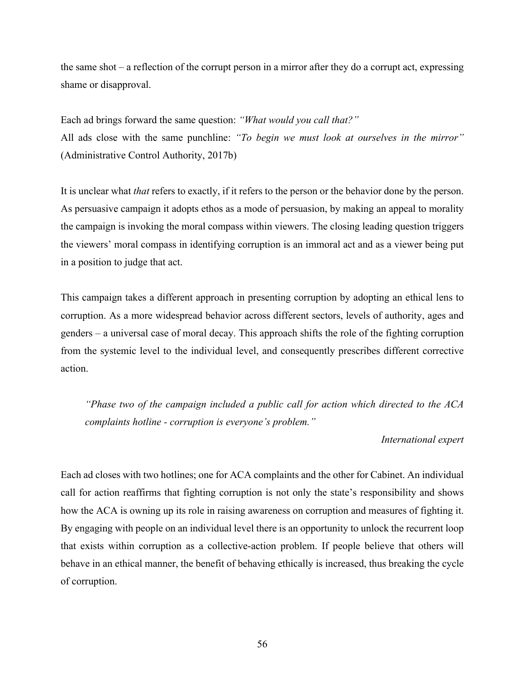the same shot – a reflection of the corrupt person in a mirror after they do a corrupt act, expressing shame or disapproval.

Each ad brings forward the same question: *"What would you call that?"* All ads close with the same punchline: *"To begin we must look at ourselves in the mirror"* (Administrative Control Authority, 2017b)

It is unclear what *that* refers to exactly, if it refers to the person or the behavior done by the person. As persuasive campaign it adopts ethos as a mode of persuasion, by making an appeal to morality the campaign is invoking the moral compass within viewers. The closing leading question triggers the viewers' moral compass in identifying corruption is an immoral act and as a viewer being put in a position to judge that act.

This campaign takes a different approach in presenting corruption by adopting an ethical lens to corruption. As a more widespread behavior across different sectors, levels of authority, ages and genders – a universal case of moral decay. This approach shifts the role of the fighting corruption from the systemic level to the individual level, and consequently prescribes different corrective action.

*"Phase two of the campaign included a public call for action which directed to the ACA complaints hotline - corruption is everyone's problem."*

## *International expert*

Each ad closes with two hotlines; one for ACA complaints and the other for Cabinet. An individual call for action reaffirms that fighting corruption is not only the state's responsibility and shows how the ACA is owning up its role in raising awareness on corruption and measures of fighting it. By engaging with people on an individual level there is an opportunity to unlock the recurrent loop that exists within corruption as a collective-action problem. If people believe that others will behave in an ethical manner, the benefit of behaving ethically is increased, thus breaking the cycle of corruption.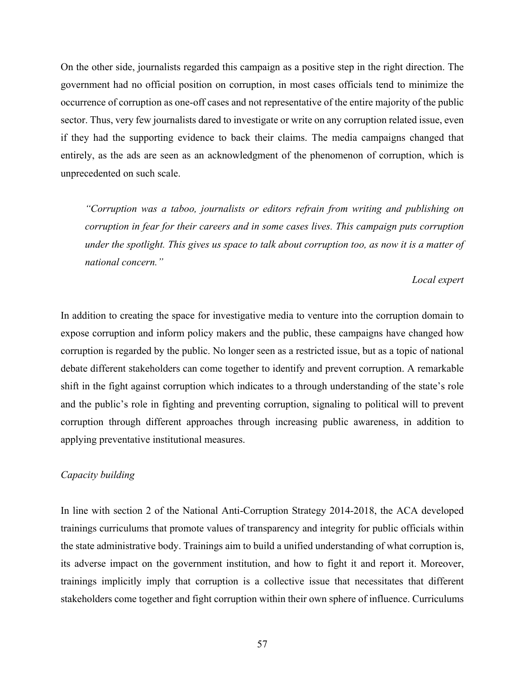On the other side, journalists regarded this campaign as a positive step in the right direction. The government had no official position on corruption, in most cases officials tend to minimize the occurrence of corruption as one-off cases and not representative of the entire majority of the public sector. Thus, very few journalists dared to investigate or write on any corruption related issue, even if they had the supporting evidence to back their claims. The media campaigns changed that entirely, as the ads are seen as an acknowledgment of the phenomenon of corruption, which is unprecedented on such scale.

*"Corruption was a taboo, journalists or editors refrain from writing and publishing on corruption in fear for their careers and in some cases lives. This campaign puts corruption under the spotlight. This gives us space to talk about corruption too, as now it is a matter of national concern."*

## *Local expert*

In addition to creating the space for investigative media to venture into the corruption domain to expose corruption and inform policy makers and the public, these campaigns have changed how corruption is regarded by the public. No longer seen as a restricted issue, but as a topic of national debate different stakeholders can come together to identify and prevent corruption. A remarkable shift in the fight against corruption which indicates to a through understanding of the state's role and the public's role in fighting and preventing corruption, signaling to political will to prevent corruption through different approaches through increasing public awareness, in addition to applying preventative institutional measures.

## *Capacity building*

In line with section 2 of the National Anti-Corruption Strategy 2014-2018, the ACA developed trainings curriculums that promote values of transparency and integrity for public officials within the state administrative body. Trainings aim to build a unified understanding of what corruption is, its adverse impact on the government institution, and how to fight it and report it. Moreover, trainings implicitly imply that corruption is a collective issue that necessitates that different stakeholders come together and fight corruption within their own sphere of influence. Curriculums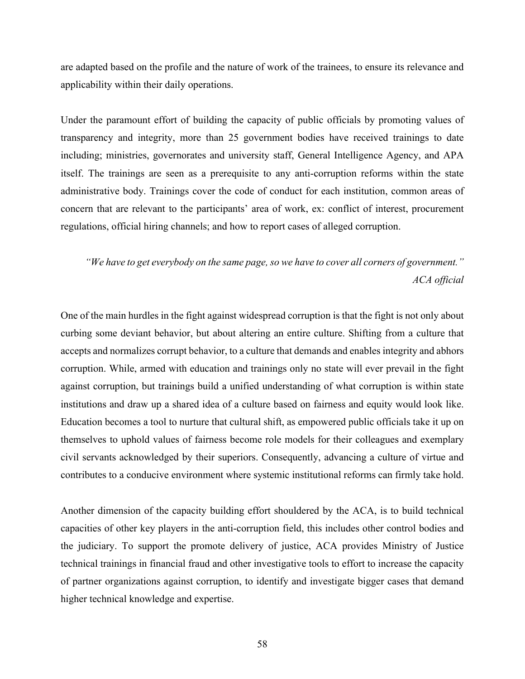are adapted based on the profile and the nature of work of the trainees, to ensure its relevance and applicability within their daily operations.

Under the paramount effort of building the capacity of public officials by promoting values of transparency and integrity, more than 25 government bodies have received trainings to date including; ministries, governorates and university staff, General Intelligence Agency, and APA itself. The trainings are seen as a prerequisite to any anti-corruption reforms within the state administrative body. Trainings cover the code of conduct for each institution, common areas of concern that are relevant to the participants' area of work, ex: conflict of interest, procurement regulations, official hiring channels; and how to report cases of alleged corruption.

# *"We have to get everybody on the same page, so we have to cover all corners of government." ACA official*

One of the main hurdles in the fight against widespread corruption is that the fight is not only about curbing some deviant behavior, but about altering an entire culture. Shifting from a culture that accepts and normalizes corrupt behavior, to a culture that demands and enables integrity and abhors corruption. While, armed with education and trainings only no state will ever prevail in the fight against corruption, but trainings build a unified understanding of what corruption is within state institutions and draw up a shared idea of a culture based on fairness and equity would look like. Education becomes a tool to nurture that cultural shift, as empowered public officials take it up on themselves to uphold values of fairness become role models for their colleagues and exemplary civil servants acknowledged by their superiors. Consequently, advancing a culture of virtue and contributes to a conducive environment where systemic institutional reforms can firmly take hold.

Another dimension of the capacity building effort shouldered by the ACA, is to build technical capacities of other key players in the anti-corruption field, this includes other control bodies and the judiciary. To support the promote delivery of justice, ACA provides Ministry of Justice technical trainings in financial fraud and other investigative tools to effort to increase the capacity of partner organizations against corruption, to identify and investigate bigger cases that demand higher technical knowledge and expertise.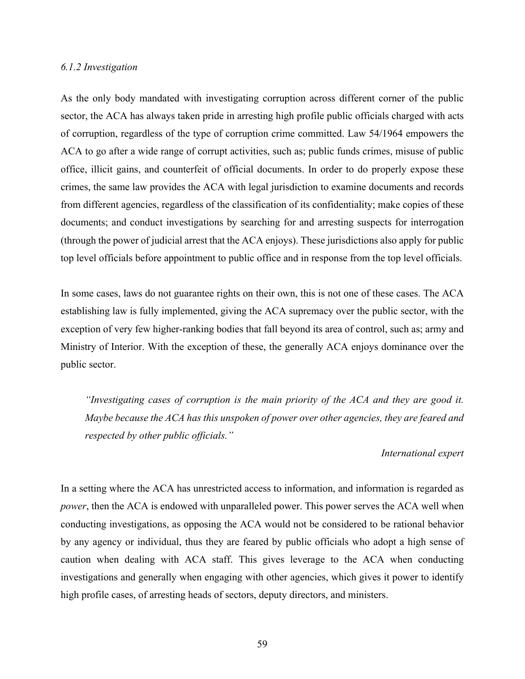#### *6.1.2 Investigation*

As the only body mandated with investigating corruption across different corner of the public sector, the ACA has always taken pride in arresting high profile public officials charged with acts of corruption, regardless of the type of corruption crime committed. Law 54/1964 empowers the ACA to go after a wide range of corrupt activities, such as; public funds crimes, misuse of public office, illicit gains, and counterfeit of official documents. In order to do properly expose these crimes, the same law provides the ACA with legal jurisdiction to examine documents and records from different agencies, regardless of the classification of its confidentiality; make copies of these documents; and conduct investigations by searching for and arresting suspects for interrogation (through the power of judicial arrest that the ACA enjoys). These jurisdictions also apply for public top level officials before appointment to public office and in response from the top level officials.

In some cases, laws do not guarantee rights on their own, this is not one of these cases. The ACA establishing law is fully implemented, giving the ACA supremacy over the public sector, with the exception of very few higher-ranking bodies that fall beyond its area of control, such as; army and Ministry of Interior. With the exception of these, the generally ACA enjoys dominance over the public sector.

*"Investigating cases of corruption is the main priority of the ACA and they are good it. Maybe because the ACA has this unspoken of power over other agencies, they are feared and respected by other public officials."*

#### *International expert*

In a setting where the ACA has unrestricted access to information, and information is regarded as *power*, then the ACA is endowed with unparalleled power. This power serves the ACA well when conducting investigations, as opposing the ACA would not be considered to be rational behavior by any agency or individual, thus they are feared by public officials who adopt a high sense of caution when dealing with ACA staff. This gives leverage to the ACA when conducting investigations and generally when engaging with other agencies, which gives it power to identify high profile cases, of arresting heads of sectors, deputy directors, and ministers.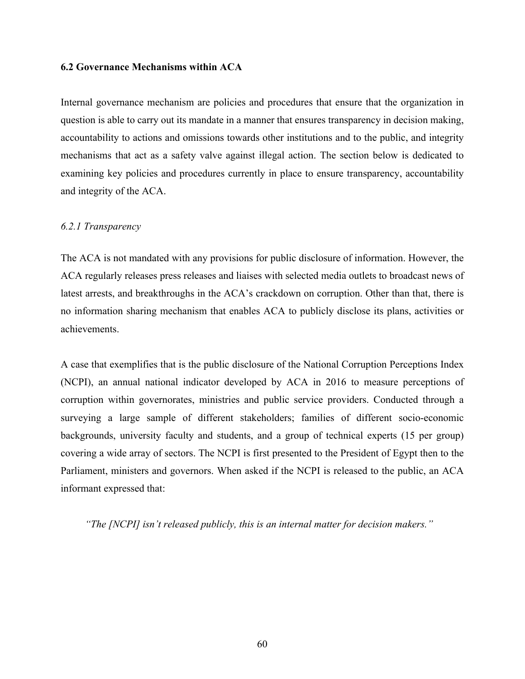# **6.2 Governance Mechanisms within ACA**

Internal governance mechanism are policies and procedures that ensure that the organization in question is able to carry out its mandate in a manner that ensures transparency in decision making, accountability to actions and omissions towards other institutions and to the public, and integrity mechanisms that act as a safety valve against illegal action. The section below is dedicated to examining key policies and procedures currently in place to ensure transparency, accountability and integrity of the ACA.

# *6.2.1 Transparency*

The ACA is not mandated with any provisions for public disclosure of information. However, the ACA regularly releases press releases and liaises with selected media outlets to broadcast news of latest arrests, and breakthroughs in the ACA's crackdown on corruption. Other than that, there is no information sharing mechanism that enables ACA to publicly disclose its plans, activities or achievements.

A case that exemplifies that is the public disclosure of the National Corruption Perceptions Index (NCPI), an annual national indicator developed by ACA in 2016 to measure perceptions of corruption within governorates, ministries and public service providers. Conducted through a surveying a large sample of different stakeholders; families of different socio-economic backgrounds, university faculty and students, and a group of technical experts (15 per group) covering a wide array of sectors. The NCPI is first presented to the President of Egypt then to the Parliament, ministers and governors. When asked if the NCPI is released to the public, an ACA informant expressed that:

*"The [NCPI] isn't released publicly, this is an internal matter for decision makers."*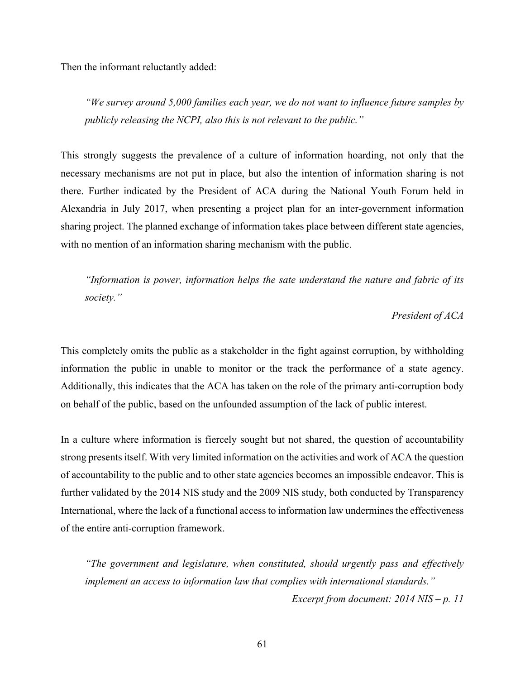Then the informant reluctantly added:

*"We survey around 5,000 families each year, we do not want to influence future samples by publicly releasing the NCPI, also this is not relevant to the public."*

This strongly suggests the prevalence of a culture of information hoarding, not only that the necessary mechanisms are not put in place, but also the intention of information sharing is not there. Further indicated by the President of ACA during the National Youth Forum held in Alexandria in July 2017, when presenting a project plan for an inter-government information sharing project. The planned exchange of information takes place between different state agencies, with no mention of an information sharing mechanism with the public.

*"Information is power, information helps the sate understand the nature and fabric of its society."*

# *President of ACA*

This completely omits the public as a stakeholder in the fight against corruption, by withholding information the public in unable to monitor or the track the performance of a state agency. Additionally, this indicates that the ACA has taken on the role of the primary anti-corruption body on behalf of the public, based on the unfounded assumption of the lack of public interest.

In a culture where information is fiercely sought but not shared, the question of accountability strong presents itself. With very limited information on the activities and work of ACA the question of accountability to the public and to other state agencies becomes an impossible endeavor. This is further validated by the 2014 NIS study and the 2009 NIS study, both conducted by Transparency International, where the lack of a functional access to information law undermines the effectiveness of the entire anti-corruption framework.

*"The government and legislature, when constituted, should urgently pass and effectively implement an access to information law that complies with international standards."*

*Excerpt from document: 2014 NIS – p. 11*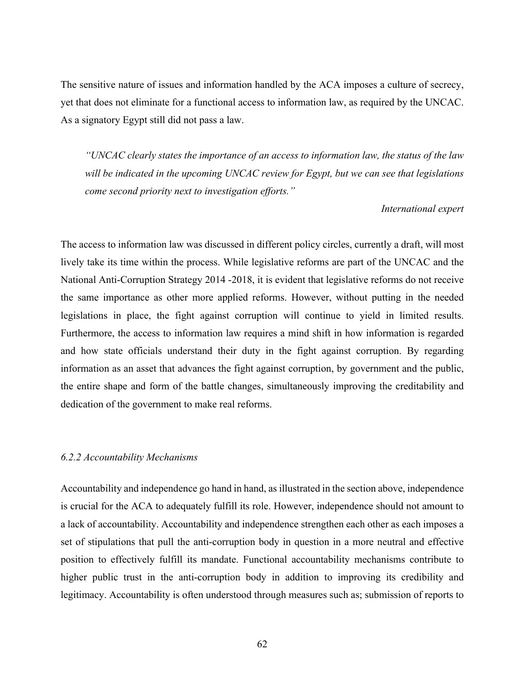The sensitive nature of issues and information handled by the ACA imposes a culture of secrecy, yet that does not eliminate for a functional access to information law, as required by the UNCAC. As a signatory Egypt still did not pass a law.

*"UNCAC clearly states the importance of an access to information law, the status of the law will be indicated in the upcoming UNCAC review for Egypt, but we can see that legislations come second priority next to investigation efforts."*

#### *International expert*

The access to information law was discussed in different policy circles, currently a draft, will most lively take its time within the process. While legislative reforms are part of the UNCAC and the National Anti-Corruption Strategy 2014 -2018, it is evident that legislative reforms do not receive the same importance as other more applied reforms. However, without putting in the needed legislations in place, the fight against corruption will continue to yield in limited results. Furthermore, the access to information law requires a mind shift in how information is regarded and how state officials understand their duty in the fight against corruption. By regarding information as an asset that advances the fight against corruption, by government and the public, the entire shape and form of the battle changes, simultaneously improving the creditability and dedication of the government to make real reforms.

## *6.2.2 Accountability Mechanisms*

Accountability and independence go hand in hand, as illustrated in the section above, independence is crucial for the ACA to adequately fulfill its role. However, independence should not amount to a lack of accountability. Accountability and independence strengthen each other as each imposes a set of stipulations that pull the anti-corruption body in question in a more neutral and effective position to effectively fulfill its mandate. Functional accountability mechanisms contribute to higher public trust in the anti-corruption body in addition to improving its credibility and legitimacy. Accountability is often understood through measures such as; submission of reports to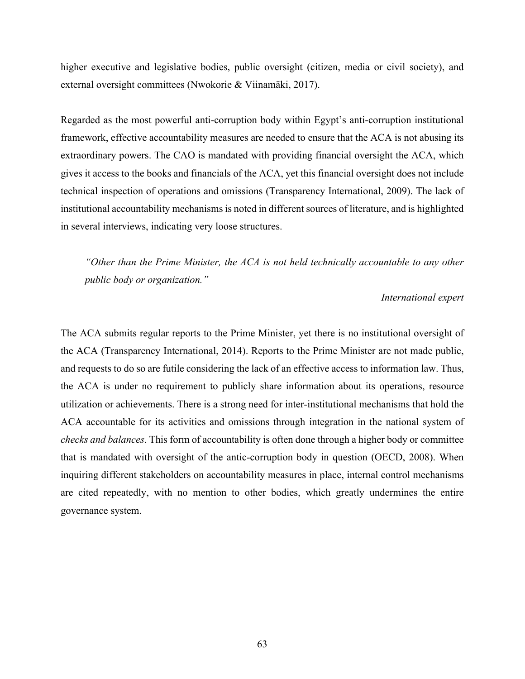higher executive and legislative bodies, public oversight (citizen, media or civil society), and external oversight committees (Nwokorie & Viinamäki, 2017).

Regarded as the most powerful anti-corruption body within Egypt's anti-corruption institutional framework, effective accountability measures are needed to ensure that the ACA is not abusing its extraordinary powers. The CAO is mandated with providing financial oversight the ACA, which gives it access to the books and financials of the ACA, yet this financial oversight does not include technical inspection of operations and omissions (Transparency International, 2009). The lack of institutional accountability mechanisms is noted in different sources of literature, and is highlighted in several interviews, indicating very loose structures.

*"Other than the Prime Minister, the ACA is not held technically accountable to any other public body or organization."*

# *International expert*

The ACA submits regular reports to the Prime Minister, yet there is no institutional oversight of the ACA (Transparency International, 2014). Reports to the Prime Minister are not made public, and requests to do so are futile considering the lack of an effective access to information law. Thus, the ACA is under no requirement to publicly share information about its operations, resource utilization or achievements. There is a strong need for inter-institutional mechanisms that hold the ACA accountable for its activities and omissions through integration in the national system of *checks and balances*. This form of accountability is often done through a higher body or committee that is mandated with oversight of the antic-corruption body in question (OECD, 2008). When inquiring different stakeholders on accountability measures in place, internal control mechanisms are cited repeatedly, with no mention to other bodies, which greatly undermines the entire governance system.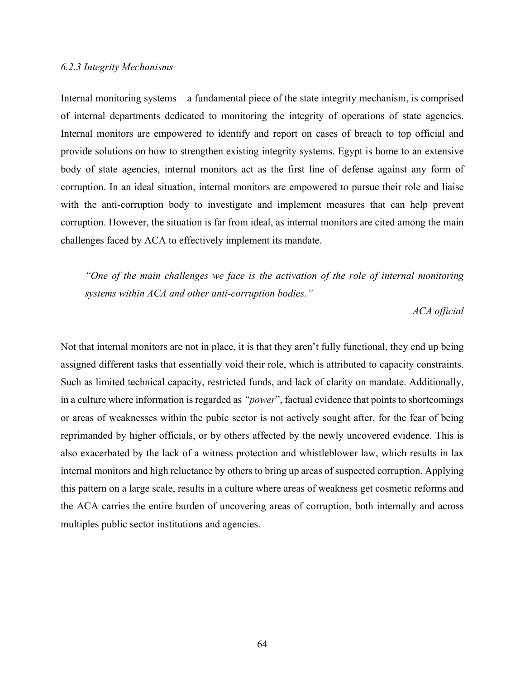#### *6.2.3 Integrity Mechanisms*

Internal monitoring systems – a fundamental piece of the state integrity mechanism, is comprised of internal departments dedicated to monitoring the integrity of operations of state agencies. Internal monitors are empowered to identify and report on cases of breach to top official and provide solutions on how to strengthen existing integrity systems. Egypt is home to an extensive body of state agencies, internal monitors act as the first line of defense against any form of corruption. In an ideal situation, internal monitors are empowered to pursue their role and liaise with the anti-corruption body to investigate and implement measures that can help prevent corruption. However, the situation is far from ideal, as internal monitors are cited among the main challenges faced by ACA to effectively implement its mandate.

*"One of the main challenges we face is the activation of the role of internal monitoring systems within ACA and other anti-corruption bodies."*

*ACA official*

Not that internal monitors are not in place, it is that they aren't fully functional, they end up being assigned different tasks that essentially void their role, which is attributed to capacity constraints. Such as limited technical capacity, restricted funds, and lack of clarity on mandate. Additionally, in a culture where information is regarded as *"power*", factual evidence that points to shortcomings or areas of weaknesses within the pubic sector is not actively sought after, for the fear of being reprimanded by higher officials, or by others affected by the newly uncovered evidence. This is also exacerbated by the lack of a witness protection and whistleblower law, which results in lax internal monitors and high reluctance by others to bring up areas of suspected corruption. Applying this pattern on a large scale, results in a culture where areas of weakness get cosmetic reforms and the ACA carries the entire burden of uncovering areas of corruption, both internally and across multiples public sector institutions and agencies.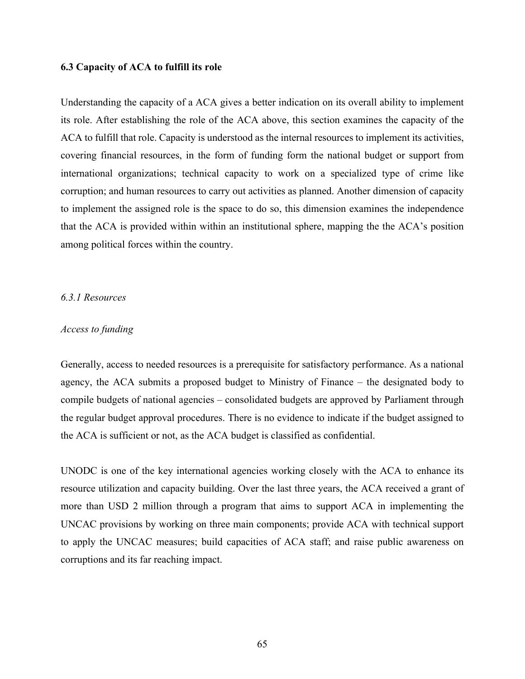#### **6.3 Capacity of ACA to fulfill its role**

Understanding the capacity of a ACA gives a better indication on its overall ability to implement its role. After establishing the role of the ACA above, this section examines the capacity of the ACA to fulfill that role. Capacity is understood as the internal resources to implement its activities, covering financial resources, in the form of funding form the national budget or support from international organizations; technical capacity to work on a specialized type of crime like corruption; and human resources to carry out activities as planned. Another dimension of capacity to implement the assigned role is the space to do so, this dimension examines the independence that the ACA is provided within within an institutional sphere, mapping the the ACA's position among political forces within the country.

# *6.3.1 Resources*

#### *Access to funding*

Generally, access to needed resources is a prerequisite for satisfactory performance. As a national agency, the ACA submits a proposed budget to Ministry of Finance – the designated body to compile budgets of national agencies – consolidated budgets are approved by Parliament through the regular budget approval procedures. There is no evidence to indicate if the budget assigned to the ACA is sufficient or not, as the ACA budget is classified as confidential.

UNODC is one of the key international agencies working closely with the ACA to enhance its resource utilization and capacity building. Over the last three years, the ACA received a grant of more than USD 2 million through a program that aims to support ACA in implementing the UNCAC provisions by working on three main components; provide ACA with technical support to apply the UNCAC measures; build capacities of ACA staff; and raise public awareness on corruptions and its far reaching impact.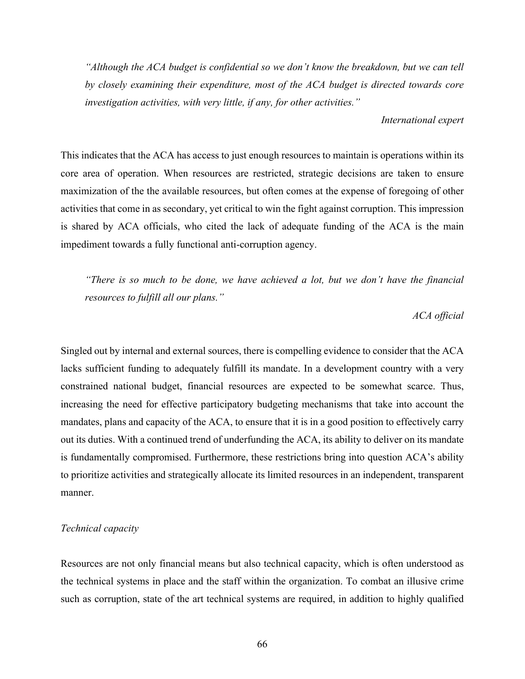*"Although the ACA budget is confidential so we don't know the breakdown, but we can tell by closely examining their expenditure, most of the ACA budget is directed towards core investigation activities, with very little, if any, for other activities."*

*International expert*

This indicates that the ACA has access to just enough resources to maintain is operations within its core area of operation. When resources are restricted, strategic decisions are taken to ensure maximization of the the available resources, but often comes at the expense of foregoing of other activities that come in as secondary, yet critical to win the fight against corruption. This impression is shared by ACA officials, who cited the lack of adequate funding of the ACA is the main impediment towards a fully functional anti-corruption agency.

*"There is so much to be done, we have achieved a lot, but we don't have the financial resources to fulfill all our plans."*

# *ACA official*

Singled out by internal and external sources, there is compelling evidence to consider that the ACA lacks sufficient funding to adequately fulfill its mandate. In a development country with a very constrained national budget, financial resources are expected to be somewhat scarce. Thus, increasing the need for effective participatory budgeting mechanisms that take into account the mandates, plans and capacity of the ACA, to ensure that it is in a good position to effectively carry out its duties. With a continued trend of underfunding the ACA, its ability to deliver on its mandate is fundamentally compromised. Furthermore, these restrictions bring into question ACA's ability to prioritize activities and strategically allocate its limited resources in an independent, transparent manner.

# *Technical capacity*

Resources are not only financial means but also technical capacity, which is often understood as the technical systems in place and the staff within the organization. To combat an illusive crime such as corruption, state of the art technical systems are required, in addition to highly qualified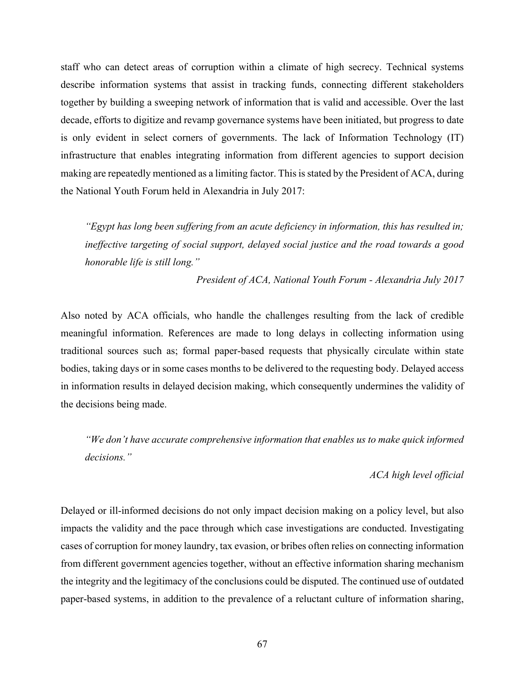staff who can detect areas of corruption within a climate of high secrecy. Technical systems describe information systems that assist in tracking funds, connecting different stakeholders together by building a sweeping network of information that is valid and accessible. Over the last decade, efforts to digitize and revamp governance systems have been initiated, but progress to date is only evident in select corners of governments. The lack of Information Technology (IT) infrastructure that enables integrating information from different agencies to support decision making are repeatedly mentioned as a limiting factor. This is stated by the President of ACA, during the National Youth Forum held in Alexandria in July 2017:

*"Egypt has long been suffering from an acute deficiency in information, this has resulted in; ineffective targeting of social support, delayed social justice and the road towards a good honorable life is still long."*

*President of ACA, National Youth Forum - Alexandria July 2017*

Also noted by ACA officials, who handle the challenges resulting from the lack of credible meaningful information. References are made to long delays in collecting information using traditional sources such as; formal paper-based requests that physically circulate within state bodies, taking days or in some cases months to be delivered to the requesting body. Delayed access in information results in delayed decision making, which consequently undermines the validity of the decisions being made.

*"We don't have accurate comprehensive information that enables us to make quick informed decisions."*

# *ACA high level official*

Delayed or ill-informed decisions do not only impact decision making on a policy level, but also impacts the validity and the pace through which case investigations are conducted. Investigating cases of corruption for money laundry, tax evasion, or bribes often relies on connecting information from different government agencies together, without an effective information sharing mechanism the integrity and the legitimacy of the conclusions could be disputed. The continued use of outdated paper-based systems, in addition to the prevalence of a reluctant culture of information sharing,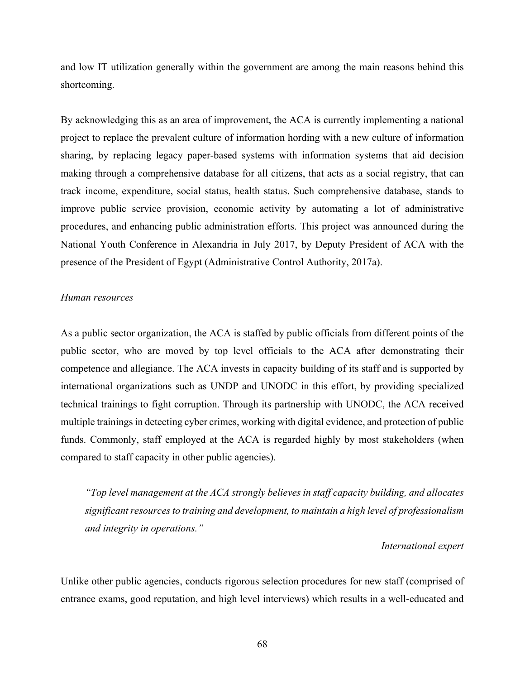and low IT utilization generally within the government are among the main reasons behind this shortcoming.

By acknowledging this as an area of improvement, the ACA is currently implementing a national project to replace the prevalent culture of information hording with a new culture of information sharing, by replacing legacy paper-based systems with information systems that aid decision making through a comprehensive database for all citizens, that acts as a social registry, that can track income, expenditure, social status, health status. Such comprehensive database, stands to improve public service provision, economic activity by automating a lot of administrative procedures, and enhancing public administration efforts. This project was announced during the National Youth Conference in Alexandria in July 2017, by Deputy President of ACA with the presence of the President of Egypt (Administrative Control Authority, 2017a).

# *Human resources*

As a public sector organization, the ACA is staffed by public officials from different points of the public sector, who are moved by top level officials to the ACA after demonstrating their competence and allegiance. The ACA invests in capacity building of its staff and is supported by international organizations such as UNDP and UNODC in this effort, by providing specialized technical trainings to fight corruption. Through its partnership with UNODC, the ACA received multiple trainings in detecting cyber crimes, working with digital evidence, and protection of public funds. Commonly, staff employed at the ACA is regarded highly by most stakeholders (when compared to staff capacity in other public agencies).

*"Top level management at the ACA strongly believes in staff capacity building, and allocates significant resources to training and development, to maintain a high level of professionalism and integrity in operations."*

## *International expert*

Unlike other public agencies, conducts rigorous selection procedures for new staff (comprised of entrance exams, good reputation, and high level interviews) which results in a well-educated and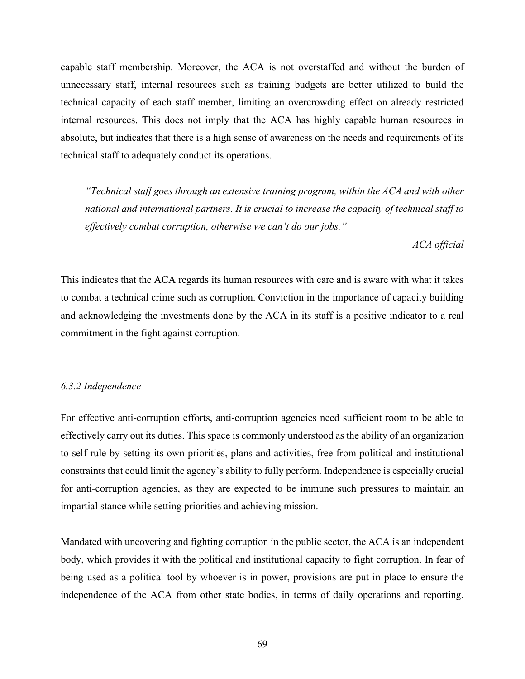capable staff membership. Moreover, the ACA is not overstaffed and without the burden of unnecessary staff, internal resources such as training budgets are better utilized to build the technical capacity of each staff member, limiting an overcrowding effect on already restricted internal resources. This does not imply that the ACA has highly capable human resources in absolute, but indicates that there is a high sense of awareness on the needs and requirements of its technical staff to adequately conduct its operations.

*"Technical staff goes through an extensive training program, within the ACA and with other national and international partners. It is crucial to increase the capacity of technical staff to effectively combat corruption, otherwise we can't do our jobs."*

*ACA official*

This indicates that the ACA regards its human resources with care and is aware with what it takes to combat a technical crime such as corruption. Conviction in the importance of capacity building and acknowledging the investments done by the ACA in its staff is a positive indicator to a real commitment in the fight against corruption.

# *6.3.2 Independence*

For effective anti-corruption efforts, anti-corruption agencies need sufficient room to be able to effectively carry out its duties. This space is commonly understood as the ability of an organization to self-rule by setting its own priorities, plans and activities, free from political and institutional constraints that could limit the agency's ability to fully perform. Independence is especially crucial for anti-corruption agencies, as they are expected to be immune such pressures to maintain an impartial stance while setting priorities and achieving mission.

Mandated with uncovering and fighting corruption in the public sector, the ACA is an independent body, which provides it with the political and institutional capacity to fight corruption. In fear of being used as a political tool by whoever is in power, provisions are put in place to ensure the independence of the ACA from other state bodies, in terms of daily operations and reporting.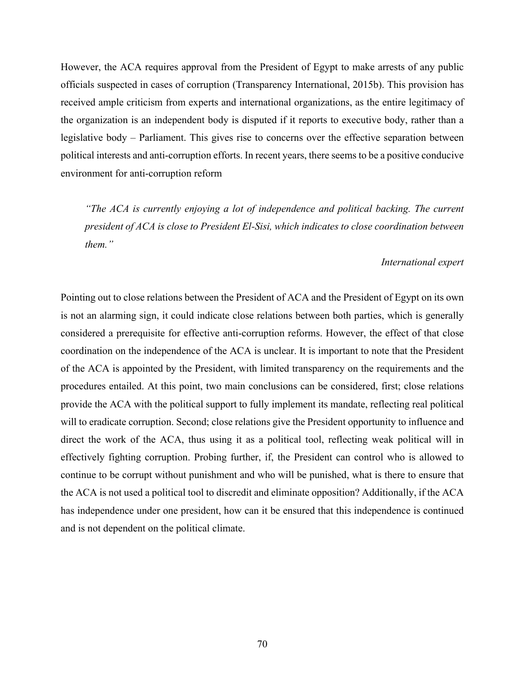However, the ACA requires approval from the President of Egypt to make arrests of any public officials suspected in cases of corruption (Transparency International, 2015b). This provision has received ample criticism from experts and international organizations, as the entire legitimacy of the organization is an independent body is disputed if it reports to executive body, rather than a legislative body – Parliament. This gives rise to concerns over the effective separation between political interests and anti-corruption efforts. In recent years, there seems to be a positive conducive environment for anti-corruption reform

*"The ACA is currently enjoying a lot of independence and political backing. The current president of ACA is close to President El-Sisi, which indicates to close coordination between them."*

## *International expert*

Pointing out to close relations between the President of ACA and the President of Egypt on its own is not an alarming sign, it could indicate close relations between both parties, which is generally considered a prerequisite for effective anti-corruption reforms. However, the effect of that close coordination on the independence of the ACA is unclear. It is important to note that the President of the ACA is appointed by the President, with limited transparency on the requirements and the procedures entailed. At this point, two main conclusions can be considered, first; close relations provide the ACA with the political support to fully implement its mandate, reflecting real political will to eradicate corruption. Second; close relations give the President opportunity to influence and direct the work of the ACA, thus using it as a political tool, reflecting weak political will in effectively fighting corruption. Probing further, if, the President can control who is allowed to continue to be corrupt without punishment and who will be punished, what is there to ensure that the ACA is not used a political tool to discredit and eliminate opposition? Additionally, if the ACA has independence under one president, how can it be ensured that this independence is continued and is not dependent on the political climate.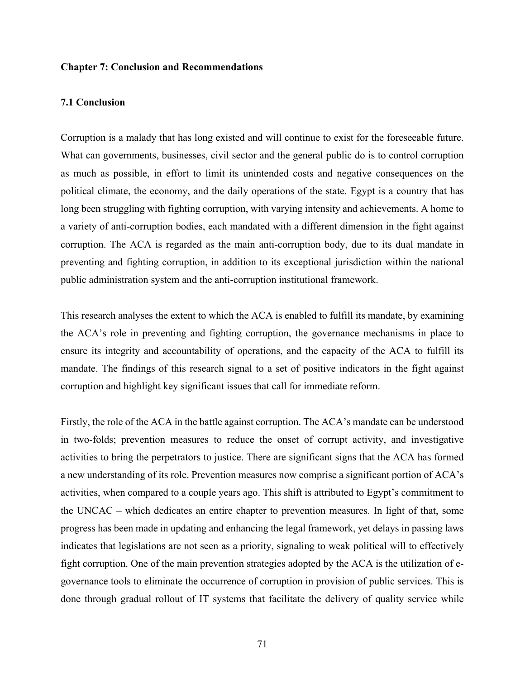## **Chapter 7: Conclusion and Recommendations**

#### **7.1 Conclusion**

Corruption is a malady that has long existed and will continue to exist for the foreseeable future. What can governments, businesses, civil sector and the general public do is to control corruption as much as possible, in effort to limit its unintended costs and negative consequences on the political climate, the economy, and the daily operations of the state. Egypt is a country that has long been struggling with fighting corruption, with varying intensity and achievements. A home to a variety of anti-corruption bodies, each mandated with a different dimension in the fight against corruption. The ACA is regarded as the main anti-corruption body, due to its dual mandate in preventing and fighting corruption, in addition to its exceptional jurisdiction within the national public administration system and the anti-corruption institutional framework.

This research analyses the extent to which the ACA is enabled to fulfill its mandate, by examining the ACA's role in preventing and fighting corruption, the governance mechanisms in place to ensure its integrity and accountability of operations, and the capacity of the ACA to fulfill its mandate. The findings of this research signal to a set of positive indicators in the fight against corruption and highlight key significant issues that call for immediate reform.

Firstly, the role of the ACA in the battle against corruption. The ACA's mandate can be understood in two-folds; prevention measures to reduce the onset of corrupt activity, and investigative activities to bring the perpetrators to justice. There are significant signs that the ACA has formed a new understanding of its role. Prevention measures now comprise a significant portion of ACA's activities, when compared to a couple years ago. This shift is attributed to Egypt's commitment to the UNCAC – which dedicates an entire chapter to prevention measures. In light of that, some progress has been made in updating and enhancing the legal framework, yet delays in passing laws indicates that legislations are not seen as a priority, signaling to weak political will to effectively fight corruption. One of the main prevention strategies adopted by the ACA is the utilization of egovernance tools to eliminate the occurrence of corruption in provision of public services. This is done through gradual rollout of IT systems that facilitate the delivery of quality service while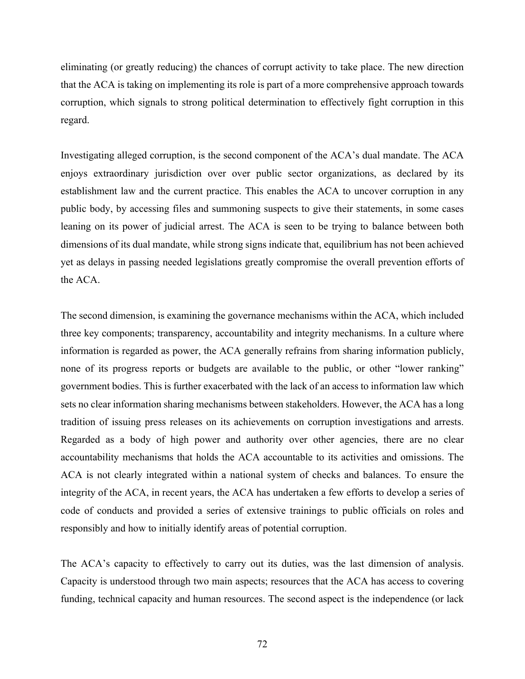eliminating (or greatly reducing) the chances of corrupt activity to take place. The new direction that the ACA is taking on implementing its role is part of a more comprehensive approach towards corruption, which signals to strong political determination to effectively fight corruption in this regard.

Investigating alleged corruption, is the second component of the ACA's dual mandate. The ACA enjoys extraordinary jurisdiction over over public sector organizations, as declared by its establishment law and the current practice. This enables the ACA to uncover corruption in any public body, by accessing files and summoning suspects to give their statements, in some cases leaning on its power of judicial arrest. The ACA is seen to be trying to balance between both dimensions of its dual mandate, while strong signs indicate that, equilibrium has not been achieved yet as delays in passing needed legislations greatly compromise the overall prevention efforts of the ACA.

The second dimension, is examining the governance mechanisms within the ACA, which included three key components; transparency, accountability and integrity mechanisms. In a culture where information is regarded as power, the ACA generally refrains from sharing information publicly, none of its progress reports or budgets are available to the public, or other "lower ranking" government bodies. This is further exacerbated with the lack of an access to information law which sets no clear information sharing mechanisms between stakeholders. However, the ACA has a long tradition of issuing press releases on its achievements on corruption investigations and arrests. Regarded as a body of high power and authority over other agencies, there are no clear accountability mechanisms that holds the ACA accountable to its activities and omissions. The ACA is not clearly integrated within a national system of checks and balances. To ensure the integrity of the ACA, in recent years, the ACA has undertaken a few efforts to develop a series of code of conducts and provided a series of extensive trainings to public officials on roles and responsibly and how to initially identify areas of potential corruption.

The ACA's capacity to effectively to carry out its duties, was the last dimension of analysis. Capacity is understood through two main aspects; resources that the ACA has access to covering funding, technical capacity and human resources. The second aspect is the independence (or lack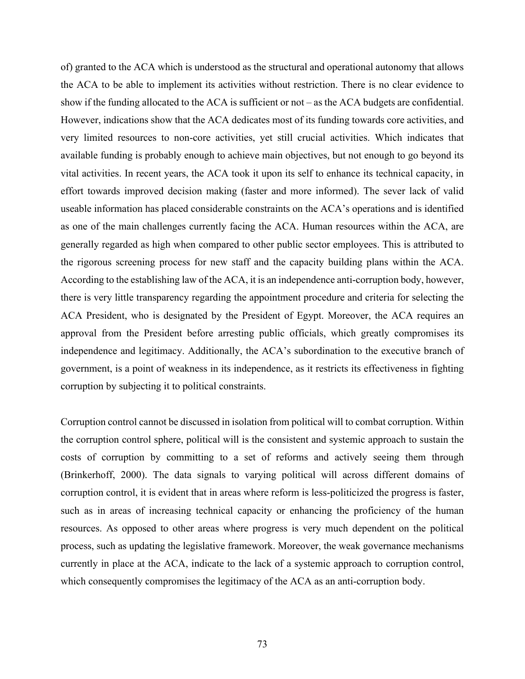of) granted to the ACA which is understood as the structural and operational autonomy that allows the ACA to be able to implement its activities without restriction. There is no clear evidence to show if the funding allocated to the ACA is sufficient or not – as the ACA budgets are confidential. However, indications show that the ACA dedicates most of its funding towards core activities, and very limited resources to non-core activities, yet still crucial activities. Which indicates that available funding is probably enough to achieve main objectives, but not enough to go beyond its vital activities. In recent years, the ACA took it upon its self to enhance its technical capacity, in effort towards improved decision making (faster and more informed). The sever lack of valid useable information has placed considerable constraints on the ACA's operations and is identified as one of the main challenges currently facing the ACA. Human resources within the ACA, are generally regarded as high when compared to other public sector employees. This is attributed to the rigorous screening process for new staff and the capacity building plans within the ACA. According to the establishing law of the ACA, it is an independence anti-corruption body, however, there is very little transparency regarding the appointment procedure and criteria for selecting the ACA President, who is designated by the President of Egypt. Moreover, the ACA requires an approval from the President before arresting public officials, which greatly compromises its independence and legitimacy. Additionally, the ACA's subordination to the executive branch of government, is a point of weakness in its independence, as it restricts its effectiveness in fighting corruption by subjecting it to political constraints.

Corruption control cannot be discussed in isolation from political will to combat corruption. Within the corruption control sphere, political will is the consistent and systemic approach to sustain the costs of corruption by committing to a set of reforms and actively seeing them through (Brinkerhoff, 2000). The data signals to varying political will across different domains of corruption control, it is evident that in areas where reform is less-politicized the progress is faster, such as in areas of increasing technical capacity or enhancing the proficiency of the human resources. As opposed to other areas where progress is very much dependent on the political process, such as updating the legislative framework. Moreover, the weak governance mechanisms currently in place at the ACA, indicate to the lack of a systemic approach to corruption control, which consequently compromises the legitimacy of the ACA as an anti-corruption body.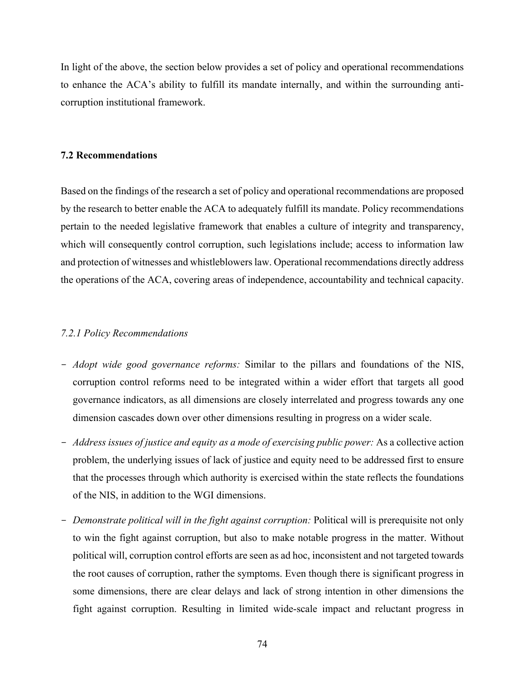In light of the above, the section below provides a set of policy and operational recommendations to enhance the ACA's ability to fulfill its mandate internally, and within the surrounding anticorruption institutional framework.

## **7.2 Recommendations**

Based on the findings of the research a set of policy and operational recommendations are proposed by the research to better enable the ACA to adequately fulfill its mandate. Policy recommendations pertain to the needed legislative framework that enables a culture of integrity and transparency, which will consequently control corruption, such legislations include; access to information law and protection of witnesses and whistleblowers law. Operational recommendations directly address the operations of the ACA, covering areas of independence, accountability and technical capacity.

## *7.2.1 Policy Recommendations*

- *Adopt wide good governance reforms:* Similar to the pillars and foundations of the NIS, corruption control reforms need to be integrated within a wider effort that targets all good governance indicators, as all dimensions are closely interrelated and progress towards any one dimension cascades down over other dimensions resulting in progress on a wider scale.
- *Address issues of justice and equity as a mode of exercising public power:* As a collective action problem, the underlying issues of lack of justice and equity need to be addressed first to ensure that the processes through which authority is exercised within the state reflects the foundations of the NIS, in addition to the WGI dimensions.
- *Demonstrate political will in the fight against corruption:* Political will is prerequisite not only to win the fight against corruption, but also to make notable progress in the matter. Without political will, corruption control efforts are seen as ad hoc, inconsistent and not targeted towards the root causes of corruption, rather the symptoms. Even though there is significant progress in some dimensions, there are clear delays and lack of strong intention in other dimensions the fight against corruption. Resulting in limited wide-scale impact and reluctant progress in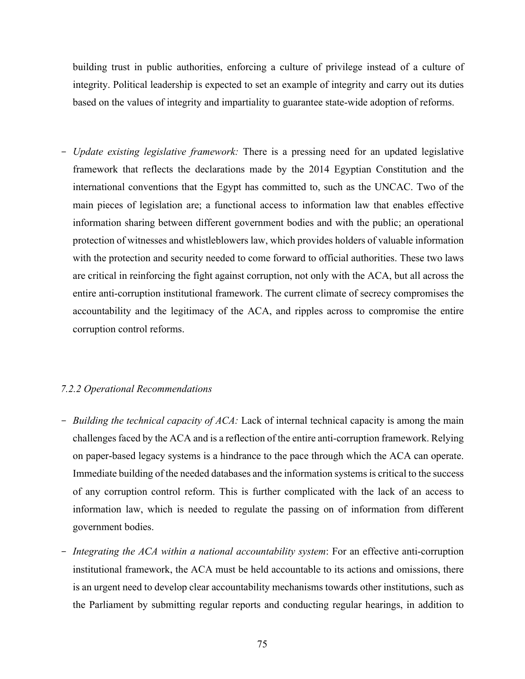building trust in public authorities, enforcing a culture of privilege instead of a culture of integrity. Political leadership is expected to set an example of integrity and carry out its duties based on the values of integrity and impartiality to guarantee state-wide adoption of reforms.

- *Update existing legislative framework:* There is a pressing need for an updated legislative framework that reflects the declarations made by the 2014 Egyptian Constitution and the international conventions that the Egypt has committed to, such as the UNCAC. Two of the main pieces of legislation are; a functional access to information law that enables effective information sharing between different government bodies and with the public; an operational protection of witnesses and whistleblowers law, which provides holders of valuable information with the protection and security needed to come forward to official authorities. These two laws are critical in reinforcing the fight against corruption, not only with the ACA, but all across the entire anti-corruption institutional framework. The current climate of secrecy compromises the accountability and the legitimacy of the ACA, and ripples across to compromise the entire corruption control reforms.

## *7.2.2 Operational Recommendations*

- *Building the technical capacity of ACA:* Lack of internal technical capacity is among the main challenges faced by the ACA and is a reflection of the entire anti-corruption framework. Relying on paper-based legacy systems is a hindrance to the pace through which the ACA can operate. Immediate building of the needed databases and the information systems is critical to the success of any corruption control reform. This is further complicated with the lack of an access to information law, which is needed to regulate the passing on of information from different government bodies.
- *Integrating the ACA within a national accountability system*: For an effective anti-corruption institutional framework, the ACA must be held accountable to its actions and omissions, there is an urgent need to develop clear accountability mechanisms towards other institutions, such as the Parliament by submitting regular reports and conducting regular hearings, in addition to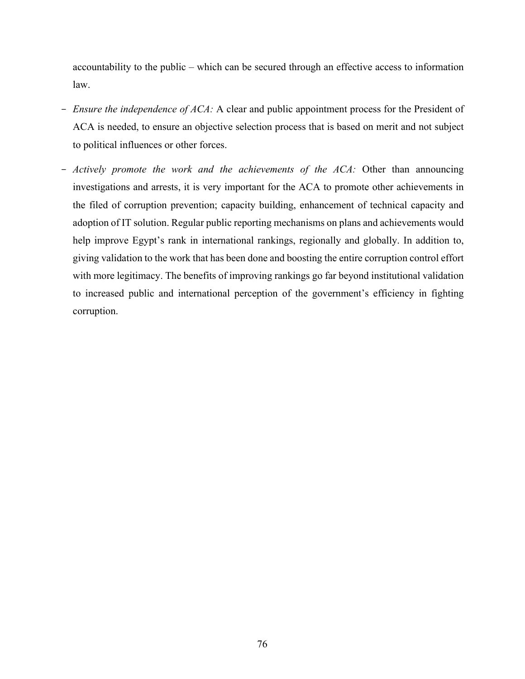accountability to the public – which can be secured through an effective access to information law.

- *Ensure the independence of ACA:* A clear and public appointment process for the President of ACA is needed, to ensure an objective selection process that is based on merit and not subject to political influences or other forces.
- *Actively promote the work and the achievements of the ACA:* Other than announcing investigations and arrests, it is very important for the ACA to promote other achievements in the filed of corruption prevention; capacity building, enhancement of technical capacity and adoption of IT solution. Regular public reporting mechanisms on plans and achievements would help improve Egypt's rank in international rankings, regionally and globally. In addition to, giving validation to the work that has been done and boosting the entire corruption control effort with more legitimacy. The benefits of improving rankings go far beyond institutional validation to increased public and international perception of the government's efficiency in fighting corruption.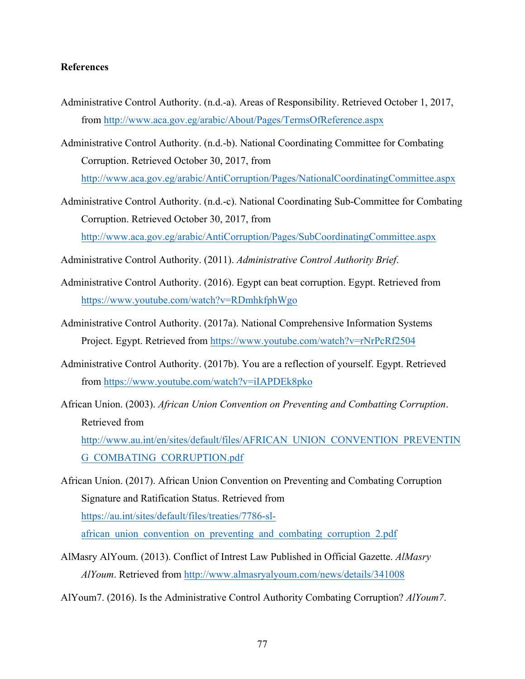## **References**

- Administrative Control Authority. (n.d.-a). Areas of Responsibility. Retrieved October 1, 2017, from http://www.aca.gov.eg/arabic/About/Pages/TermsOfReference.aspx
- Administrative Control Authority. (n.d.-b). National Coordinating Committee for Combating Corruption. Retrieved October 30, 2017, from http://www.aca.gov.eg/arabic/AntiCorruption/Pages/NationalCoordinatingCommittee.aspx
- Administrative Control Authority. (n.d.-c). National Coordinating Sub-Committee for Combating Corruption. Retrieved October 30, 2017, from http://www.aca.gov.eg/arabic/AntiCorruption/Pages/SubCoordinatingCommittee.aspx
- Administrative Control Authority. (2011). *Administrative Control Authority Brief*.
- Administrative Control Authority. (2016). Egypt can beat corruption. Egypt. Retrieved from https://www.youtube.com/watch?v=RDmhkfphWgo
- Administrative Control Authority. (2017a). National Comprehensive Information Systems Project. Egypt. Retrieved from https://www.youtube.com/watch?v=rNrPcRf2504
- Administrative Control Authority. (2017b). You are a reflection of yourself. Egypt. Retrieved from https://www.youtube.com/watch?v=iIAPDEk8pko
- African Union. (2003). *African Union Convention on Preventing and Combatting Corruption*. Retrieved from

http://www.au.int/en/sites/default/files/AFRICAN\_UNION\_CONVENTION\_PREVENTIN G\_COMBATING\_CORRUPTION.pdf

- African Union. (2017). African Union Convention on Preventing and Combating Corruption Signature and Ratification Status. Retrieved from https://au.int/sites/default/files/treaties/7786-slafrican union convention on preventing and combating corruption 2.pdf
- AlMasry AlYoum. (2013). Conflict of Intrest Law Published in Official Gazette. *AlMasry AlYoum*. Retrieved from http://www.almasryalyoum.com/news/details/341008
- AlYoum7. (2016). Is the Administrative Control Authority Combating Corruption? *AlYoum7*.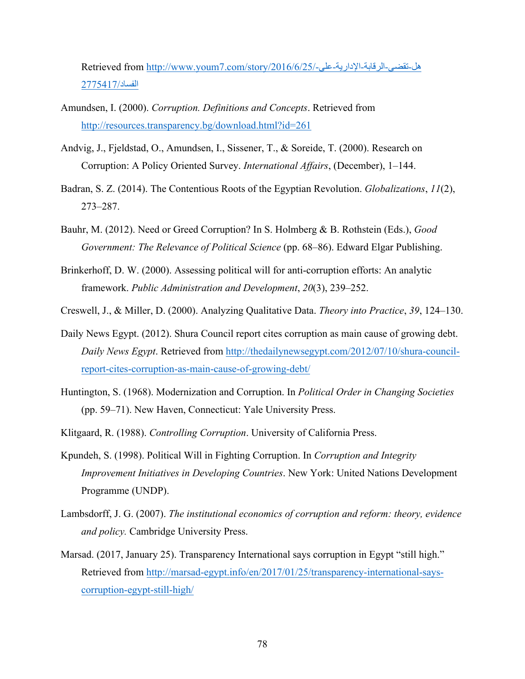Retrieved from http://www.youm7.com/story/2016/6/25/-على-الإداریة-الرقابة-تقضى-ھل الفساد2775417/

- Amundsen, I. (2000). *Corruption. Definitions and Concepts*. Retrieved from http://resources.transparency.bg/download.html?id=261
- Andvig, J., Fjeldstad, O., Amundsen, I., Sissener, T., & Soreide, T. (2000). Research on Corruption: A Policy Oriented Survey. *International Affairs*, (December), 1–144.
- Badran, S. Z. (2014). The Contentious Roots of the Egyptian Revolution. *Globalizations*, *11*(2), 273–287.
- Bauhr, M. (2012). Need or Greed Corruption? In S. Holmberg & B. Rothstein (Eds.), *Good Government: The Relevance of Political Science* (pp. 68–86). Edward Elgar Publishing.
- Brinkerhoff, D. W. (2000). Assessing political will for anti-corruption efforts: An analytic framework. *Public Administration and Development*, *20*(3), 239–252.
- Creswell, J., & Miller, D. (2000). Analyzing Qualitative Data. *Theory into Practice*, *39*, 124–130.
- Daily News Egypt. (2012). Shura Council report cites corruption as main cause of growing debt. *Daily News Egypt*. Retrieved from http://thedailynewsegypt.com/2012/07/10/shura-councilreport-cites-corruption-as-main-cause-of-growing-debt/
- Huntington, S. (1968). Modernization and Corruption. In *Political Order in Changing Societies* (pp. 59–71). New Haven, Connecticut: Yale University Press.
- Klitgaard, R. (1988). *Controlling Corruption*. University of California Press.
- Kpundeh, S. (1998). Political Will in Fighting Corruption. In *Corruption and Integrity Improvement Initiatives in Developing Countries*. New York: United Nations Development Programme (UNDP).
- Lambsdorff, J. G. (2007). *The institutional economics of corruption and reform: theory, evidence and policy.* Cambridge University Press.
- Marsad. (2017, January 25). Transparency International says corruption in Egypt "still high." Retrieved from http://marsad-egypt.info/en/2017/01/25/transparency-international-sayscorruption-egypt-still-high/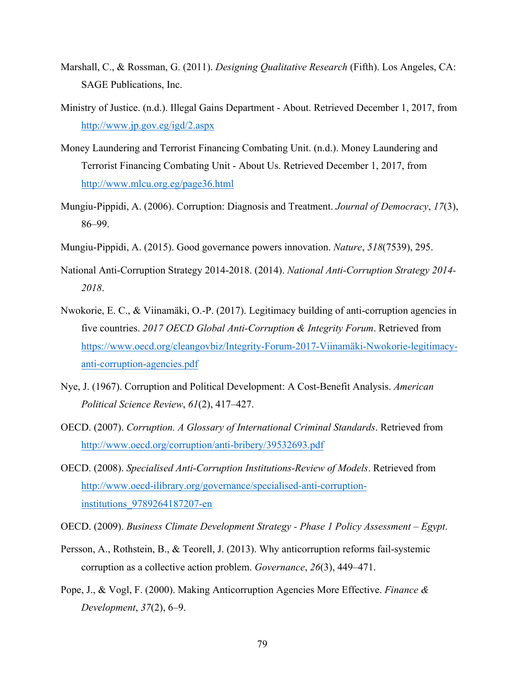- Marshall, C., & Rossman, G. (2011). *Designing Qualitative Research* (Fifth). Los Angeles, CA: SAGE Publications, Inc.
- Ministry of Justice. (n.d.). Illegal Gains Department About. Retrieved December 1, 2017, from http://www.jp.gov.eg/igd/2.aspx
- Money Laundering and Terrorist Financing Combating Unit. (n.d.). Money Laundering and Terrorist Financing Combating Unit - About Us. Retrieved December 1, 2017, from http://www.mlcu.org.eg/page36.html
- Mungiu-Pippidi, A. (2006). Corruption: Diagnosis and Treatment. *Journal of Democracy*, *17*(3), 86–99.
- Mungiu-Pippidi, A. (2015). Good governance powers innovation. *Nature*, *518*(7539), 295.
- National Anti-Corruption Strategy 2014-2018. (2014). *National Anti-Corruption Strategy 2014- 2018*.
- Nwokorie, E. C., & Viinamäki, O.-P. (2017). Legitimacy building of anti-corruption agencies in five countries. *2017 OECD Global Anti-Corruption & Integrity Forum*. Retrieved from https://www.oecd.org/cleangovbiz/Integrity-Forum-2017-Viinamäki-Nwokorie-legitimacyanti-corruption-agencies.pdf
- Nye, J. (1967). Corruption and Political Development: A Cost-Benefit Analysis. *American Political Science Review*, *61*(2), 417–427.
- OECD. (2007). *Corruption. A Glossary of International Criminal Standards*. Retrieved from http://www.oecd.org/corruption/anti-bribery/39532693.pdf
- OECD. (2008). *Specialised Anti-Corruption Institutions-Review of Models*. Retrieved from http://www.oecd-ilibrary.org/governance/specialised-anti-corruptioninstitutions\_9789264187207-en
- OECD. (2009). *Business Climate Development Strategy - Phase 1 Policy Assessment – Egypt*.
- Persson, A., Rothstein, B., & Teorell, J. (2013). Why anticorruption reforms fail-systemic corruption as a collective action problem. *Governance*, *26*(3), 449–471.
- Pope, J., & Vogl, F. (2000). Making Anticorruption Agencies More Effective. *Finance & Development*, *37*(2), 6–9.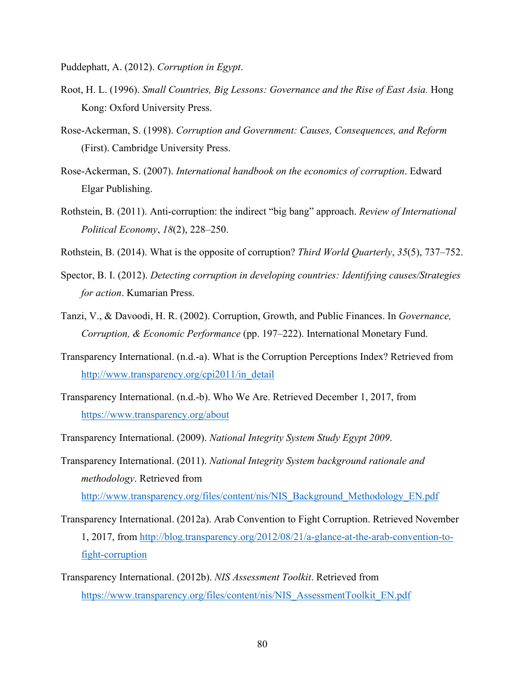Puddephatt, A. (2012). *Corruption in Egypt*.

- Root, H. L. (1996). *Small Countries, Big Lessons: Governance and the Rise of East Asia.* Hong Kong: Oxford University Press.
- Rose-Ackerman, S. (1998). *Corruption and Government: Causes, Consequences, and Reform* (First). Cambridge University Press.
- Rose-Ackerman, S. (2007). *International handbook on the economics of corruption*. Edward Elgar Publishing.
- Rothstein, B. (2011). Anti-corruption: the indirect "big bang" approach. *Review of International Political Economy*, *18*(2), 228–250.
- Rothstein, B. (2014). What is the opposite of corruption? *Third World Quarterly*, *35*(5), 737–752.
- Spector, B. I. (2012). *Detecting corruption in developing countries: Identifying causes/Strategies for action*. Kumarian Press.
- Tanzi, V., & Davoodi, H. R. (2002). Corruption, Growth, and Public Finances. In *Governance, Corruption, & Economic Performance* (pp. 197–222). International Monetary Fund.
- Transparency International. (n.d.-a). What is the Corruption Perceptions Index? Retrieved from http://www.transparency.org/cpi2011/in\_detail
- Transparency International. (n.d.-b). Who We Are. Retrieved December 1, 2017, from https://www.transparency.org/about
- Transparency International. (2009). *National Integrity System Study Egypt 2009*.
- Transparency International. (2011). *National Integrity System background rationale and methodology*. Retrieved from http://www.transparency.org/files/content/nis/NIS\_Background\_Methodology\_EN.pdf
- Transparency International. (2012a). Arab Convention to Fight Corruption. Retrieved November 1, 2017, from http://blog.transparency.org/2012/08/21/a-glance-at-the-arab-convention-tofight-corruption
- Transparency International. (2012b). *NIS Assessment Toolkit*. Retrieved from https://www.transparency.org/files/content/nis/NIS\_AssessmentToolkit\_EN.pdf